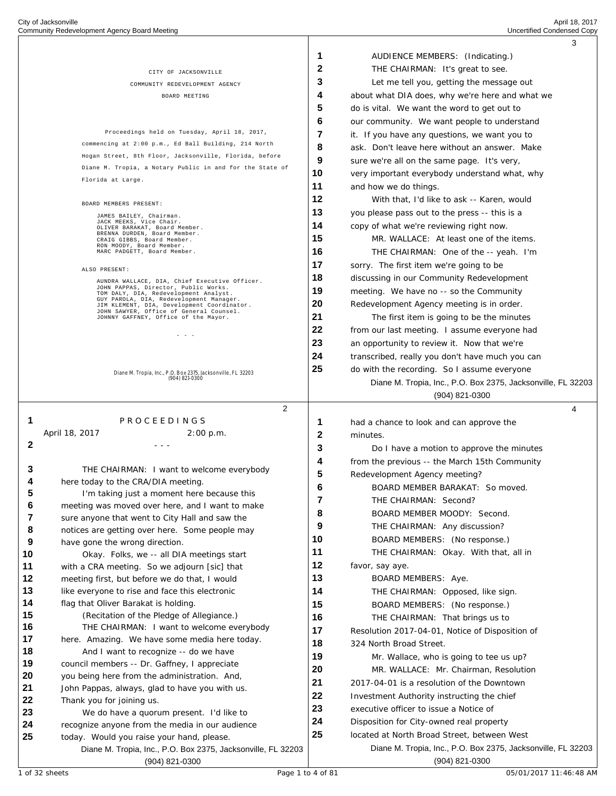|          |                                                                                                                                  |    | 3                                                            |  |
|----------|----------------------------------------------------------------------------------------------------------------------------------|----|--------------------------------------------------------------|--|
|          |                                                                                                                                  | 1  | AUDIENCE MEMBERS: (Indicating.)                              |  |
|          | CITY OF JACKSONVILLE                                                                                                             | 2  | THE CHAIRMAN: It's great to see.                             |  |
|          | COMMUNITY REDEVELOPMENT AGENCY                                                                                                   | 3  | Let me tell you, getting the message out                     |  |
|          | BOARD MEETING                                                                                                                    | 4  | about what DIA does, why we're here and what we              |  |
|          |                                                                                                                                  | 5  | do is vital. We want the word to get out to                  |  |
|          |                                                                                                                                  | 6  | our community. We want people to understand                  |  |
|          | Proceedings held on Tuesday, April 18, 2017,                                                                                     | 7  | it. If you have any questions, we want you to                |  |
|          | commencing at 2:00 p.m., Ed Ball Building, 214 North                                                                             | 8  | ask. Don't leave here without an answer. Make                |  |
|          | Hogan Street, 8th Floor, Jacksonville, Florida, before                                                                           | 9  | sure we're all on the same page. It's very,                  |  |
|          | Diane M. Tropia, a Notary Public in and for the State of                                                                         | 10 |                                                              |  |
|          | Florida at Large.                                                                                                                | 11 | very important everybody understand what, why                |  |
|          |                                                                                                                                  |    | and how we do things.                                        |  |
|          | BOARD MEMBERS PRESENT:                                                                                                           | 12 | With that, I'd like to ask -- Karen, would                   |  |
|          | JAMES BAILEY, Chairman.<br>JACK MEEKS, Vice Chair.                                                                               | 13 | you please pass out to the press -- this is a                |  |
|          | OLIVER BARAKAT, Board Member.<br>BRENNA DURDEN, Board Member.                                                                    | 14 | copy of what we're reviewing right now.                      |  |
|          | CRAIG GIBBS, Board Member.<br>RON MOODY, Board Member.                                                                           | 15 | MR. WALLACE: At least one of the items.                      |  |
|          | MARC PADGETT, Board Member.                                                                                                      | 16 | THE CHAIRMAN: One of the -- yeah. I'm                        |  |
|          | ALSO PRESENT:                                                                                                                    | 17 | sorry. The first item we're going to be                      |  |
|          | AUNDRA WALLACE, DIA, Chief Executive Officer.                                                                                    | 18 | discussing in our Community Redevelopment                    |  |
|          | JOHN PAPPAS, Director, Public Works.<br>TOM DALY, DIA, Redevelopment Analyst.                                                    | 19 | meeting. We have no -- so the Community                      |  |
|          | GUY PAROLA, DIA, Redevelopment Manager.<br>JIM KLEMENT, DIA, Development Coordinator.<br>JOHN SAWYER, Office of General Counsel. | 20 | Redevelopment Agency meeting is in order.                    |  |
|          | JOHNNY GAFFNEY, Office of the Mayor.                                                                                             | 21 | The first item is going to be the minutes                    |  |
|          | - - -                                                                                                                            | 22 | from our last meeting. I assume everyone had                 |  |
|          |                                                                                                                                  | 23 | an opportunity to review it. Now that we're                  |  |
|          |                                                                                                                                  | 24 | transcribed, really you don't have much you can              |  |
|          | Diane M. Tropia, Inc., P.O. Box 2375. Jacksonville, FL 32203                                                                     | 25 | do with the recording. So I assume everyone                  |  |
|          | (904) 821-0300                                                                                                                   |    | Diane M. Tropia, Inc., P.O. Box 2375, Jacksonville, FL 32203 |  |
|          |                                                                                                                                  |    | $(904)$ 821-0300                                             |  |
|          |                                                                                                                                  |    |                                                              |  |
|          | 2                                                                                                                                |    | 4                                                            |  |
| 1        | PROCEEDINGS                                                                                                                      | 1  | had a chance to look and can approve the                     |  |
|          | April 18, 2017<br>2:00 p.m.                                                                                                      | 2  | minutes.                                                     |  |
| 2        | $  -$                                                                                                                            | 3  | Do I have a motion to approve the minutes                    |  |
|          |                                                                                                                                  | 4  | from the previous -- the March 15th Community                |  |
| 3        | THE CHAIRMAN: I want to welcome everybody                                                                                        | 5  |                                                              |  |
| 4        | here today to the CRA/DIA meeting.                                                                                               | 6  | Redevelopment Agency meeting?                                |  |
| 5        | I'm taking just a moment here because this                                                                                       |    | BOARD MEMBER BARAKAT: So moved                               |  |
| 6        | meeting was moved over here, and I want to make                                                                                  | 7  | THE CHAIRMAN: Second?                                        |  |
| 7        | sure anyone that went to City Hall and saw the                                                                                   | 8  | BOARD MEMBER MOODY: Second.                                  |  |
| 8        | notices are getting over here. Some people may                                                                                   | 9  | THE CHAIRMAN: Any discussion?                                |  |
| 9        | have gone the wrong direction.                                                                                                   | 10 | BOARD MEMBERS: (No response.)                                |  |
| 10       | Okay. Folks, we -- all DIA meetings start                                                                                        | 11 | THE CHAIRMAN: Okay. With that, all in                        |  |
| 11       | with a CRA meeting. So we adjourn [sic] that                                                                                     | 12 | favor, say aye.                                              |  |
| 12       | meeting first, but before we do that, I would                                                                                    | 13 | BOARD MEMBERS: Aye.                                          |  |
| 13       | like everyone to rise and face this electronic                                                                                   | 14 | THE CHAIRMAN: Opposed, like sign.                            |  |
| 14       | flag that Oliver Barakat is holding.                                                                                             | 15 | BOARD MEMBERS: (No response.)                                |  |
| 15       | (Recitation of the Pledge of Allegiance.)                                                                                        | 16 | THE CHAIRMAN: That brings us to                              |  |
| 16       | THE CHAIRMAN: I want to welcome everybody                                                                                        | 17 | Resolution 2017-04-01, Notice of Disposition of              |  |
| 17       | here. Amazing. We have some media here today.                                                                                    | 18 | 324 North Broad Street.                                      |  |
| 18<br>19 | And I want to recognize -- do we have                                                                                            | 19 | Mr. Wallace, who is going to tee us up?                      |  |
| 20       | council members -- Dr. Gaffney, I appreciate<br>you being here from the administration. And,                                     | 20 | MR. WALLACE: Mr. Chairman, Resolution                        |  |
| 21       | John Pappas, always, glad to have you with us.                                                                                   | 21 | 2017-04-01 is a resolution of the Downtown                   |  |
| 22       | Thank you for joining us.                                                                                                        | 22 | Investment Authority instructing the chief                   |  |
| 23       | We do have a quorum present. I'd like to                                                                                         | 23 | executive officer to issue a Notice of                       |  |
| 24       | recognize anyone from the media in our audience                                                                                  | 24 | Disposition for City-owned real property                     |  |
| 25       | today. Would you raise your hand, please.                                                                                        | 25 | located at North Broad Street, between West                  |  |
|          | Diane M. Tropia, Inc., P.O. Box 2375, Jacksonville, FL 32203                                                                     |    | Diane M. Tropia, Inc., P.O. Box 2375, Jacksonville, FL 32203 |  |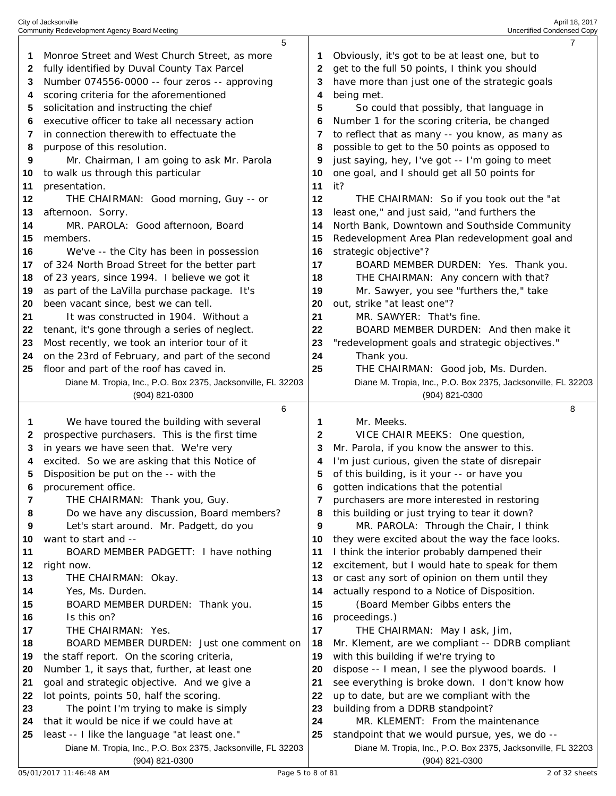|          | City of Jacksonville                                                                        |          | April 18, 2017                                                                                    |
|----------|---------------------------------------------------------------------------------------------|----------|---------------------------------------------------------------------------------------------------|
|          | Community Redevelopment Agency Board Meeting<br>5                                           |          | Uncertified Condensed Copy<br>7                                                                   |
| 1        | Monroe Street and West Church Street, as more                                               | 1        | Obviously, it's got to be at least one, but to                                                    |
| 2        | fully identified by Duval County Tax Parcel                                                 | 2        | get to the full 50 points, I think you should                                                     |
| 3        | Number 074556-0000 -- four zeros -- approving                                               | 3        | have more than just one of the strategic goals                                                    |
|          | scoring criteria for the aforementioned                                                     | 4        | being met.                                                                                        |
| 4<br>5   |                                                                                             | 5        |                                                                                                   |
|          | solicitation and instructing the chief                                                      |          | So could that possibly, that language in                                                          |
| 6        | executive officer to take all necessary action<br>in connection therewith to effectuate the | 6        | Number 1 for the scoring criteria, be changed                                                     |
| 7        | purpose of this resolution.                                                                 | 7<br>8   | to reflect that as many -- you know, as many as<br>possible to get to the 50 points as opposed to |
| 8        |                                                                                             | 9        |                                                                                                   |
| 9<br>10  | Mr. Chairman, I am going to ask Mr. Parola<br>to walk us through this particular            | 10       | just saying, hey, I've got -- I'm going to meet<br>one goal, and I should get all 50 points for   |
| 11       | presentation.                                                                               | 11       | it?                                                                                               |
| 12       | THE CHAIRMAN: Good morning, Guy -- or                                                       | 12       | THE CHAIRMAN: So if you took out the "at                                                          |
| 13       | afternoon. Sorry.                                                                           | 13       | least one," and just said, "and furthers the                                                      |
| 14       | MR. PAROLA: Good afternoon, Board                                                           | 14       | North Bank, Downtown and Southside Community                                                      |
| 15       | members.                                                                                    | 15       |                                                                                                   |
| 16       | We've -- the City has been in possession                                                    | 16       | Redevelopment Area Plan redevelopment goal and<br>strategic objective"?                           |
| 17       | of 324 North Broad Street for the better part                                               | 17       | BOARD MEMBER DURDEN: Yes. Thank you.                                                              |
| 18       | of 23 years, since 1994. I believe we got it                                                | 18       | THE CHAIRMAN: Any concern with that?                                                              |
| 19       | as part of the LaVilla purchase package. It's                                               | 19       | Mr. Sawyer, you see "furthers the," take                                                          |
| 20       | been vacant since, best we can tell.                                                        | 20       | out, strike "at least one"?                                                                       |
| 21       | It was constructed in 1904. Without a                                                       | 21       | MR. SAWYER: That's fine.                                                                          |
| 22       | tenant, it's gone through a series of neglect.                                              | 22       | BOARD MEMBER DURDEN: And then make it                                                             |
| 23       | Most recently, we took an interior tour of it                                               | 23       | "redevelopment goals and strategic objectives."                                                   |
| 24       | on the 23rd of February, and part of the second                                             | 24       | Thank you.                                                                                        |
| 25       | floor and part of the roof has caved in.                                                    | 25       | THE CHAIRMAN: Good job, Ms. Durden.                                                               |
|          | Diane M. Tropia, Inc., P.O. Box 2375, Jacksonville, FL 32203                                |          | Diane M. Tropia, Inc., P.O. Box 2375, Jacksonville, FL 32203                                      |
|          | (904) 821-0300                                                                              |          | (904) 821-0300                                                                                    |
|          | 6                                                                                           |          | 8                                                                                                 |
| 1        | We have toured the building with several                                                    | 1        | Mr. Meeks.                                                                                        |
| 2        | prospective purchasers. This is the first time                                              | 2        | VICE CHAIR MEEKS: One question,                                                                   |
| 3        | in years we have seen that. We're very                                                      | 3        | Mr. Parola, if you know the answer to this.                                                       |
| 4        | excited. So we are asking that this Notice of                                               | 4        | I'm just curious, given the state of disrepair                                                    |
| 5        | Disposition be put on the -- with the                                                       | 5        | of this building, is it your -- or have you                                                       |
| 6        | procurement office.                                                                         | 6        | gotten indications that the potential                                                             |
| 7        | THE CHAIRMAN: Thank you, Guy.                                                               | 7        | purchasers are more interested in restoring                                                       |
| 8        | Do we have any discussion, Board members?                                                   | 8        | this building or just trying to tear it down?                                                     |
| 9        | Let's start around. Mr. Padgett, do you                                                     | 9        | MR. PAROLA: Through the Chair, I think                                                            |
| 10       | want to start and --                                                                        | 10       | they were excited about the way the face looks.                                                   |
| 11       | BOARD MEMBER PADGETT: I have nothing                                                        | 11       | I think the interior probably dampened their                                                      |
| 12       | right now.                                                                                  | 12       | excitement, but I would hate to speak for them                                                    |
| 13       | THE CHAIRMAN: Okay.                                                                         | 13       | or cast any sort of opinion on them until they                                                    |
| 14       | Yes, Ms. Durden.                                                                            | 14       | actually respond to a Notice of Disposition.                                                      |
| 15<br>16 | BOARD MEMBER DURDEN: Thank you.<br>Is this on?                                              | 15<br>16 | (Board Member Gibbs enters the<br>proceedings.)                                                   |
| 17       | THE CHAIRMAN: Yes.                                                                          | 17       | THE CHAIRMAN: May I ask, Jim,                                                                     |
| 18       | BOARD MEMBER DURDEN: Just one comment on                                                    | 18       | Mr. Klement, are we compliant -- DDRB compliant                                                   |
| 19       | the staff report. On the scoring criteria,                                                  | 19       | with this building if we're trying to                                                             |
| 20       | Number 1, it says that, further, at least one                                               | 20       | dispose -- I mean, I see the plywood boards. I                                                    |
| 21       | goal and strategic objective. And we give a                                                 | 21       | see everything is broke down. I don't know how                                                    |
| 22       | lot points, points 50, half the scoring.                                                    | 22       | up to date, but are we compliant with the                                                         |
| 23       | The point I'm trying to make is simply                                                      | 23       | building from a DDRB standpoint?                                                                  |
| 24       | that it would be nice if we could have at                                                   | 24       | MR. KLEMENT: From the maintenance                                                                 |
| 25       | least -- I like the language "at least one."                                                | 25       | standpoint that we would pursue, yes, we do --                                                    |
|          | Diane M. Tropia, Inc., P.O. Box 2375, Jacksonville, FL 32203                                |          | Diane M. Tropia, Inc., P.O. Box 2375, Jacksonville, FL 32203                                      |
|          | (904) 821-0300                                                                              |          | (904) 821-0300                                                                                    |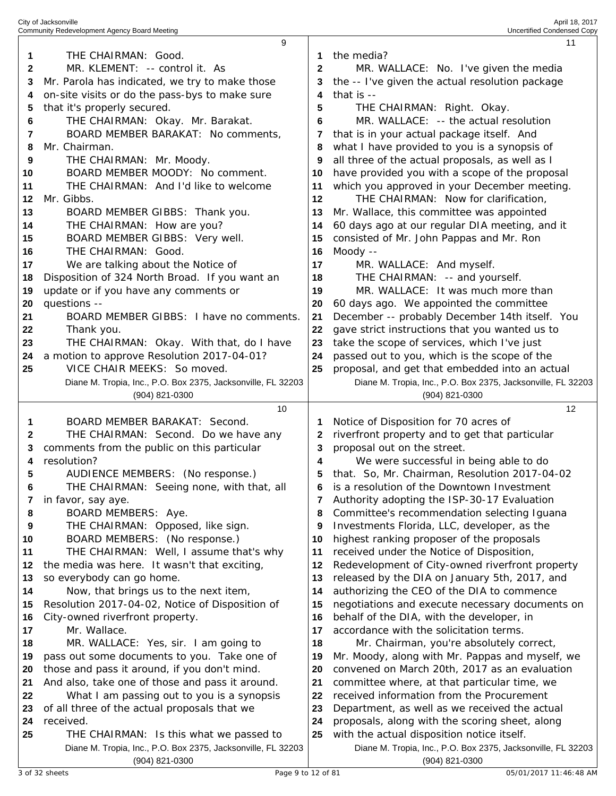|    | Community Redevelopment Agency Board Meeting                 |              | Uncertified Condensed Copy                                   |
|----|--------------------------------------------------------------|--------------|--------------------------------------------------------------|
|    | 9                                                            |              | 11                                                           |
| 1  | THE CHAIRMAN: Good.                                          | 1            | the media?                                                   |
| 2  | MR. KLEMENT: -- control it. As                               | $\mathbf{2}$ | MR. WALLACE: No. I've given the media                        |
|    |                                                              |              |                                                              |
| 3  | Mr. Parola has indicated, we try to make those               |              | the -- I've given the actual resolution package              |
| 4  | on-site visits or do the pass-bys to make sure               | 4            | that is --                                                   |
| 5  | that it's properly secured.                                  | 5            | THE CHAIRMAN: Right. Okay.                                   |
| 6  | THE CHAIRMAN: Okay. Mr. Barakat.                             | 6            | MR. WALLACE: -- the actual resolution                        |
| 7  | BOARD MEMBER BARAKAT: No comments,                           | 7            | that is in your actual package itself. And                   |
|    |                                                              |              |                                                              |
| 8  | Mr. Chairman.                                                | 8            | what I have provided to you is a synopsis of                 |
| 9  | THE CHAIRMAN: Mr. Moody.                                     | 9            | all three of the actual proposals, as well as I              |
| 10 | BOARD MEMBER MOODY: No comment.                              | 10           | have provided you with a scope of the proposal               |
| 11 | THE CHAIRMAN: And I'd like to welcome                        | 11           | which you approved in your December meeting.                 |
| 12 | Mr. Gibbs.                                                   | 12           | THE CHAIRMAN: Now for clarification,                         |
|    |                                                              |              |                                                              |
| 13 | BOARD MEMBER GIBBS: Thank you.                               | 13           | Mr. Wallace, this committee was appointed                    |
| 14 | THE CHAIRMAN: How are you?                                   | 14           | 60 days ago at our regular DIA meeting, and it               |
| 15 | BOARD MEMBER GIBBS: Very well.                               | 15           | consisted of Mr. John Pappas and Mr. Ron                     |
| 16 | THE CHAIRMAN: Good.                                          | 16           | Moody --                                                     |
| 17 | We are talking about the Notice of                           | 17           | MR. WALLACE: And myself.                                     |
|    |                                                              |              |                                                              |
| 18 | Disposition of 324 North Broad. If you want an               | 18           | THE CHAIRMAN: -- and yourself.                               |
| 19 | update or if you have any comments or                        | 19           | MR. WALLACE: It was much more than                           |
| 20 | questions --                                                 | 20           | 60 days ago. We appointed the committee                      |
| 21 | BOARD MEMBER GIBBS: I have no comments.                      | 21           | December -- probably December 14th itself. You               |
| 22 | Thank you.                                                   | 22           | gave strict instructions that you wanted us to               |
| 23 | THE CHAIRMAN: Okay. With that, do I have                     | 23           | take the scope of services, which I've just                  |
| 24 | a motion to approve Resolution 2017-04-01?                   | 24           |                                                              |
|    |                                                              |              | passed out to you, which is the scope of the                 |
| 25 | VICE CHAIR MEEKS: So moved.                                  | 25           | proposal, and get that embedded into an actual               |
|    | Diane M. Tropia, Inc., P.O. Box 2375, Jacksonville, FL 32203 |              | Diane M. Tropia, Inc., P.O. Box 2375, Jacksonville, FL 32203 |
|    | (904) 821-0300                                               |              | (904) 821-0300                                               |
|    |                                                              |              |                                                              |
|    |                                                              |              |                                                              |
|    | 10                                                           |              | 12                                                           |
| 1  | BOARD MEMBER BARAKAT: Second.                                | 1            | Notice of Disposition for 70 acres of                        |
| 2  | THE CHAIRMAN: Second. Do we have any                         | 2            | riverfront property and to get that particular               |
| 3  | comments from the public on this particular                  | 3            | proposal out on the street.                                  |
| 4  | resolution?                                                  | 4            | We were successful in being able to do                       |
| 5  | AUDIENCE MEMBERS: (No response.)                             | 5            | that. So, Mr. Chairman, Resolution 2017-04-02                |
| 6  |                                                              | 6            | is a resolution of the Downtown Investment                   |
|    | THE CHAIRMAN: Seeing none, with that, all                    |              |                                                              |
| 7  | in favor, say aye.                                           |              | Authority adopting the ISP-30-17 Evaluation                  |
| 8  | BOARD MEMBERS: Aye.                                          | 8            | Committee's recommendation selecting Iguana                  |
| 9  | THE CHAIRMAN: Opposed, like sign.                            | 9            | Investments Florida, LLC, developer, as the                  |
| 10 | BOARD MEMBERS: (No response.)                                | 10           | highest ranking proposer of the proposals                    |
| 11 | THE CHAIRMAN: Well, I assume that's why                      | 11           | received under the Notice of Disposition,                    |
| 12 | the media was here. It wasn't that exciting,                 | 12           | Redevelopment of City-owned riverfront property              |
|    |                                                              |              |                                                              |
| 13 | so everybody can go home.                                    | 13           | released by the DIA on January 5th, 2017, and                |
| 14 | Now, that brings us to the next item,                        | 14           | authorizing the CEO of the DIA to commence                   |
| 15 | Resolution 2017-04-02, Notice of Disposition of              | 15           | negotiations and execute necessary documents on              |
| 16 | City-owned riverfront property.                              | 16           | behalf of the DIA, with the developer, in                    |
| 17 | Mr. Wallace.                                                 | 17           | accordance with the solicitation terms.                      |
| 18 | MR. WALLACE: Yes, sir. I am going to                         | 18           | Mr. Chairman, you're absolutely correct,                     |
| 19 | pass out some documents to you. Take one of                  | 19           | Mr. Moody, along with Mr. Pappas and myself, we              |
|    |                                                              | 20           |                                                              |
| 20 | those and pass it around, if you don't mind.                 |              | convened on March 20th, 2017 as an evaluation                |
| 21 | And also, take one of those and pass it around.              | 21           | committee where, at that particular time, we                 |
| 22 | What I am passing out to you is a synopsis                   | 22           | received information from the Procurement                    |
| 23 | of all three of the actual proposals that we                 | 23           | Department, as well as we received the actual                |
| 24 | received.                                                    | 24           | proposals, along with the scoring sheet, along               |
| 25 | THE CHAIRMAN: Is this what we passed to                      | 25           | with the actual disposition notice itself.                   |
|    | Diane M. Tropia, Inc., P.O. Box 2375, Jacksonville, FL 32203 |              | Diane M. Tropia, Inc., P.O. Box 2375, Jacksonville, FL 32203 |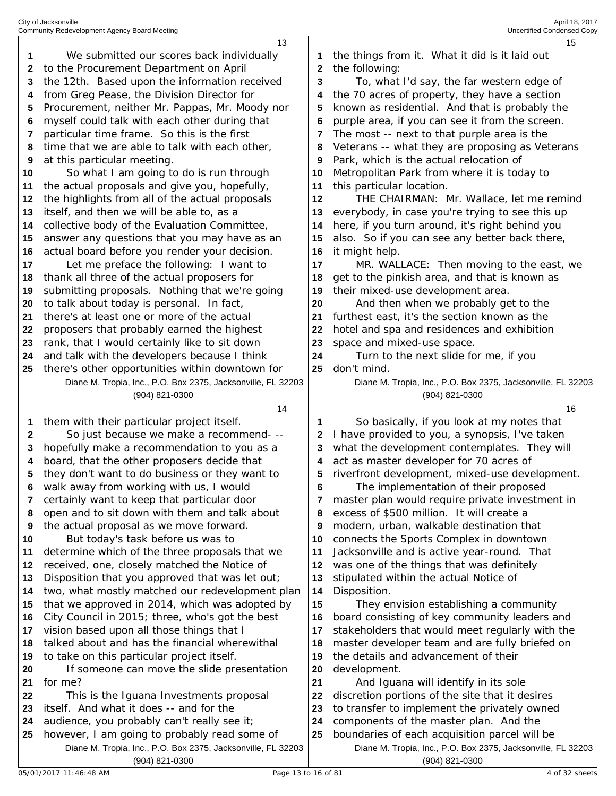| City of Jacksonville                         | April 18, 2017                    |
|----------------------------------------------|-----------------------------------|
| Community Redevelopment Agency Board Meeting | <b>Uncertified Condensed Copy</b> |

|          | 13                                                                                                           |             | 15                                                                                                            |
|----------|--------------------------------------------------------------------------------------------------------------|-------------|---------------------------------------------------------------------------------------------------------------|
| 1        | We submitted our scores back individually                                                                    | 1           | the things from it. What it did is it laid out                                                                |
| 2        | to the Procurement Department on April                                                                       | $\mathbf 2$ | the following:                                                                                                |
| 3        | the 12th. Based upon the information received                                                                | 3           | To, what I'd say, the far western edge of                                                                     |
| 4        | from Greg Pease, the Division Director for                                                                   | 4           | the 70 acres of property, they have a section                                                                 |
| 5        | Procurement, neither Mr. Pappas, Mr. Moody nor                                                               | 5           | known as residential. And that is probably the                                                                |
| 6        | myself could talk with each other during that                                                                | 6           | purple area, if you can see it from the screen.                                                               |
| 7        | particular time frame. So this is the first                                                                  | 7           | The most -- next to that purple area is the                                                                   |
| 8        | time that we are able to talk with each other,                                                               | 8           | Veterans -- what they are proposing as Veterans                                                               |
| 9        | at this particular meeting.                                                                                  | 9           | Park, which is the actual relocation of                                                                       |
| 10       | So what I am going to do is run through                                                                      | 10          | Metropolitan Park from where it is today to                                                                   |
| 11       | the actual proposals and give you, hopefully,                                                                | 11          | this particular location.                                                                                     |
| 12       | the highlights from all of the actual proposals                                                              | 12          | THE CHAIRMAN: Mr. Wallace, let me remind                                                                      |
| 13       | itself, and then we will be able to, as a                                                                    | 13          | everybody, in case you're trying to see this up                                                               |
| 14       | collective body of the Evaluation Committee,                                                                 | 14          | here, if you turn around, it's right behind you                                                               |
| 15       | answer any questions that you may have as an                                                                 | 15          | also. So if you can see any better back there,                                                                |
| 16       | actual board before you render your decision.                                                                | 16          | it might help.                                                                                                |
| 17       | Let me preface the following: I want to                                                                      | 17          | MR. WALLACE: Then moving to the east, we                                                                      |
| 18       | thank all three of the actual proposers for                                                                  | 18          | get to the pinkish area, and that is known as                                                                 |
| 19       | submitting proposals. Nothing that we're going                                                               | 19          | their mixed-use development area.                                                                             |
| 20       | to talk about today is personal. In fact,                                                                    | 20          | And then when we probably get to the                                                                          |
| 21       | there's at least one or more of the actual                                                                   | 21          | furthest east, it's the section known as the                                                                  |
| 22       | proposers that probably earned the highest                                                                   | 22          | hotel and spa and residences and exhibition                                                                   |
| 23       | rank, that I would certainly like to sit down                                                                | 23          | space and mixed-use space.                                                                                    |
| 24       | and talk with the developers because I think                                                                 | 24          | Turn to the next slide for me, if you                                                                         |
| 25       | there's other opportunities within downtown for                                                              | 25          | don't mind.                                                                                                   |
|          | Diane M. Tropia, Inc., P.O. Box 2375, Jacksonville, FL 32203                                                 |             | Diane M. Tropia, Inc., P.O. Box 2375, Jacksonville, FL 32203                                                  |
|          | (904) 821-0300                                                                                               |             | (904) 821-0300                                                                                                |
|          |                                                                                                              |             |                                                                                                               |
|          | 14                                                                                                           |             | 16                                                                                                            |
| 1        | them with their particular project itself.                                                                   | 1           | So basically, if you look at my notes that                                                                    |
| 2        | So just because we make a recommend- --                                                                      | 2           | I have provided to you, a synopsis, I've taken                                                                |
| 3        | hopefully make a recommendation to you as a                                                                  | 3           | what the development contemplates. They will                                                                  |
| 4        | board, that the other proposers decide that                                                                  | 4           | act as master developer for 70 acres of                                                                       |
| 5        | they don't want to do business or they want to                                                               | 5           | riverfront development, mixed-use development.                                                                |
| 6        | walk away from working with us, I would                                                                      | 6           | The implementation of their proposed                                                                          |
| 7        | certainly want to keep that particular door                                                                  | 7           | master plan would require private investment in                                                               |
| 8        | open and to sit down with them and talk about                                                                | 8           | excess of \$500 million. It will create a                                                                     |
| 9        | the actual proposal as we move forward.                                                                      | 9           | modern, urban, walkable destination that                                                                      |
| 10       | But today's task before us was to                                                                            | 10          | connects the Sports Complex in downtown                                                                       |
| 11       | determine which of the three proposals that we                                                               | 11          | Jacksonville and is active year-round. That                                                                   |
| 12       | received, one, closely matched the Notice of                                                                 | 12          | was one of the things that was definitely                                                                     |
|          | Disposition that you approved that was let out;                                                              | 13          | stipulated within the actual Notice of                                                                        |
| 14       | two, what mostly matched our redevelopment plan                                                              | 14          | Disposition.                                                                                                  |
| 13<br>15 | that we approved in 2014, which was adopted by                                                               | 15          | They envision establishing a community                                                                        |
| 16       | City Council in 2015; three, who's got the best                                                              | 16          | board consisting of key community leaders and                                                                 |
|          | vision based upon all those things that I                                                                    | 17          | stakeholders that would meet regularly with the                                                               |
| 18       | talked about and has the financial wherewithal                                                               | 18          | master developer team and are fully briefed on                                                                |
| 17<br>19 | to take on this particular project itself.                                                                   | 19          | the details and advancement of their                                                                          |
| 20       | If someone can move the slide presentation                                                                   | 20          | development.                                                                                                  |
| 21       | for me?                                                                                                      | 21          | And Iguana will identify in its sole                                                                          |
| 22       | This is the Iguana Investments proposal                                                                      | 22          | discretion portions of the site that it desires                                                               |
| 23       | itself. And what it does -- and for the                                                                      | 23          | to transfer to implement the privately owned                                                                  |
| 24       | audience, you probably can't really see it;                                                                  | 24          | components of the master plan. And the                                                                        |
| 25       | however, I am going to probably read some of<br>Diane M. Tropia, Inc., P.O. Box 2375, Jacksonville, FL 32203 | 25          | boundaries of each acquisition parcel will be<br>Diane M. Tropia, Inc., P.O. Box 2375, Jacksonville, FL 32203 |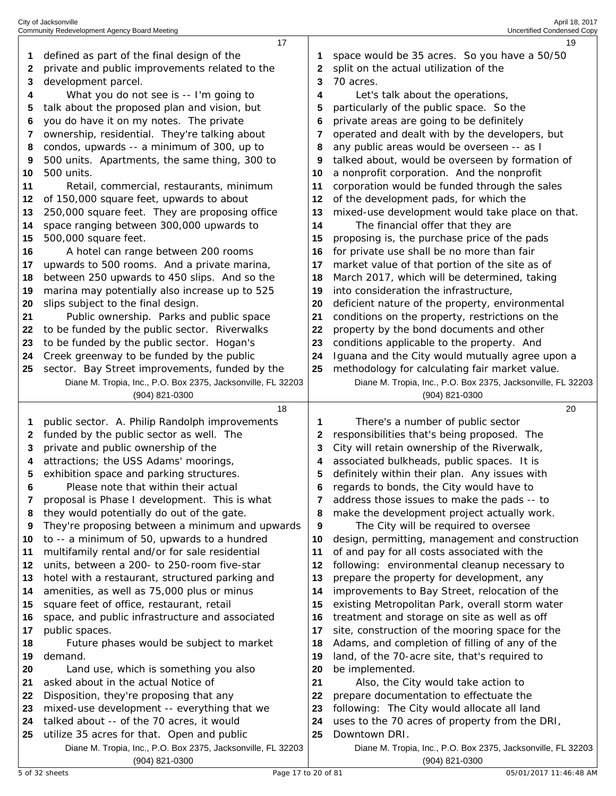|    | 17                                                           |    | 19                                                                                         |
|----|--------------------------------------------------------------|----|--------------------------------------------------------------------------------------------|
| 1  | defined as part of the final design of the                   |    | space would be 35 acres. So you have a 50/50                                               |
| 2  | private and public improvements related to the               | 2  | split on the actual utilization of the                                                     |
| 3  | development parcel.                                          | 3  | 70 acres.                                                                                  |
| 4  | What you do not see is -- I'm going to                       | 4  | Let's talk about the operations,                                                           |
| 5  | talk about the proposed plan and vision, but                 | 5  | particularly of the public space. So the                                                   |
|    |                                                              |    |                                                                                            |
| 6  | you do have it on my notes. The private                      | 6  | private areas are going to be definitely                                                   |
| 7  | ownership, residential. They're talking about                | 7  | operated and dealt with by the developers, but                                             |
| 8  | condos, upwards -- a minimum of 300, up to                   | 8  | any public areas would be overseen -- as I                                                 |
| 9  | 500 units. Apartments, the same thing, 300 to                | 9  | talked about, would be overseen by formation of                                            |
| 10 | 500 units.                                                   | 10 | a nonprofit corporation. And the nonprofit                                                 |
| 11 | Retail, commercial, restaurants, minimum                     | 11 | corporation would be funded through the sales                                              |
| 12 | of 150,000 square feet, upwards to about                     | 12 | of the development pads, for which the                                                     |
| 13 | 250,000 square feet. They are proposing office               | 13 | mixed-use development would take place on that.                                            |
| 14 | space ranging between 300,000 upwards to                     | 14 | The financial offer that they are                                                          |
| 15 | 500,000 square feet.                                         | 15 | proposing is, the purchase price of the pads                                               |
| 16 | A hotel can range between 200 rooms                          | 16 | for private use shall be no more than fair                                                 |
|    |                                                              |    |                                                                                            |
| 17 | upwards to 500 rooms. And a private marina,                  | 17 | market value of that portion of the site as of                                             |
| 18 | between 250 upwards to 450 slips. And so the                 | 18 | March 2017, which will be determined, taking                                               |
| 19 | marina may potentially also increase up to 525               | 19 | into consideration the infrastructure,                                                     |
| 20 | slips subject to the final design.                           | 20 | deficient nature of the property, environmental                                            |
| 21 | Public ownership. Parks and public space                     | 21 | conditions on the property, restrictions on the                                            |
| 22 | to be funded by the public sector. Riverwalks                | 22 | property by the bond documents and other                                                   |
| 23 | to be funded by the public sector. Hogan's                   | 23 | conditions applicable to the property. And                                                 |
| 24 | Creek greenway to be funded by the public                    | 24 | Iguana and the City would mutually agree upon a                                            |
| 25 | sector. Bay Street improvements, funded by the               | 25 | methodology for calculating fair market value.                                             |
|    | Diane M. Tropia, Inc., P.O. Box 2375, Jacksonville, FL 32203 |    | Diane M. Tropia, Inc., P.O. Box 2375, Jacksonville, FL 32203                               |
|    | (904) 821-0300                                               |    | $(904)$ 821-0300                                                                           |
|    |                                                              |    |                                                                                            |
|    | 18                                                           |    | 20                                                                                         |
| 1  | public sector. A. Philip Randolph improvements               | 1  | There's a number of public sector                                                          |
| 2  | funded by the public sector as well. The                     | 2  | responsibilities that's being proposed. The                                                |
| 3  |                                                              | 3  |                                                                                            |
| 4  | private and public ownership of the                          | 4  | City will retain ownership of the Riverwalk,<br>associated bulkheads, public spaces. It is |
| 5  | attractions; the USS Adams' moorings,                        | 5  |                                                                                            |
| 6  | exhibition space and parking structures.                     | 6  | definitely within their plan. Any issues with                                              |
|    | Please note that within their actual                         |    | regards to bonds, the City would have to                                                   |
| 7  | proposal is Phase I development. This is what                |    | address those issues to make the pads -- to                                                |
| 8  | they would potentially do out of the gate.                   | 8  | make the development project actually work.                                                |
| 9  | They're proposing between a minimum and upwards              | 9  | The City will be required to oversee                                                       |
| 10 | to -- a minimum of 50, upwards to a hundred                  | 10 | design, permitting, management and construction                                            |
| 11 | multifamily rental and/or for sale residential               | 11 | of and pay for all costs associated with the                                               |
| 12 | units, between a 200- to 250-room five-star                  | 12 | following: environmental cleanup necessary to                                              |
| 13 | hotel with a restaurant, structured parking and              | 13 | prepare the property for development, any                                                  |
| 14 | amenities, as well as 75,000 plus or minus                   | 14 | improvements to Bay Street, relocation of the                                              |
| 15 | square feet of office, restaurant, retail                    | 15 | existing Metropolitan Park, overall storm water                                            |
| 16 | space, and public infrastructure and associated              | 16 | treatment and storage on site as well as off                                               |
| 17 | public spaces.                                               | 17 | site, construction of the mooring space for the                                            |
| 18 | Future phases would be subject to market                     | 18 | Adams, and completion of filling of any of the                                             |
| 19 | demand.                                                      | 19 | land, of the 70-acre site, that's required to                                              |
| 20 | Land use, which is something you also                        | 20 | be implemented.                                                                            |
| 21 | asked about in the actual Notice of                          | 21 | Also, the City would take action to                                                        |
| 22 | Disposition, they're proposing that any                      | 22 | prepare documentation to effectuate the                                                    |
| 23 | mixed-use development -- everything that we                  | 23 | following: The City would allocate all land                                                |
| 24 | talked about -- of the 70 acres, it would                    | 24 | uses to the 70 acres of property from the DRI,                                             |
| 25 | utilize 35 acres for that. Open and public                   | 25 | Downtown DRI.                                                                              |
|    | Diane M. Tropia, Inc., P.O. Box 2375, Jacksonville, FL 32203 |    | Diane M. Tropia, Inc., P.O. Box 2375, Jacksonville, FL 32203                               |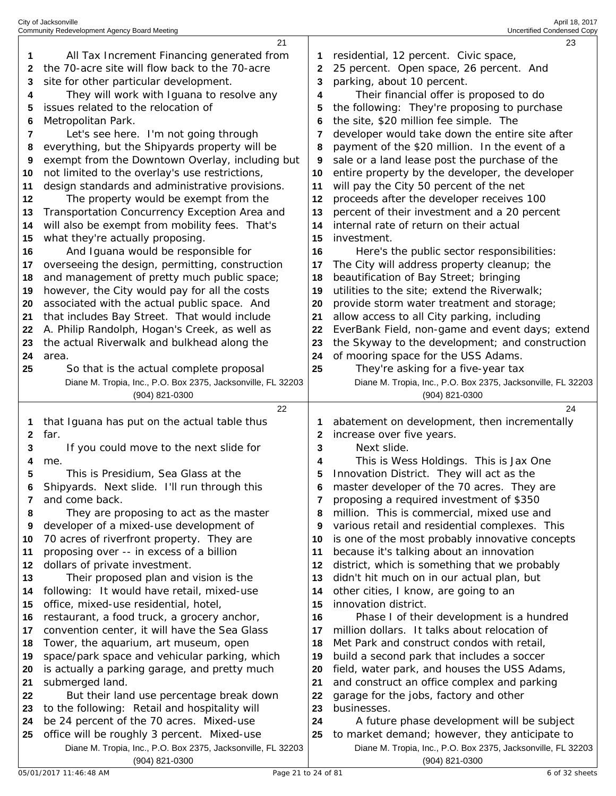|    | 21                                                                                                          |    | 23                                                                                                            |
|----|-------------------------------------------------------------------------------------------------------------|----|---------------------------------------------------------------------------------------------------------------|
| 1  | All Tax Increment Financing generated from                                                                  |    | residential, 12 percent. Civic space,                                                                         |
| 2  | the 70-acre site will flow back to the 70-acre                                                              | 2  | 25 percent. Open space, 26 percent. And                                                                       |
| 3  | site for other particular development.                                                                      | 3  | parking, about 10 percent.                                                                                    |
|    |                                                                                                             |    |                                                                                                               |
| 4  | They will work with Iguana to resolve any                                                                   | 4  | Their financial offer is proposed to do                                                                       |
| 5  | issues related to the relocation of                                                                         | 5  | the following: They're proposing to purchase                                                                  |
| 6  | Metropolitan Park.                                                                                          | 6  | the site, \$20 million fee simple. The                                                                        |
| 7  | Let's see here. I'm not going through                                                                       | 7  | developer would take down the entire site after                                                               |
| 8  | everything, but the Shipyards property will be                                                              | 8  | payment of the \$20 million. In the event of a                                                                |
| 9  | exempt from the Downtown Overlay, including but                                                             | 9  | sale or a land lease post the purchase of the                                                                 |
| 10 | not limited to the overlay's use restrictions,                                                              | 10 | entire property by the developer, the developer                                                               |
| 11 | design standards and administrative provisions.                                                             | 11 | will pay the City 50 percent of the net                                                                       |
| 12 | The property would be exempt from the                                                                       | 12 | proceeds after the developer receives 100                                                                     |
| 13 | Transportation Concurrency Exception Area and                                                               | 13 | percent of their investment and a 20 percent                                                                  |
|    |                                                                                                             |    | internal rate of return on their actual                                                                       |
| 14 | will also be exempt from mobility fees. That's                                                              | 14 |                                                                                                               |
| 15 | what they're actually proposing.                                                                            | 15 | investment.                                                                                                   |
| 16 | And Iguana would be responsible for                                                                         | 16 | Here's the public sector responsibilities:                                                                    |
| 17 | overseeing the design, permitting, construction                                                             | 17 | The City will address property cleanup; the                                                                   |
| 18 | and management of pretty much public space;                                                                 | 18 | beautification of Bay Street; bringing                                                                        |
| 19 | however, the City would pay for all the costs                                                               | 19 | utilities to the site; extend the Riverwalk;                                                                  |
| 20 | associated with the actual public space. And                                                                | 20 | provide storm water treatment and storage;                                                                    |
| 21 | that includes Bay Street. That would include                                                                | 21 | allow access to all City parking, including                                                                   |
| 22 | A. Philip Randolph, Hogan's Creek, as well as                                                               | 22 | EverBank Field, non-game and event days; extend                                                               |
| 23 | the actual Riverwalk and bulkhead along the                                                                 | 23 | the Skyway to the development; and construction                                                               |
| 24 | area.                                                                                                       | 24 | of mooring space for the USS Adams.                                                                           |
| 25 | So that is the actual complete proposal                                                                     | 25 | They're asking for a five-year tax                                                                            |
|    | Diane M. Tropia, Inc., P.O. Box 2375, Jacksonville, FL 32203                                                |    | Diane M. Tropia, Inc., P.O. Box 2375, Jacksonville, FL 32203                                                  |
|    |                                                                                                             |    |                                                                                                               |
|    |                                                                                                             |    |                                                                                                               |
|    | (904) 821-0300                                                                                              |    | (904) 821-0300                                                                                                |
|    | 22                                                                                                          |    | 24                                                                                                            |
| 1  | that Iguana has put on the actual table thus                                                                |    | abatement on development, then incrementally                                                                  |
| 2  | far.                                                                                                        | 2  | increase over five years.                                                                                     |
| 3  | If you could move to the next slide for                                                                     | 3  | Next slide.                                                                                                   |
| 4  | me.                                                                                                         | 4  | This is Wess Holdings. This is Jax One                                                                        |
| 5  | This is Presidium, Sea Glass at the                                                                         | 5  | Innovation District. They will act as the                                                                     |
|    | Shipyards. Next slide. I'll run through this                                                                | 6  | master developer of the 70 acres. They are                                                                    |
| 7  | and come back.                                                                                              | 7  | proposing a required investment of \$350                                                                      |
| 8  | They are proposing to act as the master                                                                     | 8  | million. This is commercial, mixed use and                                                                    |
| 9  | developer of a mixed-use development of                                                                     | 9  | various retail and residential complexes. This                                                                |
| 10 | 70 acres of riverfront property. They are                                                                   | 10 | is one of the most probably innovative concepts                                                               |
| 11 |                                                                                                             | 11 | because it's talking about an innovation                                                                      |
| 12 | proposing over -- in excess of a billion                                                                    | 12 |                                                                                                               |
|    | dollars of private investment.                                                                              |    | district, which is something that we probably                                                                 |
| 13 | Their proposed plan and vision is the                                                                       | 13 | didn't hit much on in our actual plan, but                                                                    |
| 14 | following: It would have retail, mixed-use                                                                  | 14 | other cities, I know, are going to an                                                                         |
| 15 | office, mixed-use residential, hotel,                                                                       | 15 | innovation district.                                                                                          |
| 16 | restaurant, a food truck, a grocery anchor,                                                                 | 16 | Phase I of their development is a hundred                                                                     |
| 17 | convention center, it will have the Sea Glass                                                               | 17 | million dollars. It talks about relocation of                                                                 |
| 18 | Tower, the aquarium, art museum, open                                                                       | 18 | Met Park and construct condos with retail,                                                                    |
| 19 | space/park space and vehicular parking, which                                                               | 19 | build a second park that includes a soccer                                                                    |
| 20 | is actually a parking garage, and pretty much                                                               | 20 | field, water park, and houses the USS Adams,                                                                  |
| 21 | submerged land.                                                                                             | 21 | and construct an office complex and parking                                                                   |
| 22 | But their land use percentage break down                                                                    | 22 | garage for the jobs, factory and other                                                                        |
| 23 | to the following: Retail and hospitality will                                                               | 23 | businesses.                                                                                                   |
| 24 | be 24 percent of the 70 acres. Mixed-use                                                                    | 24 | A future phase development will be subject                                                                    |
| 25 | office will be roughly 3 percent. Mixed-use<br>Diane M. Tropia, Inc., P.O. Box 2375, Jacksonville, FL 32203 | 25 | to market demand; however, they anticipate to<br>Diane M. Tropia, Inc., P.O. Box 2375, Jacksonville, FL 32203 |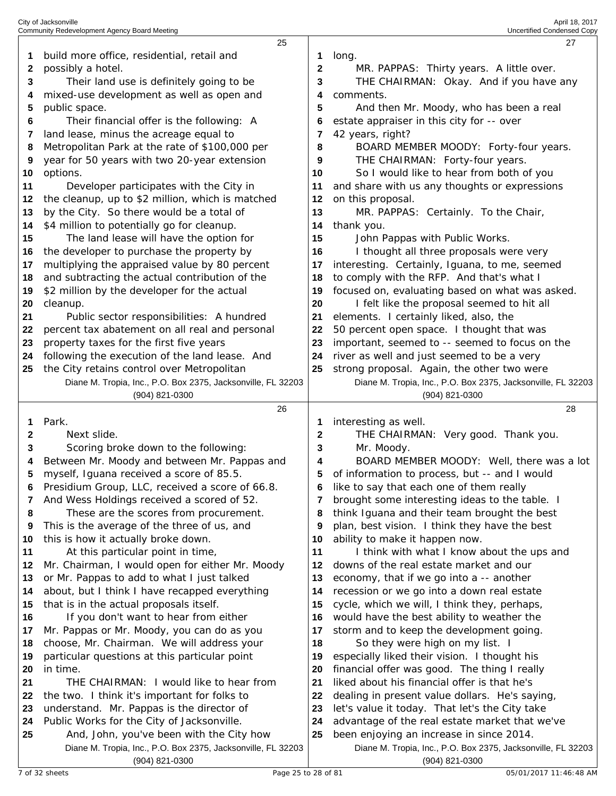|          | 25                                                                                          |          | 27                                                                              |
|----------|---------------------------------------------------------------------------------------------|----------|---------------------------------------------------------------------------------|
| 1        | build more office, residential, retail and                                                  | 1        | long.                                                                           |
| 2        | possibly a hotel.                                                                           | 2        | MR. PAPPAS: Thirty years. A little over.                                        |
| 3        | Their land use is definitely going to be                                                    | 3        | THE CHAIRMAN: Okay. And if you have any                                         |
| 4        | mixed-use development as well as open and                                                   | 4        | comments.                                                                       |
| 5        | public space.                                                                               | 5        | And then Mr. Moody, who has been a real                                         |
| 6        | Their financial offer is the following: A                                                   | 6        | estate appraiser in this city for -- over                                       |
| 7        | land lease, minus the acreage equal to                                                      |          | 42 years, right?                                                                |
| 8        | Metropolitan Park at the rate of \$100,000 per                                              | 8        | BOARD MEMBER MOODY: Forty-four years.                                           |
| 9        | year for 50 years with two 20-year extension                                                | 9        | THE CHAIRMAN: Forty-four years.                                                 |
| 10       | options.                                                                                    | 10       | So I would like to hear from both of you                                        |
| 11       | Developer participates with the City in                                                     | 11       | and share with us any thoughts or expressions                                   |
| 12       | the cleanup, up to \$2 million, which is matched                                            | 12       | on this proposal.                                                               |
| 13       | by the City. So there would be a total of                                                   | 13       | MR. PAPPAS: Certainly. To the Chair,                                            |
| 14       | \$4 million to potentially go for cleanup.                                                  | 14       | thank you.                                                                      |
| 15       | The land lease will have the option for                                                     | 15       | John Pappas with Public Works.                                                  |
| 16       | the developer to purchase the property by                                                   | 16       | I thought all three proposals were very                                         |
| 17       | multiplying the appraised value by 80 percent                                               | 17       | interesting. Certainly, Iguana, to me, seemed                                   |
| 18       | and subtracting the actual contribution of the                                              | 18       | to comply with the RFP. And that's what I                                       |
| 19       | \$2 million by the developer for the actual                                                 | 19       | focused on, evaluating based on what was asked.                                 |
| 20       | cleanup.                                                                                    | 20       | I felt like the proposal seemed to hit all                                      |
| 21       | Public sector responsibilities: A hundred                                                   | 21       | elements. I certainly liked, also, the                                          |
| 22       | percent tax abatement on all real and personal                                              | 22       | 50 percent open space. I thought that was                                       |
| 23       | property taxes for the first five years                                                     | 23       | important, seemed to -- seemed to focus on the                                  |
| 24       | following the execution of the land lease. And                                              | 24       | river as well and just seemed to be a very                                      |
| 25       | the City retains control over Metropolitan                                                  | 25       | strong proposal. Again, the other two were                                      |
|          | Diane M. Tropia, Inc., P.O. Box 2375, Jacksonville, FL 32203                                |          | Diane M. Tropia, Inc., P.O. Box 2375, Jacksonville, FL 32203                    |
|          | (904) 821-0300                                                                              |          |                                                                                 |
|          |                                                                                             |          | (904) 821-0300                                                                  |
|          | 26                                                                                          |          | 28                                                                              |
| 1        | Park.                                                                                       | 1        | interesting as well.                                                            |
| 2        | Next slide.                                                                                 | 2        | THE CHAIRMAN: Very good. Thank you.                                             |
| 3        | Scoring broke down to the following:                                                        | 3        | Mr. Moody.                                                                      |
| 4        | Between Mr. Moody and between Mr. Pappas and                                                | 4        | BOARD MEMBER MOODY: Well, there was a lot                                       |
| 5        | myself, Iguana received a score of 85.5.                                                    | 5        | of information to process, but -- and I would                                   |
|          | Presidium Group, LLC, received a score of 66.8.                                             |          | like to say that each one of them really                                        |
| 7        | And Wess Holdings received a scored of 52.                                                  | 7        | brought some interesting ideas to the table. I                                  |
| 8        | These are the scores from procurement.                                                      | 8        | think Iguana and their team brought the best                                    |
| 9        | This is the average of the three of us, and                                                 | 9        | plan, best vision. I think they have the best                                   |
| 10       | this is how it actually broke down.                                                         | 10       | ability to make it happen now.                                                  |
| 11       | At this particular point in time,                                                           | 11       | I think with what I know about the ups and                                      |
| 12       | Mr. Chairman, I would open for either Mr. Moody                                             | 12       | downs of the real estate market and our                                         |
| 13       | or Mr. Pappas to add to what I just talked                                                  | 13       | economy, that if we go into a -- another                                        |
| 14       | about, but I think I have recapped everything                                               | 14       | recession or we go into a down real estate                                      |
| 15       | that is in the actual proposals itself.                                                     | 15       | cycle, which we will, I think they, perhaps,                                    |
| 16       | If you don't want to hear from either                                                       | 16       | would have the best ability to weather the                                      |
| 17<br>18 | Mr. Pappas or Mr. Moody, you can do as you                                                  | 17<br>18 | storm and to keep the development going.                                        |
| 19       | choose, Mr. Chairman. We will address your<br>particular questions at this particular point | 19       | So they were high on my list. I<br>especially liked their vision. I thought his |
| 20       | in time.                                                                                    | 20       | financial offer was good. The thing I really                                    |
| 21       | THE CHAIRMAN: I would like to hear from                                                     | 21       | liked about his financial offer is that he's                                    |
| 22       | the two. I think it's important for folks to                                                | 22       | dealing in present value dollars. He's saying,                                  |
| 23       | understand. Mr. Pappas is the director of                                                   | 23       | let's value it today. That let's the City take                                  |
| 24       | Public Works for the City of Jacksonville.                                                  | 24       | advantage of the real estate market that we've                                  |
| 25       | And, John, you've been with the City how                                                    | 25       | been enjoying an increase in since 2014.                                        |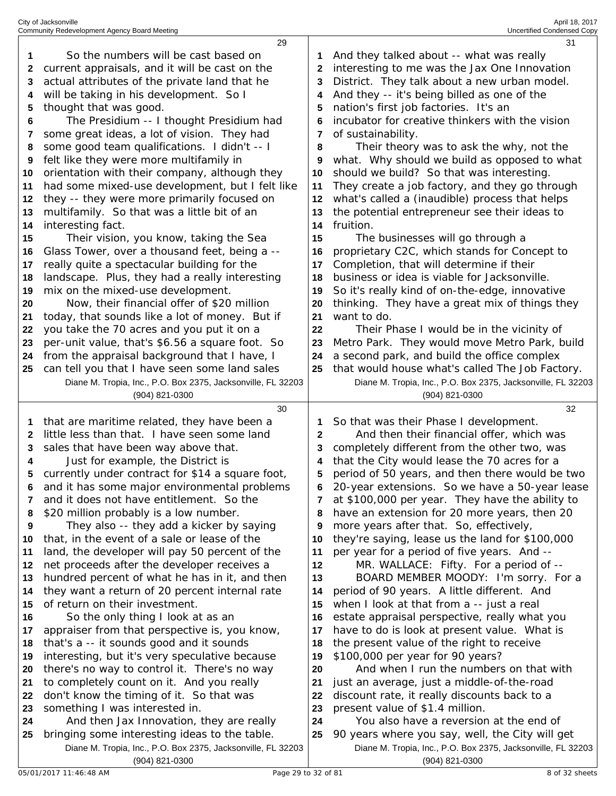|    | 29                                                                                                            |    | 31                                                                                                              |
|----|---------------------------------------------------------------------------------------------------------------|----|-----------------------------------------------------------------------------------------------------------------|
| 1  | So the numbers will be cast based on                                                                          |    | And they talked about -- what was really                                                                        |
| 2  | current appraisals, and it will be cast on the                                                                | 2  | interesting to me was the Jax One Innovation                                                                    |
| 3  | actual attributes of the private land that he                                                                 | 3  | District. They talk about a new urban model.                                                                    |
| 4  | will be taking in his development. So I                                                                       | 4  | And they -- it's being billed as one of the                                                                     |
| 5  | thought that was good.                                                                                        | 5  | nation's first job factories. It's an                                                                           |
| 6  | The Presidium -- I thought Presidium had                                                                      |    | incubator for creative thinkers with the vision                                                                 |
| 7  | some great ideas, a lot of vision. They had                                                                   | 7  | of sustainability.                                                                                              |
| 8  | some good team qualifications. I didn't -- I                                                                  | 8  | Their theory was to ask the why, not the                                                                        |
| 9  | felt like they were more multifamily in                                                                       | 9  | what. Why should we build as opposed to what                                                                    |
| 10 | orientation with their company, although they                                                                 | 10 | should we build? So that was interesting.                                                                       |
| 11 | had some mixed-use development, but I felt like                                                               | 11 | They create a job factory, and they go through                                                                  |
| 12 | they -- they were more primarily focused on                                                                   | 12 | what's called a (inaudible) process that helps                                                                  |
| 13 | multifamily. So that was a little bit of an                                                                   | 13 | the potential entrepreneur see their ideas to                                                                   |
| 14 | interesting fact.                                                                                             | 14 | fruition.                                                                                                       |
| 15 | Their vision, you know, taking the Sea                                                                        | 15 | The businesses will go through a                                                                                |
| 16 | Glass Tower, over a thousand feet, being a --                                                                 | 16 | proprietary C2C, which stands for Concept to                                                                    |
| 17 | really quite a spectacular building for the                                                                   | 17 | Completion, that will determine if their                                                                        |
| 18 | landscape. Plus, they had a really interesting                                                                | 18 | business or idea is viable for Jacksonville.                                                                    |
| 19 | mix on the mixed-use development.                                                                             | 19 | So it's really kind of on-the-edge, innovative                                                                  |
| 20 | Now, their financial offer of \$20 million                                                                    | 20 | thinking. They have a great mix of things they                                                                  |
| 21 | today, that sounds like a lot of money. But if                                                                | 21 | want to do.                                                                                                     |
| 22 | you take the 70 acres and you put it on a                                                                     | 22 | Their Phase I would be in the vicinity of                                                                       |
| 23 | per-unit value, that's \$6.56 a square foot. So                                                               | 23 | Metro Park. They would move Metro Park, build                                                                   |
| 24 | from the appraisal background that I have, I                                                                  | 24 | a second park, and build the office complex                                                                     |
| 25 | can tell you that I have seen some land sales                                                                 | 25 | that would house what's called The Job Factory.                                                                 |
|    | Diane M. Tropia, Inc., P.O. Box 2375, Jacksonville, FL 32203                                                  |    | Diane M. Tropia, Inc., P.O. Box 2375, Jacksonville, FL 32203                                                    |
|    | (904) 821-0300                                                                                                |    | (904) 821-0300                                                                                                  |
|    | 30                                                                                                            |    | 32                                                                                                              |
|    |                                                                                                               |    |                                                                                                                 |
| 1  | that are maritime related, they have been a                                                                   |    | So that was their Phase I development.                                                                          |
| 2  | little less than that. I have seen some land                                                                  | 2  | And then their financial offer, which was                                                                       |
| 3  | sales that have been way above that.                                                                          |    | completely different from the other two, was                                                                    |
| 4  | Just for example, the District is                                                                             | 4  | that the City would lease the 70 acres for a                                                                    |
| 5  | currently under contract for \$14 a square foot,                                                              | 5  | period of 50 years, and then there would be two                                                                 |
|    | and it has some major environmental problems                                                                  | 6  | 20-year extensions. So we have a 50-year lease                                                                  |
| 7  | and it does not have entitlement. So the                                                                      |    | at \$100,000 per year. They have the ability to                                                                 |
| 8  | \$20 million probably is a low number.                                                                        | 8  | have an extension for 20 more years, then 20                                                                    |
| 9  | They also -- they add a kicker by saying                                                                      | 9  | more years after that. So, effectively,                                                                         |
| 10 | that, in the event of a sale or lease of the                                                                  | 10 | they're saying, lease us the land for \$100,000                                                                 |
| 11 | land, the developer will pay 50 percent of the                                                                | 11 | per year for a period of five years. And --                                                                     |
| 12 | net proceeds after the developer receives a                                                                   | 12 | MR. WALLACE: Fifty. For a period of --                                                                          |
| 13 | hundred percent of what he has in it, and then                                                                | 13 | BOARD MEMBER MOODY: I'm sorry. For a                                                                            |
| 14 | they want a return of 20 percent internal rate                                                                | 14 | period of 90 years. A little different. And                                                                     |
| 15 | of return on their investment.                                                                                | 15 | when I look at that from a -- just a real                                                                       |
| 16 | So the only thing I look at as an                                                                             | 16 | estate appraisal perspective, really what you                                                                   |
| 17 | appraiser from that perspective is, you know,                                                                 | 17 | have to do is look at present value. What is                                                                    |
| 18 | that's a -- it sounds good and it sounds                                                                      | 18 | the present value of the right to receive                                                                       |
| 19 | interesting, but it's very speculative because                                                                | 19 | \$100,000 per year for 90 years?                                                                                |
| 20 | there's no way to control it. There's no way                                                                  | 20 | And when I run the numbers on that with                                                                         |
| 21 | to completely count on it. And you really                                                                     | 21 | just an average, just a middle-of-the-road                                                                      |
| 22 | don't know the timing of it. So that was                                                                      | 22 | discount rate, it really discounts back to a                                                                    |
| 23 | something I was interested in.                                                                                | 23 | present value of \$1.4 million.                                                                                 |
| 24 | And then Jax Innovation, they are really                                                                      | 24 | You also have a reversion at the end of                                                                         |
| 25 | bringing some interesting ideas to the table.<br>Diane M. Tropia, Inc., P.O. Box 2375, Jacksonville, FL 32203 | 25 | 90 years where you say, well, the City will get<br>Diane M. Tropia, Inc., P.O. Box 2375, Jacksonville, FL 32203 |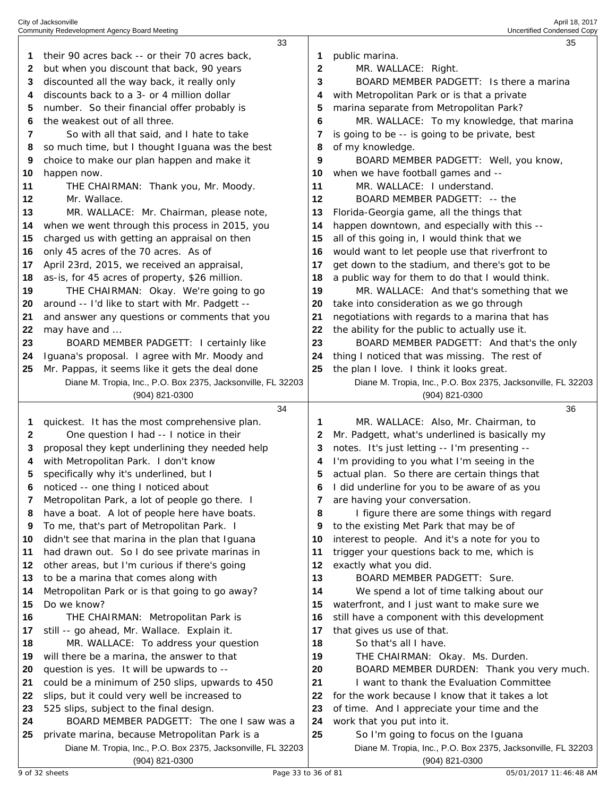|    | 33                                                                             |    | 35                                                                             |
|----|--------------------------------------------------------------------------------|----|--------------------------------------------------------------------------------|
| 1  | their 90 acres back -- or their 70 acres back,                                 | 1  | public marina.                                                                 |
|    |                                                                                |    |                                                                                |
| 2  | but when you discount that back, 90 years                                      | 2  | MR. WALLACE: Right.                                                            |
| 3  | discounted all the way back, it really only                                    | 3  | BOARD MEMBER PADGETT: Is there a marina                                        |
| 4  | discounts back to a 3- or 4 million dollar                                     | 4  | with Metropolitan Park or is that a private                                    |
| 5  | number. So their financial offer probably is                                   | 5  | marina separate from Metropolitan Park?                                        |
| 6  | the weakest out of all three.                                                  | 6  | MR. WALLACE: To my knowledge, that marina                                      |
| 7  | So with all that said, and I hate to take                                      | 7  | is going to be -- is going to be private, best                                 |
| 8  | so much time, but I thought Iguana was the best                                | 8  | of my knowledge.                                                               |
| 9  | choice to make our plan happen and make it                                     | 9  | BOARD MEMBER PADGETT: Well, you know,                                          |
| 10 | happen now.                                                                    | 10 | when we have football games and --                                             |
| 11 | THE CHAIRMAN: Thank you, Mr. Moody.                                            | 11 | MR. WALLACE: I understand.                                                     |
| 12 | Mr. Wallace.                                                                   | 12 | BOARD MEMBER PADGETT: -- the                                                   |
| 13 | MR. WALLACE: Mr. Chairman, please note,                                        | 13 | Florida-Georgia game, all the things that                                      |
| 14 | when we went through this process in 2015, you                                 | 14 | happen downtown, and especially with this --                                   |
| 15 | charged us with getting an appraisal on then                                   | 15 | all of this going in, I would think that we                                    |
| 16 | only 45 acres of the 70 acres. As of                                           | 16 | would want to let people use that riverfront to                                |
| 17 | April 23rd, 2015, we received an appraisal,                                    | 17 | get down to the stadium, and there's got to be                                 |
| 18 | as-is, for 45 acres of property, \$26 million.                                 | 18 | a public way for them to do that I would think.                                |
| 19 | THE CHAIRMAN: Okay. We're going to go                                          | 19 | MR. WALLACE: And that's something that we                                      |
| 20 | around -- I'd like to start with Mr. Padgett --                                | 20 | take into consideration as we go through                                       |
| 21 | and answer any questions or comments that you                                  | 21 | negotiations with regards to a marina that has                                 |
| 22 | may have and                                                                   | 22 | the ability for the public to actually use it.                                 |
| 23 | BOARD MEMBER PADGETT: I certainly like                                         | 23 | BOARD MEMBER PADGETT: And that's the only                                      |
| 24 | Iguana's proposal. I agree with Mr. Moody and                                  | 24 |                                                                                |
|    |                                                                                |    | thing I noticed that was missing. The rest of                                  |
| 25 | Mr. Pappas, it seems like it gets the deal done                                | 25 | the plan I love. I think it looks great.                                       |
|    | Diane M. Tropia, Inc., P.O. Box 2375, Jacksonville, FL 32203<br>(904) 821-0300 |    | Diane M. Tropia, Inc., P.O. Box 2375, Jacksonville, FL 32203<br>(904) 821-0300 |
|    |                                                                                |    |                                                                                |
|    |                                                                                |    |                                                                                |
|    | 34                                                                             |    | 36                                                                             |
| 1  | quickest. It has the most comprehensive plan.                                  | 1  | MR. WALLACE: Also, Mr. Chairman, to                                            |
| 2  | One question I had -- I notice in their                                        | 2  | Mr. Padgett, what's underlined is basically my                                 |
| 3  | proposal they kept underlining they needed help                                | 3  | notes. It's just letting -- I'm presenting --                                  |
| 4  | with Metropolitan Park. I don't know                                           | 4  | I'm providing to you what I'm seeing in the                                    |
| 5  | specifically why it's underlined, but I                                        | 5  | actual plan. So there are certain things that                                  |
| o  | noticed -- one thing I noticed about                                           | o  | I did underline for you to be aware of as you                                  |
| 7  | Metropolitan Park, a lot of people go there. I                                 | 7  | are having your conversation.                                                  |
| 8  | have a boat. A lot of people here have boats.                                  | 8  | I figure there are some things with regard                                     |
| 9  | To me, that's part of Metropolitan Park. I                                     | 9  | to the existing Met Park that may be of                                        |
| 10 | didn't see that marina in the plan that Iguana                                 | 10 | interest to people. And it's a note for you to                                 |
| 11 | had drawn out. So I do see private marinas in                                  | 11 | trigger your questions back to me, which is                                    |
| 12 | other areas, but I'm curious if there's going                                  | 12 | exactly what you did.                                                          |
| 13 | to be a marina that comes along with                                           | 13 | BOARD MEMBER PADGETT: Sure.                                                    |
| 14 | Metropolitan Park or is that going to go away?                                 | 14 | We spend a lot of time talking about our                                       |
| 15 | Do we know?                                                                    | 15 | waterfront, and I just want to make sure we                                    |
| 16 | THE CHAIRMAN: Metropolitan Park is                                             | 16 | still have a component with this development                                   |
| 17 | still -- go ahead, Mr. Wallace. Explain it.                                    | 17 | that gives us use of that.                                                     |
| 18 | MR. WALLACE: To address your question                                          | 18 | So that's all I have.                                                          |
| 19 | will there be a marina, the answer to that                                     | 19 | THE CHAIRMAN: Okay. Ms. Durden.                                                |
| 20 | question is yes. It will be upwards to --                                      | 20 | BOARD MEMBER DURDEN: Thank you very much.                                      |
| 21 | could be a minimum of 250 slips, upwards to 450                                | 21 | I want to thank the Evaluation Committee                                       |
| 22 | slips, but it could very well be increased to                                  | 22 | for the work because I know that it takes a lot                                |
| 23 | 525 slips, subject to the final design.                                        | 23 | of time. And I appreciate your time and the                                    |
| 24 | BOARD MEMBER PADGETT: The one I saw was a                                      | 24 | work that you put into it.                                                     |
| 25 | private marina, because Metropolitan Park is a                                 | 25 | So I'm going to focus on the Iguana                                            |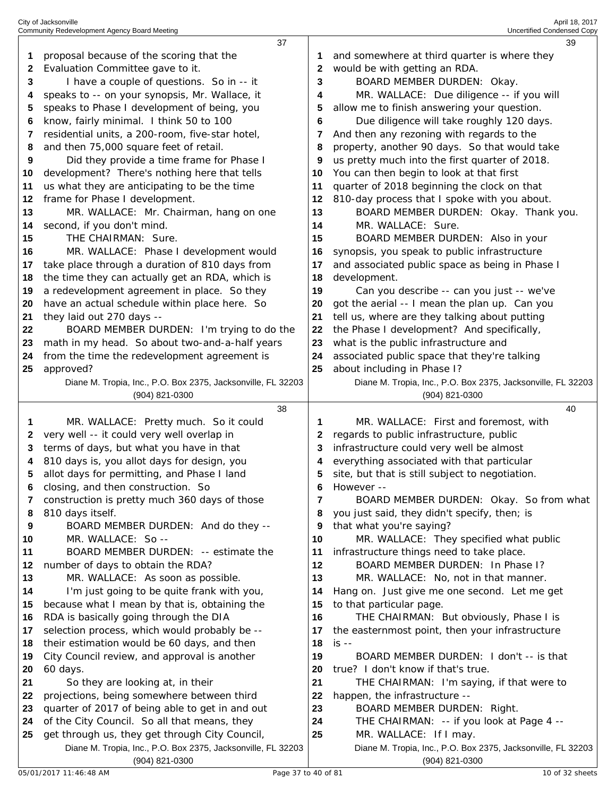| 1       | 37                                                                                                             |        | 39                                                                                     |
|---------|----------------------------------------------------------------------------------------------------------------|--------|----------------------------------------------------------------------------------------|
|         | proposal because of the scoring that the                                                                       | 1      | and somewhere at third quarter is where they                                           |
| 2       | Evaluation Committee gave to it.                                                                               | 2      | would be with getting an RDA.                                                          |
| 3       | I have a couple of questions. So in -- it                                                                      | 3      | BOARD MEMBER DURDEN: Okay.                                                             |
| 4       | speaks to -- on your synopsis, Mr. Wallace, it                                                                 | 4      | MR. WALLACE: Due diligence -- if you will                                              |
| 5       | speaks to Phase I development of being, you                                                                    | 5      | allow me to finish answering your question.                                            |
| 6       | know, fairly minimal. I think 50 to 100                                                                        | 6      | Due diligence will take roughly 120 days.                                              |
| 7       | residential units, a 200-room, five-star hotel,                                                                | 7      | And then any rezoning with regards to the                                              |
| 8       | and then 75,000 square feet of retail.                                                                         | 8      | property, another 90 days. So that would take                                          |
| 9       | Did they provide a time frame for Phase I                                                                      | 9      | us pretty much into the first quarter of 2018.                                         |
| 10      | development? There's nothing here that tells                                                                   | 10     | You can then begin to look at that first                                               |
| 11      | us what they are anticipating to be the time                                                                   | 11     | quarter of 2018 beginning the clock on that                                            |
| 12      | frame for Phase I development.                                                                                 | 12     | 810-day process that I spoke with you about.                                           |
| 13      | MR. WALLACE: Mr. Chairman, hang on one                                                                         | 13     | BOARD MEMBER DURDEN: Okay. Thank you.                                                  |
| 14      | second, if you don't mind.                                                                                     | 14     | MR. WALLACE: Sure.                                                                     |
| 15      | THE CHAIRMAN: Sure.                                                                                            | 15     | BOARD MEMBER DURDEN: Also in your                                                      |
| 16      | MR. WALLACE: Phase I development would                                                                         | 16     | synopsis, you speak to public infrastructure                                           |
| 17      | take place through a duration of 810 days from                                                                 | 17     | and associated public space as being in Phase I                                        |
| 18      | the time they can actually get an RDA, which is                                                                | 18     | development.                                                                           |
| 19      | a redevelopment agreement in place. So they                                                                    | 19     | Can you describe -- can you just -- we've                                              |
| 20      | have an actual schedule within place here. So                                                                  | 20     | got the aerial -- I mean the plan up. Can you                                          |
| 21      | they laid out 270 days --                                                                                      | 21     | tell us, where are they talking about putting                                          |
| 22      | BOARD MEMBER DURDEN: I'm trying to do the                                                                      | 22     | the Phase I development? And specifically,                                             |
| 23      | math in my head. So about two-and-a-half years                                                                 | 23     | what is the public infrastructure and                                                  |
| 24      | from the time the redevelopment agreement is                                                                   | 24     | associated public space that they're talking                                           |
| 25      | approved?                                                                                                      | 25     | about including in Phase I?                                                            |
|         | Diane M. Tropia, Inc., P.O. Box 2375, Jacksonville, FL 32203                                                   |        | Diane M. Tropia, Inc., P.O. Box 2375, Jacksonville, FL 32203                           |
|         | (904) 821-0300                                                                                                 |        | $(904)$ 821-0300                                                                       |
|         | 38                                                                                                             |        | 40                                                                                     |
| 1       | MR. WALLACE: Pretty much. So it could                                                                          | 1      | MR. WALLACE: First and foremost, with<br>regards to public infrastructure, public      |
| 2<br>3  | very well -- it could very well overlap in<br>terms of days, but what you have in that                         | 2<br>3 | infrastructure could very well be almost                                               |
| 4       | 810 days is, you allot days for design, you                                                                    | 4      | everything associated with that particular                                             |
| 5       | allot days for permitting, and Phase I land                                                                    | 5      | site, but that is still subject to negotiation.                                        |
|         |                                                                                                                |        |                                                                                        |
|         |                                                                                                                |        |                                                                                        |
| 6       | closing, and then construction. So                                                                             | 6      | However --                                                                             |
| 7       | construction is pretty much 360 days of those                                                                  | 7      | BOARD MEMBER DURDEN: Okay. So from what                                                |
| 8       | 810 days itself.                                                                                               | 8<br>9 | you just said, they didn't specify, then; is                                           |
| 9<br>10 | BOARD MEMBER DURDEN: And do they --                                                                            | 10     | that what you're saying?                                                               |
| 11      | MR. WALLACE: So --<br>BOARD MEMBER DURDEN: -- estimate the                                                     | 11     | MR. WALLACE: They specified what public                                                |
| 12      | number of days to obtain the RDA?                                                                              | 12     | infrastructure things need to take place.<br>BOARD MEMBER DURDEN: In Phase I?          |
| 13      | MR. WALLACE: As soon as possible.                                                                              | 13     | MR. WALLACE: No, not in that manner.                                                   |
| 14      | I'm just going to be quite frank with you,                                                                     | 14     | Hang on. Just give me one second. Let me get                                           |
| 15      | because what I mean by that is, obtaining the                                                                  | 15     | to that particular page.                                                               |
| 16      | RDA is basically going through the DIA                                                                         | 16     | THE CHAIRMAN: But obviously, Phase I is                                                |
| 17      | selection process, which would probably be --                                                                  | 17     | the easternmost point, then your infrastructure                                        |
| 18      | their estimation would be 60 days, and then                                                                    | 18     | $is - -$                                                                               |
| 19      | City Council review, and approval is another                                                                   | 19     | BOARD MEMBER DURDEN: I don't -- is that                                                |
| 20      | 60 days.                                                                                                       | 20     | true? I don't know if that's true.                                                     |
| 21      | So they are looking at, in their                                                                               | 21     | THE CHAIRMAN: I'm saying, if that were to                                              |
| 22      | projections, being somewhere between third                                                                     | 22     | happen, the infrastructure --                                                          |
| 23      | quarter of 2017 of being able to get in and out                                                                | 23     | BOARD MEMBER DURDEN: Right.                                                            |
| 24      | of the City Council. So all that means, they                                                                   | 24     | THE CHAIRMAN: -- if you look at Page 4 --                                              |
| 25      | get through us, they get through City Council,<br>Diane M. Tropia, Inc., P.O. Box 2375, Jacksonville, FL 32203 | 25     | MR. WALLACE: If I may.<br>Diane M. Tropia, Inc., P.O. Box 2375, Jacksonville, FL 32203 |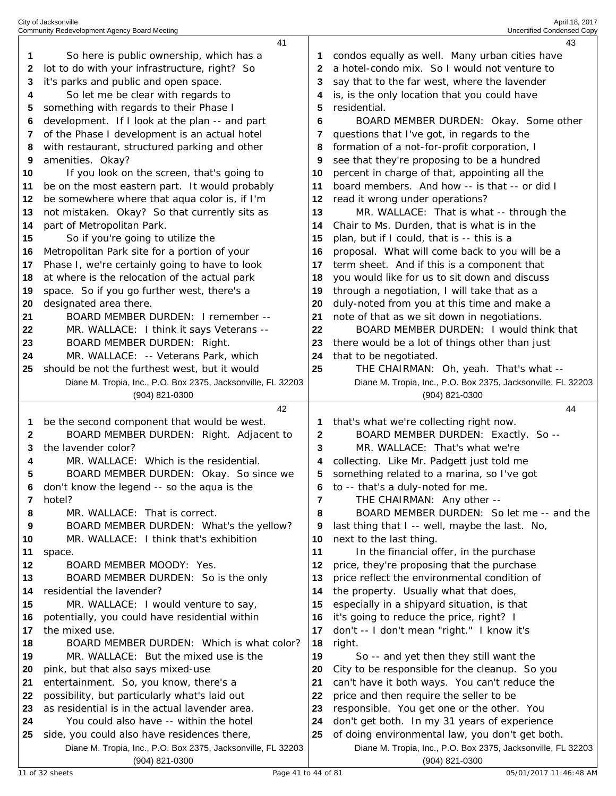|          | 41                                                               |          | 43                                                           |
|----------|------------------------------------------------------------------|----------|--------------------------------------------------------------|
| 1        | So here is public ownership, which has a                         | 1        | condos equally as well. Many urban cities have               |
| 2        | lot to do with your infrastructure, right? So                    | 2        | a hotel-condo mix. So I would not venture to                 |
| 3        | it's parks and public and open space.                            | 3        | say that to the far west, where the lavender                 |
| 4        | So let me be clear with regards to                               | 4        | is, is the only location that you could have                 |
| 5        | something with regards to their Phase I                          | 5        | residential.                                                 |
| 6        | development. If I look at the plan -- and part                   | 6        | BOARD MEMBER DURDEN: Okay. Some other                        |
| 7        | of the Phase I development is an actual hotel                    | 7        | questions that I've got, in regards to the                   |
| 8        | with restaurant, structured parking and other                    | 8        | formation of a not-for-profit corporation, I                 |
| 9        | amenities. Okay?                                                 | 9        | see that they're proposing to be a hundred                   |
| 10       | If you look on the screen, that's going to                       | 10       | percent in charge of that, appointing all the                |
| 11       | be on the most eastern part. It would probably                   | 11       | board members. And how -- is that -- or did I                |
| 12       | be somewhere where that aqua color is, if I'm                    | 12       | read it wrong under operations?                              |
| 13       | not mistaken. Okay? So that currently sits as                    | 13       | MR. WALLACE: That is what -- through the                     |
| 14       | part of Metropolitan Park.                                       | 14       | Chair to Ms. Durden, that is what is in the                  |
| 15       | So if you're going to utilize the                                | 15       | plan, but if I could, that is -- this is a                   |
|          | Metropolitan Park site for a portion of your                     | 16       |                                                              |
| 16       | Phase I, we're certainly going to have to look                   |          | proposal. What will come back to you will be a               |
| 17       |                                                                  | 17       | term sheet. And if this is a component that                  |
| 18       | at where is the relocation of the actual park                    | 18       | you would like for us to sit down and discuss                |
| 19       | space. So if you go further west, there's a                      | 19       | through a negotiation, I will take that as a                 |
| 20       | designated area there.                                           | 20       | duly-noted from you at this time and make a                  |
| 21       | BOARD MEMBER DURDEN: I remember --                               | 21       | note of that as we sit down in negotiations.                 |
| 22       | MR. WALLACE: I think it says Veterans --                         | 22       | BOARD MEMBER DURDEN: I would think that                      |
| 23       | BOARD MEMBER DURDEN: Right.                                      | 23       | there would be a lot of things other than just               |
| 24       | MR. WALLACE: -- Veterans Park, which                             | 24       | that to be negotiated.                                       |
| 25       | should be not the furthest west, but it would                    | 25       | THE CHAIRMAN: Oh, yeah. That's what --                       |
|          | Diane M. Tropia, Inc., P.O. Box 2375, Jacksonville, FL 32203     |          | Diane M. Tropia, Inc., P.O. Box 2375, Jacksonville, FL 32203 |
|          | (904) 821-0300                                                   |          | (904) 821-0300                                               |
|          |                                                                  |          |                                                              |
|          | 42                                                               |          | 44                                                           |
| 1        | be the second component that would be west.                      | 1        | that's what we're collecting right now.                      |
| 2        | BOARD MEMBER DURDEN: Right. Adjacent to                          | 2        | BOARD MEMBER DURDEN: Exactly. So --                          |
| 3        | the lavender color?                                              | 3        | MR. WALLACE: That's what we're                               |
| 4        | MR. WALLACE: Which is the residential.                           | 4        | collecting. Like Mr. Padgett just told me                    |
| 5        | BOARD MEMBER DURDEN: Okay. So since we                           | 5        | something related to a marina, so I've got                   |
|          | don't know the legend -- so the aqua is the                      | 6        | to -- that's a duly-noted for me.                            |
| 7        | hotel?                                                           | 7        | THE CHAIRMAN: Any other --                                   |
| 8        | MR. WALLACE: That is correct.                                    | 8        | BOARD MEMBER DURDEN: So let me -- and the                    |
| 9        | BOARD MEMBER DURDEN: What's the yellow?                          | 9        | last thing that I -- well, maybe the last. No,               |
| 10       | MR. WALLACE: I think that's exhibition                           | 10       | next to the last thing.                                      |
| 11       | space.                                                           | 11       | In the financial offer, in the purchase                      |
| 12       | BOARD MEMBER MOODY: Yes.                                         | 12       | price, they're proposing that the purchase                   |
| 13       | BOARD MEMBER DURDEN: So is the only                              | 13       | price reflect the environmental condition of                 |
| 14<br>15 | residential the lavender?                                        | 14<br>15 | the property. Usually what that does,                        |
| 16       | MR. WALLACE: I would venture to say,                             | 16       | especially in a shipyard situation, is that                  |
| 17       | potentially, you could have residential within<br>the mixed use. | 17       | it's going to reduce the price, right? I                     |
| 18       | BOARD MEMBER DURDEN: Which is what color?                        | 18       | don't -- I don't mean "right." I know it's<br>right.         |
| 19       | MR. WALLACE: But the mixed use is the                            | 19       | So -- and yet then they still want the                       |
| 20       | pink, but that also says mixed-use                               | 20       | City to be responsible for the cleanup. So you               |
| 21       | entertainment. So, you know, there's a                           | 21       | can't have it both ways. You can't reduce the                |
| 22       | possibility, but particularly what's laid out                    | 22       | price and then require the seller to be                      |
| 23       | as residential is in the actual lavender area.                   | 23       | responsible. You get one or the other. You                   |
| 24       | You could also have -- within the hotel                          | 24       | don't get both. In my 31 years of experience                 |
| 25       | side, you could also have residences there,                      | 25       | of doing environmental law, you don't get both.              |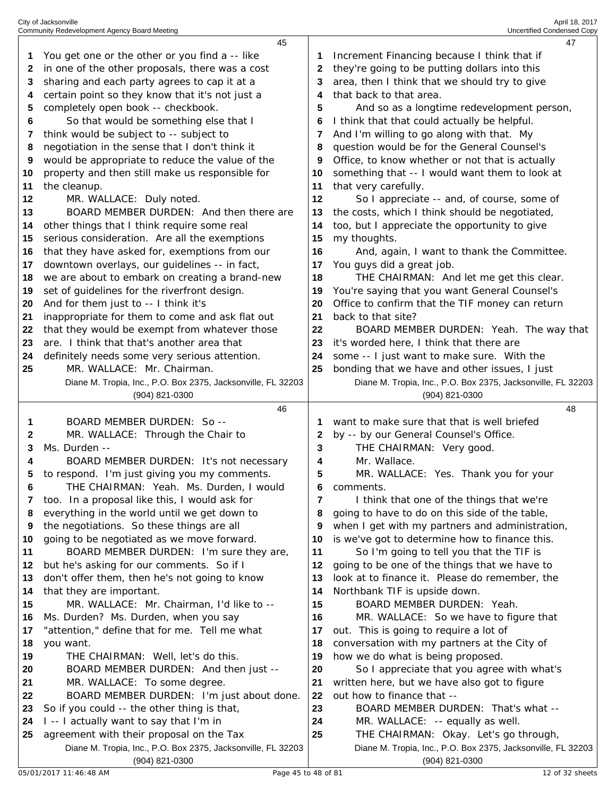|    | 45                                                                                                       |    |                                                                                                       | 47 |
|----|----------------------------------------------------------------------------------------------------------|----|-------------------------------------------------------------------------------------------------------|----|
| 1  | You get one or the other or you find a -- like                                                           |    | Increment Financing because I think that if                                                           |    |
| 2  | in one of the other proposals, there was a cost                                                          | 2  | they're going to be putting dollars into this                                                         |    |
| 3  | sharing and each party agrees to cap it at a                                                             | 3  | area, then I think that we should try to give                                                         |    |
| 4  | certain point so they know that it's not just a                                                          | 4  | that back to that area.                                                                               |    |
| 5  | completely open book -- checkbook.                                                                       | 5  | And so as a longtime redevelopment person,                                                            |    |
| 6  | So that would be something else that I                                                                   | 6  | I think that that could actually be helpful.                                                          |    |
| 7  | think would be subject to -- subject to                                                                  | 7  | And I'm willing to go along with that. My                                                             |    |
| 8  | negotiation in the sense that I don't think it                                                           | 8  | question would be for the General Counsel's                                                           |    |
| 9  | would be appropriate to reduce the value of the                                                          | 9  | Office, to know whether or not that is actually                                                       |    |
| 10 | property and then still make us responsible for                                                          | 10 | something that -- I would want them to look at                                                        |    |
|    |                                                                                                          |    |                                                                                                       |    |
| 11 | the cleanup.                                                                                             | 11 | that very carefully.                                                                                  |    |
| 12 | MR. WALLACE: Duly noted.                                                                                 | 12 | So I appreciate -- and, of course, some of                                                            |    |
| 13 | BOARD MEMBER DURDEN: And then there are                                                                  | 13 | the costs, which I think should be negotiated,                                                        |    |
| 14 | other things that I think require some real                                                              | 14 | too, but I appreciate the opportunity to give                                                         |    |
| 15 | serious consideration. Are all the exemptions                                                            | 15 | my thoughts.                                                                                          |    |
| 16 | that they have asked for, exemptions from our                                                            | 16 | And, again, I want to thank the Committee.                                                            |    |
| 17 | downtown overlays, our guidelines -- in fact,                                                            | 17 | You guys did a great job.                                                                             |    |
| 18 | we are about to embark on creating a brand-new                                                           | 18 | THE CHAIRMAN: And let me get this clear.                                                              |    |
| 19 | set of guidelines for the riverfront design.                                                             | 19 | You're saying that you want General Counsel's                                                         |    |
| 20 | And for them just to -- I think it's                                                                     | 20 | Office to confirm that the TIF money can return                                                       |    |
| 21 | inappropriate for them to come and ask flat out                                                          | 21 | back to that site?                                                                                    |    |
| 22 | that they would be exempt from whatever those                                                            | 22 | BOARD MEMBER DURDEN: Yeah. The way that                                                               |    |
| 23 | are. I think that that's another area that                                                               | 23 | it's worded here, I think that there are                                                              |    |
| 24 | definitely needs some very serious attention.                                                            | 24 | some -- I just want to make sure. With the                                                            |    |
| 25 | MR. WALLACE: Mr. Chairman.                                                                               | 25 | bonding that we have and other issues, I just                                                         |    |
|    | Diane M. Tropia, Inc., P.O. Box 2375, Jacksonville, FL 32203                                             |    | Diane M. Tropia, Inc., P.O. Box 2375, Jacksonville, FL 32203                                          |    |
|    | (904) 821-0300                                                                                           |    |                                                                                                       |    |
|    |                                                                                                          |    | (904) 821-0300                                                                                        |    |
|    | 46                                                                                                       |    |                                                                                                       | 48 |
| 1  | BOARD MEMBER DURDEN: So --                                                                               | 1  | want to make sure that that is well briefed                                                           |    |
| 2  | MR. WALLACE: Through the Chair to                                                                        | 2  | by -- by our General Counsel's Office.                                                                |    |
| 3  | Ms. Durden --                                                                                            | 3  | THE CHAIRMAN: Very good.                                                                              |    |
| 4  | BOARD MEMBER DURDEN: It's not necessary                                                                  | 4  | Mr. Wallace.                                                                                          |    |
| 5  | to respond. I'm just giving you my comments.                                                             | 5  | MR. WALLACE: Yes. Thank you for your                                                                  |    |
| 6  | THE CHAIRMAN: Yeah. Ms. Durden, I would                                                                  | 6  | comments.                                                                                             |    |
| 7  | too. In a proposal like this, I would ask for                                                            | 7  | I think that one of the things that we're                                                             |    |
| 8  | everything in the world until we get down to                                                             | 8  | going to have to do on this side of the table,                                                        |    |
| 9  | the negotiations. So these things are all                                                                | 9  | when I get with my partners and administration,                                                       |    |
| 10 | going to be negotiated as we move forward.                                                               | 10 | is we've got to determine how to finance this.                                                        |    |
| 11 | BOARD MEMBER DURDEN: I'm sure they are,                                                                  | 11 | So I'm going to tell you that the TIF is                                                              |    |
| 12 | but he's asking for our comments. So if I                                                                | 12 | going to be one of the things that we have to                                                         |    |
| 13 | don't offer them, then he's not going to know                                                            | 13 | look at to finance it. Please do remember, the                                                        |    |
| 14 | that they are important.                                                                                 | 14 | Northbank TIF is upside down.                                                                         |    |
| 15 | MR. WALLACE: Mr. Chairman, I'd like to --                                                                | 15 | BOARD MEMBER DURDEN: Yeah.                                                                            |    |
| 16 | Ms. Durden? Ms. Durden, when you say                                                                     | 16 | MR. WALLACE: So we have to figure that                                                                |    |
| 17 | "attention," define that for me. Tell me what                                                            | 17 | out. This is going to require a lot of                                                                |    |
| 18 | you want.                                                                                                | 18 | conversation with my partners at the City of                                                          |    |
| 19 | THE CHAIRMAN: Well, let's do this.                                                                       | 19 | how we do what is being proposed.                                                                     |    |
| 20 | BOARD MEMBER DURDEN: And then just --                                                                    | 20 | So I appreciate that you agree with what's                                                            |    |
| 21 | MR. WALLACE: To some degree.                                                                             | 21 | written here, but we have also got to figure                                                          |    |
| 22 | BOARD MEMBER DURDEN: I'm just about done.                                                                | 22 | out how to finance that --                                                                            |    |
| 23 | So if you could -- the other thing is that,                                                              | 23 | BOARD MEMBER DURDEN: That's what --                                                                   |    |
| 24 | I -- I actually want to say that I'm in                                                                  | 24 | MR. WALLACE: -- equally as well.                                                                      |    |
| 25 | agreement with their proposal on the Tax<br>Diane M. Tropia, Inc., P.O. Box 2375, Jacksonville, FL 32203 | 25 | THE CHAIRMAN: Okay. Let's go through,<br>Diane M. Tropia, Inc., P.O. Box 2375, Jacksonville, FL 32203 |    |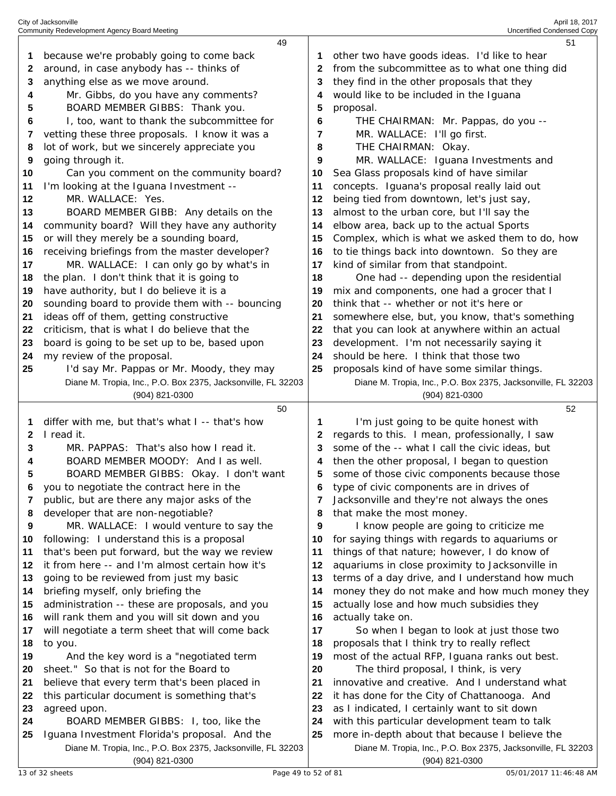|          | 49                                                                                    |          | 51                                                                                              |
|----------|---------------------------------------------------------------------------------------|----------|-------------------------------------------------------------------------------------------------|
| 1        | because we're probably going to come back                                             |          | other two have goods ideas. I'd like to hear                                                    |
| 2        | around, in case anybody has -- thinks of                                              | 2        | from the subcommittee as to what one thing did                                                  |
| 3        | anything else as we move around.                                                      | З        | they find in the other proposals that they                                                      |
| 4        | Mr. Gibbs, do you have any comments?                                                  | 4        | would like to be included in the Iguana                                                         |
| 5        | BOARD MEMBER GIBBS: Thank you.                                                        | 5        | proposal.                                                                                       |
| 6        | I, too, want to thank the subcommittee for                                            | 6        | THE CHAIRMAN: Mr. Pappas, do you --                                                             |
| 7        | vetting these three proposals. I know it was a                                        | 7        | MR. WALLACE: I'll go first.                                                                     |
| 8        | lot of work, but we sincerely appreciate you                                          | 8        | THE CHAIRMAN: Okay.                                                                             |
| 9        | going through it.                                                                     | 9        | MR. WALLACE: Iguana Investments and                                                             |
| 10       | Can you comment on the community board?                                               | 10       | Sea Glass proposals kind of have similar                                                        |
| 11       | I'm looking at the Iguana Investment --                                               | 11       | concepts. Iguana's proposal really laid out                                                     |
| 12       | MR. WALLACE: Yes.                                                                     | 12       | being tied from downtown, let's just say,                                                       |
| 13       | BOARD MEMBER GIBB: Any details on the                                                 | 13       | almost to the urban core, but I'll say the                                                      |
| 14       | community board? Will they have any authority                                         | 14       | elbow area, back up to the actual Sports                                                        |
|          | or will they merely be a sounding board,                                              | 15       | Complex, which is what we asked them to do, how                                                 |
| 15       |                                                                                       |          |                                                                                                 |
| 16       | receiving briefings from the master developer?                                        | 16       | to tie things back into downtown. So they are                                                   |
| 17       | MR. WALLACE: I can only go by what's in                                               | 17       | kind of similar from that standpoint.                                                           |
| 18       | the plan. I don't think that it is going to                                           | 18       | One had -- depending upon the residential                                                       |
| 19       | have authority, but I do believe it is a                                              | 19       | mix and components, one had a grocer that I                                                     |
| 20       | sounding board to provide them with -- bouncing                                       | 20       | think that -- whether or not it's here or                                                       |
| 21       | ideas off of them, getting constructive                                               | 21       | somewhere else, but, you know, that's something                                                 |
| 22       | criticism, that is what I do believe that the                                         | 22       | that you can look at anywhere within an actual                                                  |
| 23       | board is going to be set up to be, based upon                                         | 23       | development. I'm not necessarily saying it                                                      |
| 24       | my review of the proposal.                                                            | 24       | should be here. I think that those two                                                          |
| 25       | I'd say Mr. Pappas or Mr. Moody, they may                                             | 25       | proposals kind of have some similar things.                                                     |
|          | Diane M. Tropia, Inc., P.O. Box 2375, Jacksonville, FL 32203                          |          | Diane M. Tropia, Inc., P.O. Box 2375, Jacksonville, FL 32203                                    |
|          | (904) 821-0300                                                                        |          | (904) 821-0300                                                                                  |
|          |                                                                                       |          |                                                                                                 |
|          | 50                                                                                    |          | 52                                                                                              |
| 1        | differ with me, but that's what I -- that's how                                       | 1        | I'm just going to be quite honest with                                                          |
| 2        | I read it.                                                                            | 2        | regards to this. I mean, professionally, I saw                                                  |
| 3        | MR. PAPPAS: That's also how I read it.                                                | 3        | some of the -- what I call the civic ideas, but                                                 |
| 4        | BOARD MEMBER MOODY: And I as well.                                                    | 4        | then the other proposal, I began to question                                                    |
| 5        | BOARD MEMBER GIBBS: Okay. I don't want                                                | 5        | some of those civic components because those                                                    |
|          | you to negotiate the contract here in the                                             |          | type of civic components are in drives of                                                       |
| 7        | public, but are there any major asks of the                                           | 7        | Jacksonville and they're not always the ones                                                    |
| 8        | developer that are non-negotiable?                                                    | 8        | that make the most money.                                                                       |
| 9        | MR. WALLACE: I would venture to say the                                               | 9        | I know people are going to criticize me                                                         |
| 10       | following: I understand this is a proposal                                            | 10       | for saying things with regards to aquariums or                                                  |
| 11       | that's been put forward, but the way we review                                        | 11       | things of that nature; however, I do know of                                                    |
| 12       | it from here -- and I'm almost certain how it's                                       | 12       | aquariums in close proximity to Jacksonville in                                                 |
| 13       | going to be reviewed from just my basic                                               | 13       | terms of a day drive, and I understand how much                                                 |
| 14       | briefing myself, only briefing the                                                    | 14       | money they do not make and how much money they                                                  |
| 15       | administration -- these are proposals, and you                                        | 15       | actually lose and how much subsidies they                                                       |
| 16       | will rank them and you will sit down and you                                          | 16       | actually take on.                                                                               |
| 17       | will negotiate a term sheet that will come back                                       | 17       | So when I began to look at just those two                                                       |
| 18       | to you.                                                                               | 18       | proposals that I think try to really reflect                                                    |
| 19       | And the key word is a "negotiated term                                                | 19       | most of the actual RFP, Iguana ranks out best.                                                  |
| 20       | sheet." So that is not for the Board to                                               | 20       | The third proposal, I think, is very                                                            |
| 21       | believe that every term that's been placed in                                         | 21       | innovative and creative. And I understand what                                                  |
| 22       | this particular document is something that's                                          | 22       | it has done for the City of Chattanooga. And                                                    |
| 23       | agreed upon.                                                                          | 23       | as I indicated, I certainly want to sit down                                                    |
| 24<br>25 | BOARD MEMBER GIBBS: I, too, like the<br>Iguana Investment Florida's proposal. And the | 24<br>25 | with this particular development team to talk<br>more in-depth about that because I believe the |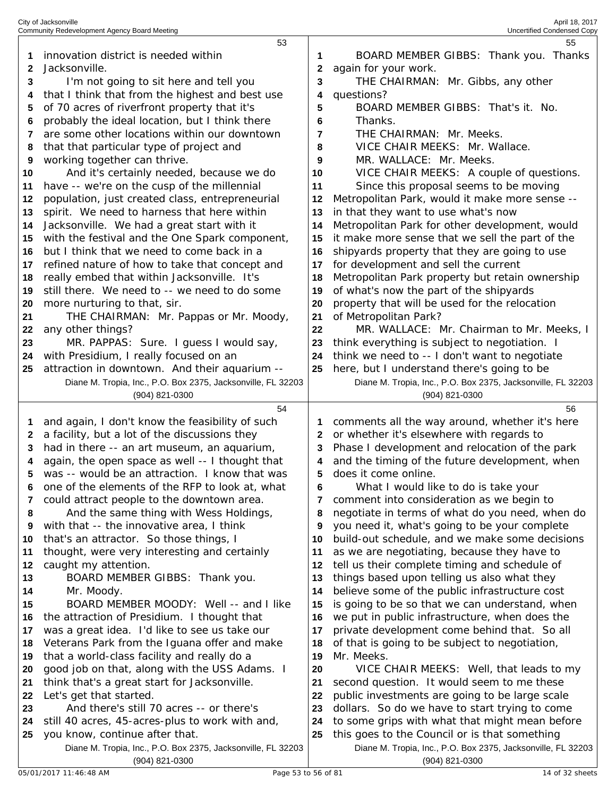| 1        | innovation district is needed within                                                      | 1        | BOARD MEMBER GIBBS: Thank you. Thanks                                                           |
|----------|-------------------------------------------------------------------------------------------|----------|-------------------------------------------------------------------------------------------------|
| 2<br>3   | Jacksonville.                                                                             | 2<br>3   | again for your work.                                                                            |
|          | I'm not going to sit here and tell you<br>that I think that from the highest and best use |          | THE CHAIRMAN: Mr. Gibbs, any other<br>questions?                                                |
| 4<br>5   | of 70 acres of riverfront property that it's                                              | 4<br>5   | BOARD MEMBER GIBBS: That's it. No.                                                              |
| 6        | probably the ideal location, but I think there                                            | 6        | Thanks.                                                                                         |
| 7        | are some other locations within our downtown                                              | 7        | THE CHAIRMAN: Mr. Meeks.                                                                        |
| 8        | that that particular type of project and                                                  | 8        | VICE CHAIR MEEKS: Mr. Wallace.                                                                  |
| 9        | working together can thrive.                                                              | 9        | MR. WALLACE: Mr. Meeks.                                                                         |
| 10       | And it's certainly needed, because we do                                                  | 10       | VICE CHAIR MEEKS: A couple of questions.                                                        |
| 11       | have -- we're on the cusp of the millennial                                               | 11       | Since this proposal seems to be moving                                                          |
| 12       | population, just created class, entrepreneurial                                           | 12       | Metropolitan Park, would it make more sense --                                                  |
| 13       | spirit. We need to harness that here within                                               | 13       | in that they want to use what's now                                                             |
| 14       | Jacksonville. We had a great start with it                                                | 14       | Metropolitan Park for other development, would                                                  |
| 15       | with the festival and the One Spark component,                                            | 15       | it make more sense that we sell the part of the                                                 |
| 16       | but I think that we need to come back in a                                                | 16       | shipyards property that they are going to use                                                   |
| 17       | refined nature of how to take that concept and                                            | 17       | for development and sell the current                                                            |
| 18       | really embed that within Jacksonville. It's                                               | 18       | Metropolitan Park property but retain ownership                                                 |
| 19       | still there. We need to -- we need to do some                                             | 19       | of what's now the part of the shipyards                                                         |
| 20       | more nurturing to that, sir.                                                              | 20       | property that will be used for the relocation                                                   |
| 21       | THE CHAIRMAN: Mr. Pappas or Mr. Moody,                                                    | 21       | of Metropolitan Park?                                                                           |
| 22       | any other things?                                                                         | 22       | MR. WALLACE: Mr. Chairman to Mr. Meeks, I                                                       |
| 23       | MR. PAPPAS: Sure. I guess I would say,                                                    | 23       | think everything is subject to negotiation. I                                                   |
| 24       | with Presidium, I really focused on an                                                    | 24       | think we need to -- I don't want to negotiate                                                   |
| 25       | attraction in downtown. And their aquarium --                                             | 25       | here, but I understand there's going to be                                                      |
|          | Diane M. Tropia, Inc., P.O. Box 2375, Jacksonville, FL 32203                              |          | Diane M. Tropia, Inc., P.O. Box 2375, Jacksonville, FL 32203                                    |
|          | (904) 821-0300                                                                            |          | (904) 821-0300                                                                                  |
|          |                                                                                           |          |                                                                                                 |
|          | 54                                                                                        |          | 56                                                                                              |
| 1        | and again, I don't know the feasibility of such                                           | 1        | comments all the way around, whether it's here                                                  |
| 2        | a facility, but a lot of the discussions they                                             | 2        | or whether it's elsewhere with regards to                                                       |
| 3        | had in there -- an art museum, an aquarium,                                               | 3        | Phase I development and relocation of the park                                                  |
| 4        | again, the open space as well -- I thought that                                           | 4        | and the timing of the future development, when                                                  |
| 5        | was -- would be an attraction. I know that was                                            | 5        | does it come online.                                                                            |
| 6        | one of the elements of the RFP to look at, what                                           | 6        | What I would like to do is take your                                                            |
|          | could attract people to the downtown area.                                                |          | comment into consideration as we begin to                                                       |
| 8        | And the same thing with Wess Holdings,                                                    | 8        | negotiate in terms of what do you need, when do                                                 |
| 9        | with that -- the innovative area, I think                                                 | 9        | you need it, what's going to be your complete                                                   |
| 10       | that's an attractor. So those things, I                                                   | 10       | build-out schedule, and we make some decisions                                                  |
| 11       | thought, were very interesting and certainly                                              | 11       | as we are negotiating, because they have to                                                     |
| 12       | caught my attention.                                                                      | 12       | tell us their complete timing and schedule of                                                   |
| 13       | BOARD MEMBER GIBBS: Thank you.                                                            | 13       | things based upon telling us also what they                                                     |
| 14       | Mr. Moody.                                                                                | 14       | believe some of the public infrastructure cost                                                  |
| 15       | BOARD MEMBER MOODY: Well -- and I like                                                    | 15       | is going to be so that we can understand, when                                                  |
| 16       | the attraction of Presidium. I thought that                                               | 16       | we put in public infrastructure, when does the                                                  |
| 17       | was a great idea. I'd like to see us take our                                             | 17       | private development come behind that. So all                                                    |
| 18       | Veterans Park from the Iguana offer and make                                              | 18       | of that is going to be subject to negotiation,                                                  |
| 19       | that a world-class facility and really do a                                               | 19       | Mr. Meeks.                                                                                      |
| 20       | good job on that, along with the USS Adams. I                                             | 20       | VICE CHAIR MEEKS: Well, that leads to my                                                        |
| 21       | think that's a great start for Jacksonville.                                              | 21       | second question. It would seem to me these                                                      |
| 22       | Let's get that started.                                                                   | 22       | public investments are going to be large scale                                                  |
| 23       | And there's still 70 acres -- or there's                                                  | 23       | dollars. So do we have to start trying to come                                                  |
| 24<br>25 | still 40 acres, 45-acres-plus to work with and,<br>you know, continue after that.         | 24<br>25 | to some grips with what that might mean before<br>this goes to the Council or is that something |

Diane M. Tropia, Inc., P.O. Box 2375, Jacksonville, FL 32203 (904) 821-0300

City of Jacksonville April 18, 2017 Community Redevelopment Agency Board Meeting Uncertified Condensed Copy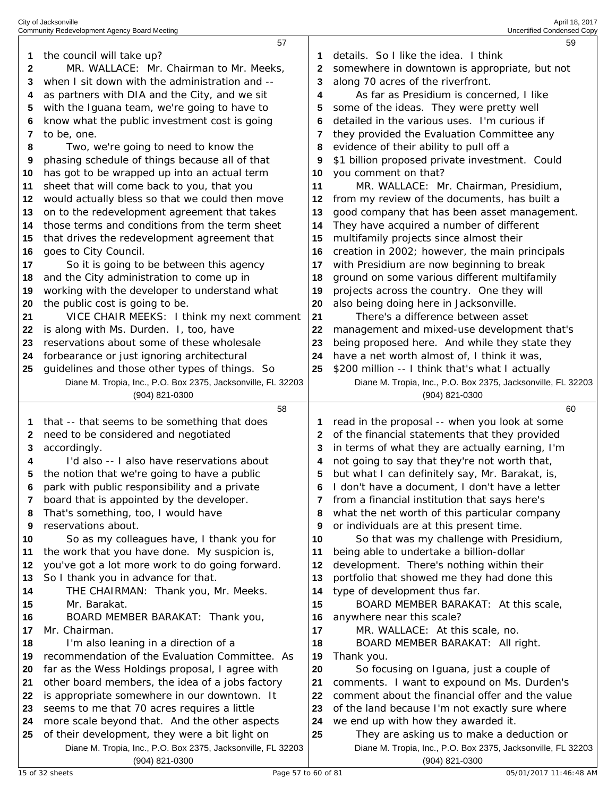|    | 57                                                                             |    | 59                                                                             |
|----|--------------------------------------------------------------------------------|----|--------------------------------------------------------------------------------|
| 1  | the council will take up?                                                      |    | details. So I like the idea. I think                                           |
| 2  | MR. WALLACE: Mr. Chairman to Mr. Meeks,                                        | 2  | somewhere in downtown is appropriate, but not                                  |
| 3  | when I sit down with the administration and --                                 | 3  | along 70 acres of the riverfront.                                              |
| 4  | as partners with DIA and the City, and we sit                                  | 4  | As far as Presidium is concerned, I like                                       |
| 5  | with the Iguana team, we're going to have to                                   | 5  | some of the ideas. They were pretty well                                       |
| 6  | know what the public investment cost is going                                  | 6  | detailed in the various uses. I'm curious if                                   |
| 7  | to be, one.                                                                    | 7  | they provided the Evaluation Committee any                                     |
| 8  | Two, we're going to need to know the                                           | 8  | evidence of their ability to pull off a                                        |
| 9  | phasing schedule of things because all of that                                 | 9  | \$1 billion proposed private investment. Could                                 |
| 10 | has got to be wrapped up into an actual term                                   | 10 | you comment on that?                                                           |
| 11 | sheet that will come back to you, that you                                     | 11 | MR. WALLACE: Mr. Chairman, Presidium,                                          |
| 12 | would actually bless so that we could then move                                | 12 | from my review of the documents, has built a                                   |
| 13 | on to the redevelopment agreement that takes                                   | 13 | good company that has been asset management.                                   |
| 14 | those terms and conditions from the term sheet                                 | 14 | They have acquired a number of different                                       |
| 15 | that drives the redevelopment agreement that                                   | 15 | multifamily projects since almost their                                        |
| 16 | goes to City Council.                                                          | 16 | creation in 2002; however, the main principals                                 |
| 17 | So it is going to be between this agency                                       | 17 | with Presidium are now beginning to break                                      |
| 18 | and the City administration to come up in                                      | 18 | ground on some various different multifamily                                   |
| 19 | working with the developer to understand what                                  | 19 | projects across the country. One they will                                     |
| 20 | the public cost is going to be.                                                | 20 | also being doing here in Jacksonville.                                         |
| 21 | VICE CHAIR MEEKS: I think my next comment                                      | 21 | There's a difference between asset                                             |
| 22 | is along with Ms. Durden. I, too, have                                         | 22 | management and mixed-use development that's                                    |
| 23 | reservations about some of these wholesale                                     | 23 | being proposed here. And while they state they                                 |
| 24 | forbearance or just ignoring architectural                                     | 24 | have a net worth almost of, I think it was,                                    |
| 25 | guidelines and those other types of things. So                                 | 25 | \$200 million -- I think that's what I actually                                |
|    | Diane M. Tropia, Inc., P.O. Box 2375, Jacksonville, FL 32203                   |    | Diane M. Tropia, Inc., P.O. Box 2375, Jacksonville, FL 32203                   |
|    | (904) 821-0300                                                                 |    | (904) 821-0300                                                                 |
|    |                                                                                |    |                                                                                |
|    | 58                                                                             |    | 60                                                                             |
| 1  | that -- that seems to be something that does                                   |    | read in the proposal -- when you look at some                                  |
| 2  | need to be considered and negotiated                                           | 2  | of the financial statements that they provided                                 |
| 3  | accordingly.                                                                   | 3  | in terms of what they are actually earning, I'm                                |
| 4  | I'd also -- I also have reservations about                                     | 4  | not going to say that they're not worth that,                                  |
| 5  | the notion that we're going to have a public                                   | 5  | but what I can definitely say, Mr. Barakat, is,                                |
|    | park with public responsibility and a private                                  | 6  | I don't have a document, I don't have a letter                                 |
| 7  | board that is appointed by the developer.                                      | 7  | from a financial institution that says here's                                  |
| 8  | That's something, too, I would have                                            | 8  | what the net worth of this particular company                                  |
| 9  | reservations about.                                                            | 9  | or individuals are at this present time.                                       |
| 10 | So as my colleagues have, I thank you for                                      | 10 | So that was my challenge with Presidium,                                       |
| 11 | the work that you have done. My suspicion is,                                  | 11 | being able to undertake a billion-dollar                                       |
| 12 | you've got a lot more work to do going forward.                                | 12 | development. There's nothing within their                                      |
| 13 | So I thank you in advance for that.                                            | 13 | portfolio that showed me they had done this                                    |
| 14 | THE CHAIRMAN: Thank you, Mr. Meeks.                                            | 14 | type of development thus far.                                                  |
| 15 | Mr. Barakat.                                                                   | 15 | BOARD MEMBER BARAKAT: At this scale,                                           |
| 16 | BOARD MEMBER BARAKAT: Thank you,                                               | 16 | anywhere near this scale?                                                      |
| 17 | Mr. Chairman.                                                                  | 17 | MR. WALLACE: At this scale, no.                                                |
| 18 | I'm also leaning in a direction of a                                           | 18 | BOARD MEMBER BARAKAT: All right.                                               |
| 19 | recommendation of the Evaluation Committee. As                                 | 19 | Thank you.                                                                     |
| 20 | far as the Wess Holdings proposal, I agree with                                | 20 | So focusing on Iguana, just a couple of                                        |
| 21 | other board members, the idea of a jobs factory                                | 21 | comments. I want to expound on Ms. Durden's                                    |
| 22 | is appropriate somewhere in our downtown. It                                   | 22 | comment about the financial offer and the value                                |
| 23 | seems to me that 70 acres requires a little                                    | 23 | of the land because I'm not exactly sure where                                 |
| 24 | more scale beyond that. And the other aspects                                  | 24 | we end up with how they awarded it.                                            |
| 25 | of their development, they were a bit light on                                 | 25 | They are asking us to make a deduction or                                      |
|    | Diane M. Tropia, Inc., P.O. Box 2375, Jacksonville, FL 32203<br>(904) 821-0300 |    | Diane M. Tropia, Inc., P.O. Box 2375, Jacksonville, FL 32203<br>(904) 821-0300 |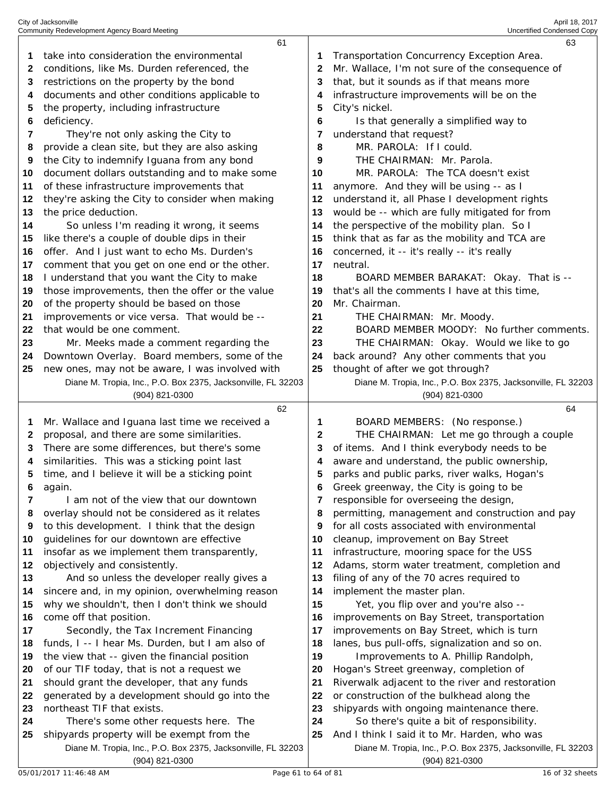|        | 61                                                                                                         |        | 63                                                                                                           |
|--------|------------------------------------------------------------------------------------------------------------|--------|--------------------------------------------------------------------------------------------------------------|
| 1      | take into consideration the environmental                                                                  | 1      | Transportation Concurrency Exception Area.                                                                   |
| 2      | conditions, like Ms. Durden referenced, the                                                                | 2      | Mr. Wallace, I'm not sure of the consequence of                                                              |
| 3      | restrictions on the property by the bond                                                                   | 3      | that, but it sounds as if that means more                                                                    |
| 4      | documents and other conditions applicable to                                                               | 4      | infrastructure improvements will be on the                                                                   |
| 5      | the property, including infrastructure                                                                     | 5      | City's nickel.                                                                                               |
| 6      | deficiency.                                                                                                | 6      | Is that generally a simplified way to                                                                        |
| 7      | They're not only asking the City to                                                                        | 7      | understand that request?                                                                                     |
| 8      | provide a clean site, but they are also asking                                                             | 8      | MR. PAROLA: If I could.                                                                                      |
| 9      | the City to indemnify Iguana from any bond                                                                 | 9      | THE CHAIRMAN: Mr. Parola.                                                                                    |
| 10     | document dollars outstanding and to make some                                                              | 10     | MR. PAROLA: The TCA doesn't exist                                                                            |
| 11     | of these infrastructure improvements that                                                                  | 11     | anymore. And they will be using -- as I                                                                      |
| 12     | they're asking the City to consider when making                                                            | 12     | understand it, all Phase I development rights                                                                |
| 13     | the price deduction.                                                                                       | 13     | would be -- which are fully mitigated for from                                                               |
| 14     | So unless I'm reading it wrong, it seems                                                                   | 14     | the perspective of the mobility plan. So I                                                                   |
| 15     | like there's a couple of double dips in their                                                              | 15     | think that as far as the mobility and TCA are                                                                |
| 16     | offer. And I just want to echo Ms. Durden's                                                                | 16     | concerned, it -- it's really -- it's really                                                                  |
| 17     | comment that you get on one end or the other.                                                              | 17     | neutral.                                                                                                     |
| 18     | I understand that you want the City to make                                                                | 18     | BOARD MEMBER BARAKAT: Okay. That is --                                                                       |
| 19     | those improvements, then the offer or the value                                                            | 19     | that's all the comments I have at this time,                                                                 |
| 20     | of the property should be based on those                                                                   | 20     | Mr. Chairman.                                                                                                |
| 21     | improvements or vice versa. That would be --                                                               | 21     | THE CHAIRMAN: Mr. Moody.                                                                                     |
| 22     | that would be one comment.                                                                                 | 22     | BOARD MEMBER MOODY: No further comments.                                                                     |
| 23     | Mr. Meeks made a comment regarding the                                                                     | 23     | THE CHAIRMAN: Okay. Would we like to go                                                                      |
| 24     | Downtown Overlay. Board members, some of the                                                               | 24     | back around? Any other comments that you                                                                     |
| 25     | new ones, may not be aware, I was involved with                                                            | 25     | thought of after we got through?                                                                             |
|        | Diane M. Tropia, Inc., P.O. Box 2375, Jacksonville, FL 32203                                               |        | Diane M. Tropia, Inc., P.O. Box 2375, Jacksonville, FL 32203                                                 |
|        | (904) 821-0300                                                                                             |        | (904) 821-0300                                                                                               |
|        |                                                                                                            |        |                                                                                                              |
|        | 62                                                                                                         |        | 64                                                                                                           |
| 1      | Mr. Wallace and Iguana last time we received a                                                             | 1      | BOARD MEMBERS: (No response.)                                                                                |
| 2      | proposal, and there are some similarities.                                                                 | 2      | THE CHAIRMAN: Let me go through a couple                                                                     |
| 3      | There are some differences, but there's some                                                               | 3      | of items. And I think everybody needs to be                                                                  |
| 4      | similarities. This was a sticking point last                                                               | 4      | aware and understand, the public ownership,                                                                  |
| 5      | time, and I believe it will be a sticking point                                                            | 5      | parks and public parks, river walks, Hogan's                                                                 |
|        | again.                                                                                                     |        | Greek greenway, the City is going to be                                                                      |
| 7<br>8 | I am not of the view that our downtown                                                                     | 7<br>8 | responsible for overseeing the design,                                                                       |
| 9      | overlay should not be considered as it relates                                                             | 9      | permitting, management and construction and pay                                                              |
| 10     | to this development. I think that the design                                                               | 10     | for all costs associated with environmental                                                                  |
| 11     | guidelines for our downtown are effective<br>insofar as we implement them transparently,                   | 11     | cleanup, improvement on Bay Street                                                                           |
| 12     | objectively and consistently.                                                                              | 12     | infrastructure, mooring space for the USS<br>Adams, storm water treatment, completion and                    |
| 13     |                                                                                                            | 13     | filing of any of the 70 acres required to                                                                    |
| 14     | And so unless the developer really gives a<br>sincere and, in my opinion, overwhelming reason              | 14     | implement the master plan.                                                                                   |
| 15     | why we shouldn't, then I don't think we should                                                             | 15     | Yet, you flip over and you're also --                                                                        |
| 16     | come off that position.                                                                                    | 16     | improvements on Bay Street, transportation                                                                   |
| 17     | Secondly, the Tax Increment Financing                                                                      | 17     | improvements on Bay Street, which is turn                                                                    |
| 18     | funds, I -- I hear Ms. Durden, but I am also of                                                            | 18     | lanes, bus pull-offs, signalization and so on.                                                               |
| 19     | the view that -- given the financial position                                                              | 19     | Improvements to A. Phillip Randolph,                                                                         |
| 20     | of our TIF today, that is not a request we                                                                 | 20     | Hogan's Street greenway, completion of                                                                       |
| 21     | should grant the developer, that any funds                                                                 | 21     | Riverwalk adjacent to the river and restoration                                                              |
| 22     | generated by a development should go into the                                                              | 22     | or construction of the bulkhead along the                                                                    |
| 23     | northeast TIF that exists.                                                                                 | 23     | shipyards with ongoing maintenance there.                                                                    |
| 24     | There's some other requests here. The                                                                      | 24     | So there's quite a bit of responsibility.                                                                    |
| 25     | shipyards property will be exempt from the<br>Diane M. Tropia, Inc., P.O. Box 2375, Jacksonville, FL 32203 | 25     | And I think I said it to Mr. Harden, who was<br>Diane M. Tropia, Inc., P.O. Box 2375, Jacksonville, FL 32203 |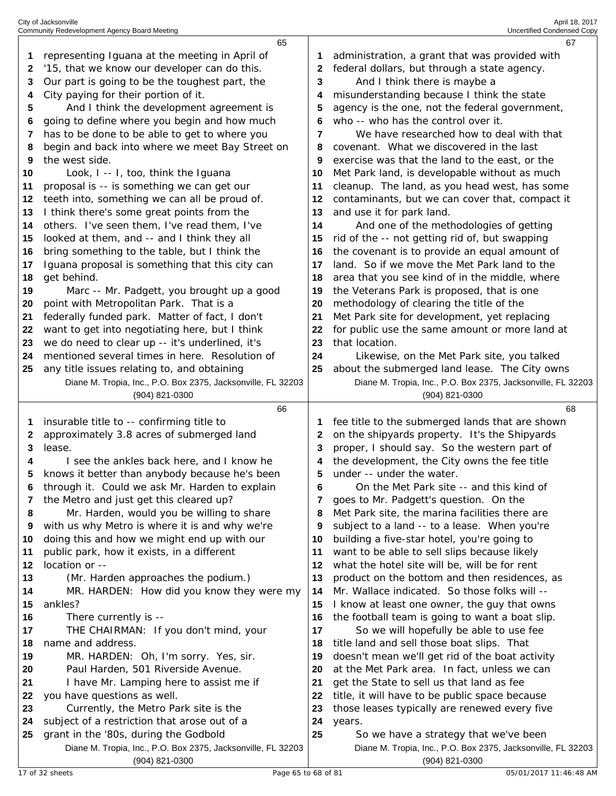|    | 65                                                                                                    |    | 67                                                                                                    |
|----|-------------------------------------------------------------------------------------------------------|----|-------------------------------------------------------------------------------------------------------|
| 1  | representing Iguana at the meeting in April of                                                        |    | administration, a grant that was provided with                                                        |
| 2  | '15, that we know our developer can do this.                                                          | 2  | federal dollars, but through a state agency.                                                          |
| 3  | Our part is going to be the toughest part, the                                                        | 3  | And I think there is maybe a                                                                          |
| 4  | City paying for their portion of it.                                                                  | 4  | misunderstanding because I think the state                                                            |
| 5  | And I think the development agreement is                                                              | 5  | agency is the one, not the federal government,                                                        |
| 6  | going to define where you begin and how much                                                          | 6  | who -- who has the control over it.                                                                   |
| 7  | has to be done to be able to get to where you                                                         | 7  | We have researched how to deal with that                                                              |
| 8  | begin and back into where we meet Bay Street on                                                       | 8  | covenant. What we discovered in the last                                                              |
| 9  | the west side.                                                                                        | 9  | exercise was that the land to the east, or the                                                        |
| 10 | Look, I -- I, too, think the Iguana                                                                   | 10 | Met Park land, is developable without as much                                                         |
|    | proposal is -- is something we can get our                                                            | 11 | cleanup. The land, as you head west, has some                                                         |
| 11 |                                                                                                       |    |                                                                                                       |
| 12 | teeth into, something we can all be proud of.                                                         | 12 | contaminants, but we can cover that, compact it                                                       |
| 13 | I think there's some great points from the                                                            | 13 | and use it for park land.                                                                             |
| 14 | others. I've seen them, I've read them, I've                                                          | 14 | And one of the methodologies of getting                                                               |
| 15 | looked at them, and -- and I think they all                                                           | 15 | rid of the -- not getting rid of, but swapping                                                        |
| 16 | bring something to the table, but I think the                                                         | 16 | the covenant is to provide an equal amount of                                                         |
| 17 | Iguana proposal is something that this city can                                                       | 17 | land. So if we move the Met Park land to the                                                          |
| 18 | get behind.                                                                                           | 18 | area that you see kind of in the middle, where                                                        |
| 19 | Marc -- Mr. Padgett, you brought up a good                                                            | 19 | the Veterans Park is proposed, that is one                                                            |
| 20 | point with Metropolitan Park. That is a                                                               | 20 | methodology of clearing the title of the                                                              |
| 21 | federally funded park. Matter of fact, I don't                                                        | 21 | Met Park site for development, yet replacing                                                          |
| 22 | want to get into negotiating here, but I think                                                        | 22 | for public use the same amount or more land at                                                        |
| 23 | we do need to clear up -- it's underlined, it's                                                       | 23 | that location.                                                                                        |
| 24 | mentioned several times in here. Resolution of                                                        | 24 | Likewise, on the Met Park site, you talked                                                            |
| 25 | any title issues relating to, and obtaining                                                           | 25 | about the submerged land lease. The City owns                                                         |
|    | Diane M. Tropia, Inc., P.O. Box 2375, Jacksonville, FL 32203                                          |    | Diane M. Tropia, Inc., P.O. Box 2375, Jacksonville, FL 32203                                          |
|    |                                                                                                       |    |                                                                                                       |
|    | (904) 821-0300                                                                                        |    | $(904)$ 821-0300                                                                                      |
|    | 66                                                                                                    |    | 68                                                                                                    |
| 1  | insurable title to -- confirming title to                                                             | 1  | fee title to the submerged lands that are shown                                                       |
| 2  | approximately 3.8 acres of submerged land                                                             | 2  | on the shipyards property. It's the Shipyards                                                         |
| 3  | lease.                                                                                                | З  | proper, I should say. So the western part of                                                          |
| 4  | I see the ankles back here, and I know he                                                             | 4  | the development, the City owns the fee title                                                          |
| 5  | knows it better than anybody because he's been                                                        | 5  | under -- under the water.                                                                             |
| 6  | through it. Could we ask Mr. Harden to explain                                                        | 6  | On the Met Park site -- and this kind of                                                              |
| 7  | the Metro and just get this cleared up?                                                               | 7  | goes to Mr. Padgett's question. On the                                                                |
| 8  | Mr. Harden, would you be willing to share                                                             | 8  | Met Park site, the marina facilities there are                                                        |
| 9  | with us why Metro is where it is and why we're                                                        | 9  | subject to a land -- to a lease. When you're                                                          |
| 10 | doing this and how we might end up with our                                                           | 10 | building a five-star hotel, you're going to                                                           |
| 11 | public park, how it exists, in a different                                                            | 11 | want to be able to sell slips because likely                                                          |
| 12 | location or --                                                                                        | 12 | what the hotel site will be, will be for rent                                                         |
| 13 | (Mr. Harden approaches the podium.)                                                                   | 13 | product on the bottom and then residences, as                                                         |
| 14 | MR. HARDEN: How did you know they were my                                                             | 14 | Mr. Wallace indicated. So those folks will --                                                         |
| 15 | ankles?                                                                                               | 15 | I know at least one owner, the guy that owns                                                          |
| 16 | There currently is --                                                                                 | 16 | the football team is going to want a boat slip.                                                       |
| 17 | THE CHAIRMAN: If you don't mind, your                                                                 | 17 | So we will hopefully be able to use fee                                                               |
| 18 | name and address.                                                                                     | 18 | title land and sell those boat slips. That                                                            |
| 19 | MR. HARDEN: Oh, I'm sorry. Yes, sir.                                                                  | 19 | doesn't mean we'll get rid of the boat activity                                                       |
| 20 | Paul Harden, 501 Riverside Avenue.                                                                    | 20 | at the Met Park area. In fact, unless we can                                                          |
| 21 | I have Mr. Lamping here to assist me if                                                               | 21 | get the State to sell us that land as fee                                                             |
| 22 | you have questions as well.                                                                           | 22 | title, it will have to be public space because                                                        |
| 23 | Currently, the Metro Park site is the                                                                 | 23 | those leases typically are renewed every five                                                         |
| 24 | subject of a restriction that arose out of a                                                          | 24 | years.                                                                                                |
| 25 | grant in the '80s, during the Godbold<br>Diane M. Tropia, Inc., P.O. Box 2375, Jacksonville, FL 32203 | 25 | So we have a strategy that we've been<br>Diane M. Tropia, Inc., P.O. Box 2375, Jacksonville, FL 32203 |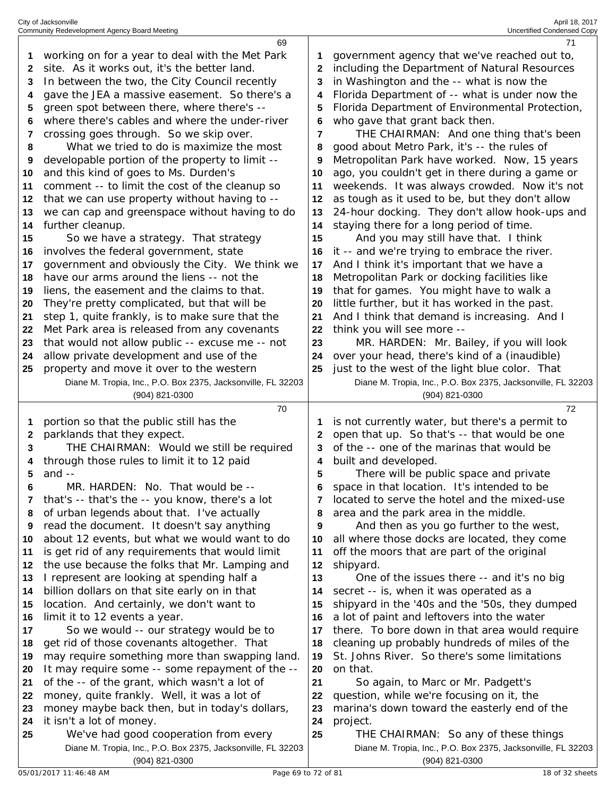| City of Jacksonville                         | April 18, 2017             |
|----------------------------------------------|----------------------------|
| Community Redevelopment Agency Board Meeting | Uncertified Condensed Copy |

|    | 69                                                           |    | 71                                                           |
|----|--------------------------------------------------------------|----|--------------------------------------------------------------|
| 1  | working on for a year to deal with the Met Park              |    | government agency that we've reached out to,                 |
| 2  | site. As it works out, it's the better land.                 | 2  | including the Department of Natural Resources                |
| 3  | In between the two, the City Council recently                | 3  | in Washington and the -- what is now the                     |
| 4  | gave the JEA a massive easement. So there's a                | 4  | Florida Department of -- what is under now the               |
| 5  | green spot between there, where there's --                   | 5  | Florida Department of Environmental Protection,              |
| 6  | where there's cables and where the under-river               | 6  | who gave that grant back then.                               |
| 7  | crossing goes through. So we skip over.                      | 7  | THE CHAIRMAN: And one thing that's been                      |
| 8  | What we tried to do is maximize the most                     | 8  | good about Metro Park, it's -- the rules of                  |
|    |                                                              |    |                                                              |
| 9  | developable portion of the property to limit --              | 9  | Metropolitan Park have worked. Now, 15 years                 |
| 10 | and this kind of goes to Ms. Durden's                        | 10 | ago, you couldn't get in there during a game or              |
| 11 | comment -- to limit the cost of the cleanup so               | 11 | weekends. It was always crowded. Now it's not                |
| 12 | that we can use property without having to --                | 12 | as tough as it used to be, but they don't allow              |
| 13 | we can cap and greenspace without having to do               | 13 | 24-hour docking. They don't allow hook-ups and               |
| 14 | further cleanup.                                             | 14 | staying there for a long period of time.                     |
| 15 | So we have a strategy. That strategy                         | 15 | And you may still have that. I think                         |
| 16 | involves the federal government, state                       | 16 | it -- and we're trying to embrace the river.                 |
| 17 | government and obviously the City. We think we               | 17 | And I think it's important that we have a                    |
| 18 | have our arms around the liens -- not the                    | 18 | Metropolitan Park or docking facilities like                 |
| 19 | liens, the easement and the claims to that.                  | 19 | that for games. You might have to walk a                     |
| 20 | They're pretty complicated, but that will be                 | 20 | little further, but it has worked in the past.               |
| 21 | step 1, quite frankly, is to make sure that the              | 21 | And I think that demand is increasing. And I                 |
| 22 | Met Park area is released from any covenants                 | 22 | think you will see more --                                   |
| 23 | that would not allow public -- excuse me -- not              | 23 | MR. HARDEN: Mr. Bailey, if you will look                     |
| 24 | allow private development and use of the                     | 24 | over your head, there's kind of a (inaudible)                |
| 25 | property and move it over to the western                     | 25 | just to the west of the light blue color. That               |
|    | Diane M. Tropia, Inc., P.O. Box 2375, Jacksonville, FL 32203 |    | Diane M. Tropia, Inc., P.O. Box 2375, Jacksonville, FL 32203 |
|    | (904) 821-0300                                               |    | (904) 821-0300                                               |
|    |                                                              |    |                                                              |
|    |                                                              |    |                                                              |
|    | 70                                                           |    | 72                                                           |
| 1  | portion so that the public still has the                     | 1  | is not currently water, but there's a permit to              |
| 2  | parklands that they expect.                                  | 2  | open that up. So that's -- that would be one                 |
| 3  | THE CHAIRMAN: Would we still be required                     | 3  | of the -- one of the marinas that would be                   |
|    | through those rules to limit it to 12 paid                   | 4  | built and developed.                                         |
| 5  | and $-$                                                      | 5  | There will be public space and private                       |
| 6  | MR. HARDEN: No. That would be --                             |    | space in that location. It's intended to be                  |
| 7  | that's -- that's the -- you know, there's a lot              | 7  | located to serve the hotel and the mixed-use                 |
| 8  | of urban legends about that. I've actually                   | 8  | area and the park area in the middle.                        |
| 9  | read the document. It doesn't say anything                   | 9  | And then as you go further to the west,                      |
| 10 | about 12 events, but what we would want to do                | 10 | all where those docks are located, they come                 |
| 11 | is get rid of any requirements that would limit              | 11 | off the moors that are part of the original                  |
| 12 | the use because the folks that Mr. Lamping and               | 12 | shipyard.                                                    |
| 13 | I represent are looking at spending half a                   | 13 | One of the issues there -- and it's no big                   |
| 14 | billion dollars on that site early on in that                | 14 | secret -- is, when it was operated as a                      |
| 15 | location. And certainly, we don't want to                    | 15 | shipyard in the '40s and the '50s, they dumped               |
| 16 | limit it to 12 events a year.                                | 16 | a lot of paint and leftovers into the water                  |
| 17 | So we would -- our strategy would be to                      | 17 | there. To bore down in that area would require               |
| 18 | get rid of those covenants altogether. That                  | 18 | cleaning up probably hundreds of miles of the                |
| 19 | may require something more than swapping land.               | 19 | St. Johns River. So there's some limitations                 |
| 20 | It may require some -- some repayment of the --              | 20 | on that.                                                     |
| 21 | of the -- of the grant, which wasn't a lot of                | 21 | So again, to Marc or Mr. Padgett's                           |
| 22 | money, quite frankly. Well, it was a lot of                  | 22 | question, while we're focusing on it, the                    |
| 23 | money maybe back then, but in today's dollars,               | 23 | marina's down toward the easterly end of the                 |
| 24 | it isn't a lot of money.                                     | 24 | project.                                                     |
| 25 | We've had good cooperation from every                        | 25 | THE CHAIRMAN: So any of these things                         |
|    | Diane M. Tropia, Inc., P.O. Box 2375, Jacksonville, FL 32203 |    | Diane M. Tropia, Inc., P.O. Box 2375, Jacksonville, FL 32203 |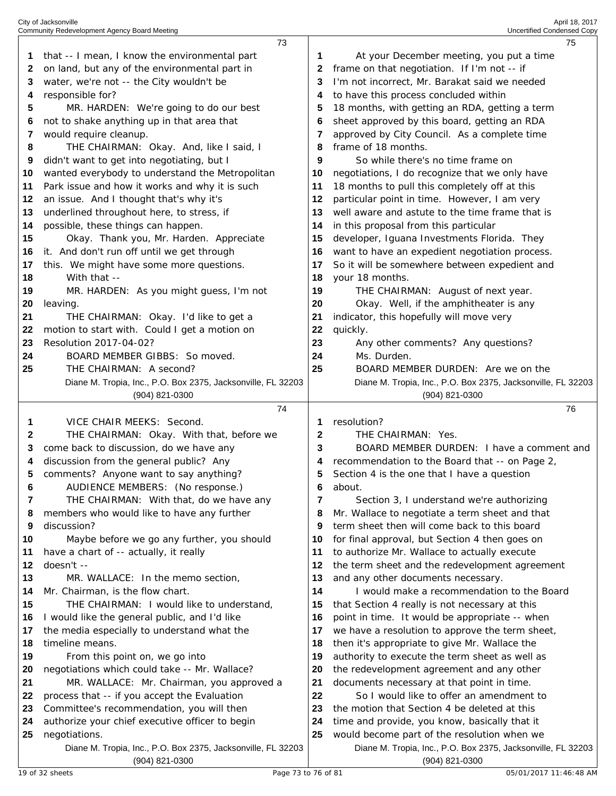|          | 73                                                                            |          | 75                                                                                                          |  |
|----------|-------------------------------------------------------------------------------|----------|-------------------------------------------------------------------------------------------------------------|--|
| 1.       | that -- I mean, I know the environmental part                                 | 1        | At your December meeting, you put a time                                                                    |  |
| 2        | on land, but any of the environmental part in                                 | 2        | frame on that negotiation. If I'm not -- if                                                                 |  |
| 3        | water, we're not -- the City wouldn't be                                      | 3        | I'm not incorrect, Mr. Barakat said we needed                                                               |  |
| 4        | responsible for?                                                              | 4        | to have this process concluded within                                                                       |  |
| 5        | MR. HARDEN: We're going to do our best                                        | 5        | 18 months, with getting an RDA, getting a term                                                              |  |
| 6        | not to shake anything up in that area that                                    | 6        | sheet approved by this board, getting an RDA                                                                |  |
| 7        | would require cleanup.                                                        | 7        | approved by City Council. As a complete time                                                                |  |
| 8        | THE CHAIRMAN: Okay. And, like I said, I                                       | 8        | frame of 18 months.                                                                                         |  |
| 9        | didn't want to get into negotiating, but I                                    | 9        | So while there's no time frame on                                                                           |  |
| 10       | wanted everybody to understand the Metropolitan                               | 10       | negotiations, I do recognize that we only have                                                              |  |
| 11       | Park issue and how it works and why it is such                                | 11       | 18 months to pull this completely off at this                                                               |  |
| 12       | an issue. And I thought that's why it's                                       | 12       | particular point in time. However, I am very                                                                |  |
| 13       | underlined throughout here, to stress, if                                     | 13       | well aware and astute to the time frame that is                                                             |  |
| 14       | possible, these things can happen.                                            | 14       | in this proposal from this particular                                                                       |  |
| 15       | Okay. Thank you, Mr. Harden. Appreciate                                       | 15       | developer, Iguana Investments Florida. They                                                                 |  |
| 16       | it. And don't run off until we get through                                    | 16       | want to have an expedient negotiation process.                                                              |  |
| 17       | this. We might have some more questions.                                      | 17       | So it will be somewhere between expedient and                                                               |  |
| 18       | With that --                                                                  | 18       | your 18 months.                                                                                             |  |
| 19       | MR. HARDEN: As you might guess, I'm not                                       | 19       | THE CHAIRMAN: August of next year.                                                                          |  |
| 20       | leaving.                                                                      | 20       | Okay. Well, if the amphitheater is any                                                                      |  |
| 21       | THE CHAIRMAN: Okay. I'd like to get a                                         | 21       | indicator, this hopefully will move very                                                                    |  |
| 22       | motion to start with. Could I get a motion on                                 | 22       | quickly.                                                                                                    |  |
| 23       | Resolution 2017-04-02?                                                        | 23       | Any other comments? Any questions?                                                                          |  |
| 24       | BOARD MEMBER GIBBS: So moved.                                                 | 24       | Ms. Durden.                                                                                                 |  |
| 25       | THE CHAIRMAN: A second?                                                       | 25       | BOARD MEMBER DURDEN: Are we on the                                                                          |  |
|          | Diane M. Tropia, Inc., P.O. Box 2375, Jacksonville, FL 32203                  |          | Diane M. Tropia, Inc., P.O. Box 2375, Jacksonville, FL 32203                                                |  |
|          | (904) 821-0300                                                                |          | (904) 821-0300                                                                                              |  |
|          |                                                                               |          |                                                                                                             |  |
|          | 74                                                                            |          | 76                                                                                                          |  |
| 1        | VICE CHAIR MEEKS: Second.                                                     | 1        | resolution?                                                                                                 |  |
| 2        | THE CHAIRMAN: Okay. With that, before we                                      | 2        | THE CHAIRMAN: Yes.                                                                                          |  |
| 3        | come back to discussion, do we have any                                       | 3        | BOARD MEMBER DURDEN: I have a comment and                                                                   |  |
| 4        | discussion from the general public? Any                                       | 4        | recommendation to the Board that -- on Page 2,                                                              |  |
| 5        | comments? Anyone want to say anything?                                        | 5        | Section 4 is the one that I have a question                                                                 |  |
| 6        | AUDIENCE MEMBERS: (No response.)                                              | 6        | about.                                                                                                      |  |
| 7        | THE CHAIRMAN: With that, do we have any                                       | 7        | Section 3, I understand we're authorizing                                                                   |  |
| 8        | members who would like to have any further                                    | 8        | Mr. Wallace to negotiate a term sheet and that                                                              |  |
| 9        | discussion?                                                                   | 9        | term sheet then will come back to this board                                                                |  |
| 10       | Maybe before we go any further, you should                                    | 10       | for final approval, but Section 4 then goes on                                                              |  |
| 11       | have a chart of -- actually, it really                                        | 11       | to authorize Mr. Wallace to actually execute                                                                |  |
| 12       | doesn't --                                                                    | 12       | the term sheet and the redevelopment agreement                                                              |  |
| 13       | MR. WALLACE: In the memo section,                                             | 13       | and any other documents necessary.                                                                          |  |
| 14       | Mr. Chairman, is the flow chart.                                              | 14       | I would make a recommendation to the Board                                                                  |  |
| 15       | THE CHAIRMAN: I would like to understand,                                     | 15       | that Section 4 really is not necessary at this                                                              |  |
| 16       | I would like the general public, and I'd like                                 | 16       | point in time. It would be appropriate -- when                                                              |  |
| 17       | the media especially to understand what the                                   | 17       | we have a resolution to approve the term sheet,                                                             |  |
| 18       | timeline means.                                                               | 18       | then it's appropriate to give Mr. Wallace the                                                               |  |
| 19       | From this point on, we go into                                                | 19       | authority to execute the term sheet as well as                                                              |  |
| 20       | negotiations which could take -- Mr. Wallace?                                 | 20       | the redevelopment agreement and any other                                                                   |  |
| 21       | MR. WALLACE: Mr. Chairman, you approved a                                     | 21       | documents necessary at that point in time.                                                                  |  |
| 22       | process that -- if you accept the Evaluation                                  | 22<br>23 | So I would like to offer an amendment to                                                                    |  |
| 23       | Committee's recommendation, you will then                                     | 24       | the motion that Section 4 be deleted at this                                                                |  |
| 24<br>25 | authorize your chief executive officer to begin                               | 25       | time and provide, you know, basically that it                                                               |  |
|          | negotiations.<br>Diane M. Tropia, Inc., P.O. Box 2375, Jacksonville, FL 32203 |          | would become part of the resolution when we<br>Diane M. Tropia, Inc., P.O. Box 2375, Jacksonville, FL 32203 |  |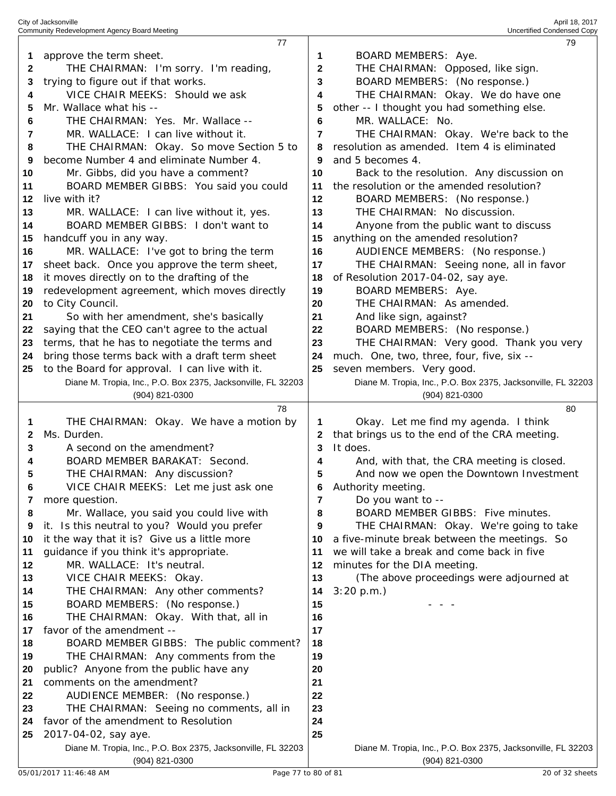| City of Jacksonville                         | April 18, 2017             |
|----------------------------------------------|----------------------------|
| Community Redevelopment Agency Board Meeting | Uncertified Condensed Copy |

|    | 77                                                                             |              | 79                                                                             |
|----|--------------------------------------------------------------------------------|--------------|--------------------------------------------------------------------------------|
| 1  | approve the term sheet.                                                        | 1            | BOARD MEMBERS: Aye.                                                            |
| 2  | THE CHAIRMAN: I'm sorry. I'm reading,                                          | $\mathbf{2}$ | THE CHAIRMAN: Opposed, like sign.                                              |
| 3  | trying to figure out if that works.                                            | 3            | BOARD MEMBERS: (No response.)                                                  |
| 4  | VICE CHAIR MEEKS: Should we ask                                                | 4            | THE CHAIRMAN: Okay. We do have one                                             |
|    |                                                                                |              |                                                                                |
| 5  | Mr. Wallace what his --                                                        | 5            | other -- I thought you had something else.                                     |
| 6  | THE CHAIRMAN: Yes. Mr. Wallace --                                              | 6            | MR. WALLACE: No.                                                               |
| 7  | MR. WALLACE: I can live without it.                                            | 7            | THE CHAIRMAN: Okay. We're back to the                                          |
| 8  | THE CHAIRMAN: Okay. So move Section 5 to                                       | 8            | resolution as amended. Item 4 is eliminated                                    |
| 9  | become Number 4 and eliminate Number 4.                                        | 9            | and 5 becomes 4.                                                               |
| 10 | Mr. Gibbs, did you have a comment?                                             | 10           | Back to the resolution. Any discussion on                                      |
| 11 | BOARD MEMBER GIBBS: You said you could                                         | 11           | the resolution or the amended resolution?                                      |
| 12 | live with it?                                                                  | 12           | BOARD MEMBERS: (No response.)                                                  |
| 13 | MR. WALLACE: I can live without it, yes.                                       | 13           | THE CHAIRMAN: No discussion.                                                   |
| 14 | BOARD MEMBER GIBBS: I don't want to                                            | 14           | Anyone from the public want to discuss                                         |
| 15 | handcuff you in any way.                                                       | 15           | anything on the amended resolution?                                            |
| 16 | MR. WALLACE: I've got to bring the term                                        | 16           | AUDIENCE MEMBERS: (No response.)                                               |
|    |                                                                                |              |                                                                                |
| 17 | sheet back. Once you approve the term sheet,                                   | 17           | THE CHAIRMAN: Seeing none, all in favor                                        |
| 18 | it moves directly on to the drafting of the                                    | 18           | of Resolution 2017-04-02, say aye.                                             |
| 19 | redevelopment agreement, which moves directly                                  | 19           | BOARD MEMBERS: Aye.                                                            |
| 20 | to City Council.                                                               | 20           | THE CHAIRMAN: As amended.                                                      |
| 21 | So with her amendment, she's basically                                         | 21           | And like sign, against?                                                        |
| 22 | saying that the CEO can't agree to the actual                                  | 22           | BOARD MEMBERS: (No response.)                                                  |
| 23 | terms, that he has to negotiate the terms and                                  | 23           | THE CHAIRMAN: Very good. Thank you very                                        |
| 24 | bring those terms back with a draft term sheet                                 | 24           | much. One, two, three, four, five, six --                                      |
| 25 | to the Board for approval. I can live with it.                                 | 25           | seven members. Very good.                                                      |
|    | Diane M. Tropia, Inc., P.O. Box 2375, Jacksonville, FL 32203                   |              | Diane M. Tropia, Inc., P.O. Box 2375, Jacksonville, FL 32203                   |
|    | (904) 821-0300                                                                 |              | (904) 821-0300                                                                 |
|    |                                                                                |              |                                                                                |
|    | 78                                                                             |              | 80                                                                             |
| 1  | THE CHAIRMAN: Okay. We have a motion by                                        | 1            | Okay. Let me find my agenda. I think                                           |
| 2  | Ms. Durden.                                                                    | 2            | that brings us to the end of the CRA meeting.                                  |
| 3  | A second on the amendment?                                                     | 3            | It does.                                                                       |
| 4  | BOARD MEMBER BARAKAT: Second.                                                  | 4            | And, with that, the CRA meeting is closed.                                     |
| 5  |                                                                                | 5            | And now we open the Downtown Investment                                        |
| 6  | THE CHAIRMAN: Any discussion?                                                  | 6            | Authority meeting.                                                             |
| 7  | VICE CHAIR MEEKS: Let me just ask one                                          | 7            |                                                                                |
| 8  | more question.                                                                 | 8            | Do you want to --                                                              |
|    | Mr. Wallace, you said you could live with                                      |              | BOARD MEMBER GIBBS: Five minutes.                                              |
| 9  | it. Is this neutral to you? Would you prefer                                   | 9            | THE CHAIRMAN: Okay. We're going to take                                        |
| 10 | it the way that it is? Give us a little more                                   | 10           | a five-minute break between the meetings. So                                   |
| 11 | guidance if you think it's appropriate.                                        | 11           | we will take a break and come back in five                                     |
| 12 | MR. WALLACE: It's neutral.                                                     | 12           | minutes for the DIA meeting.                                                   |
| 13 | VICE CHAIR MEEKS: Okay.                                                        | 13           | (The above proceedings were adjourned at                                       |
| 14 | THE CHAIRMAN: Any other comments?                                              | 14           | 3:20 p.m.                                                                      |
| 15 | BOARD MEMBERS: (No response.)                                                  | 15           |                                                                                |
| 16 | THE CHAIRMAN: Okay. With that, all in                                          | 16           |                                                                                |
| 17 | favor of the amendment --                                                      | 17           |                                                                                |
| 18 | BOARD MEMBER GIBBS: The public comment?                                        | 18           |                                                                                |
| 19 | THE CHAIRMAN: Any comments from the                                            | 19           |                                                                                |
| 20 | public? Anyone from the public have any                                        | 20           |                                                                                |
| 21 | comments on the amendment?                                                     | 21           |                                                                                |
| 22 | AUDIENCE MEMBER: (No response.)                                                | 22           |                                                                                |
| 23 | THE CHAIRMAN: Seeing no comments, all in                                       | 23           |                                                                                |
| 24 | favor of the amendment to Resolution                                           | 24           |                                                                                |
| 25 | 2017-04-02, say aye.                                                           | 25           |                                                                                |
|    | Diane M. Tropia, Inc., P.O. Box 2375, Jacksonville, FL 32203<br>(904) 821-0300 |              | Diane M. Tropia, Inc., P.O. Box 2375, Jacksonville, FL 32203<br>(904) 821-0300 |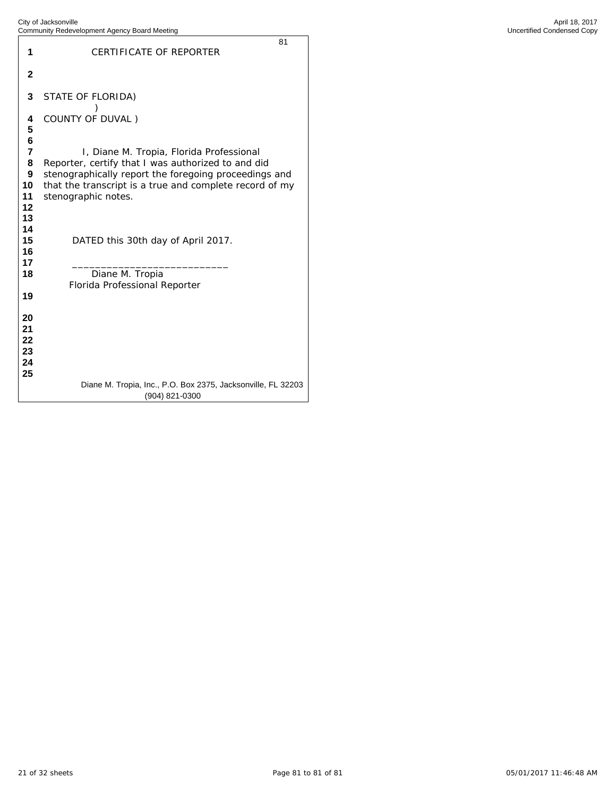|                                                                  | <b>Readvelopment</b> rigging <b>Board</b> Mooding                                                                                                                                                                                         |
|------------------------------------------------------------------|-------------------------------------------------------------------------------------------------------------------------------------------------------------------------------------------------------------------------------------------|
| 1                                                                | 81<br>CERTIFICATE OF REPORTER                                                                                                                                                                                                             |
| $\mathbf{2}$                                                     |                                                                                                                                                                                                                                           |
| 3                                                                | STATE OF FLORIDA)                                                                                                                                                                                                                         |
| 4<br>5                                                           | COUNTY OF DUVAL)                                                                                                                                                                                                                          |
| 6<br>$\overline{7}$<br>8<br>$\mathbf{9}$<br>10<br>11<br>12<br>13 | I, Diane M. Tropia, Florida Professional<br>Reporter, certify that I was authorized to and did<br>stenographically report the foregoing proceedings and<br>that the transcript is a true and complete record of my<br>stenographic notes. |
| 14<br>15<br>16                                                   | DATED this 30th day of April 2017.                                                                                                                                                                                                        |
| 17<br>18<br>19                                                   | Diane M. Tropia<br>Florida Professional Reporter                                                                                                                                                                                          |
| 20<br>21<br>22<br>23<br>24<br>25                                 |                                                                                                                                                                                                                                           |
|                                                                  | Diane M. Tropia, Inc., P.O. Box 2375, Jacksonville, FL 32203<br>(904) 821-0300                                                                                                                                                            |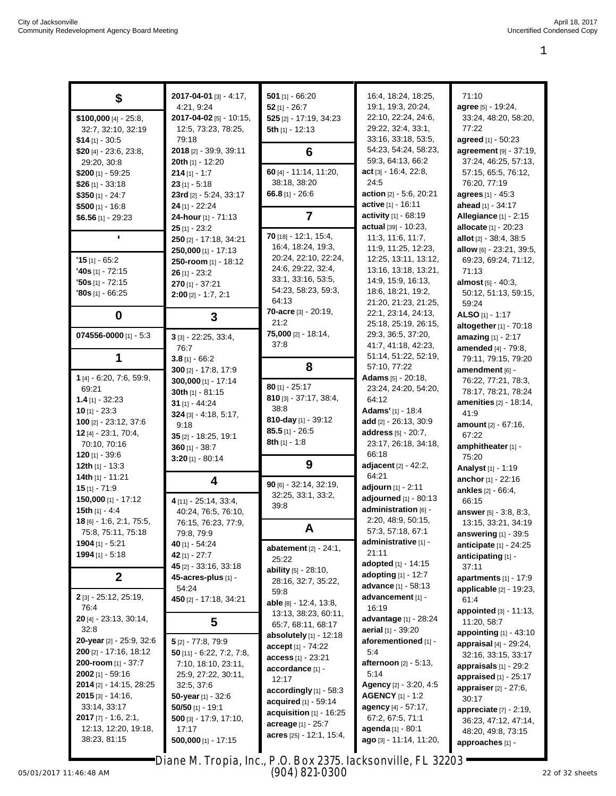|                                   | 2017-04-01 [3] - 4:17,      | 501 $[1] - 66:20$             | 16:4, 18:24, 18:25,          | 71:10                           |
|-----------------------------------|-----------------------------|-------------------------------|------------------------------|---------------------------------|
| \$                                | 4:21, 9:24                  | $52$ [1] - 26:7               | 19:1, 19:3, 20:24,           | agree [5] - 19:24,              |
| $$100,000$ [4] $- 25:8,$          | 2017-04-02 [5] - 10:15,     | 525 [2] - 17:19, 34:23        | 22:10, 22:24, 24:6,          | 33:24, 48:20, 58:20,            |
| 32:7, 32:10, 32:19                | 12:5, 73:23, 78:25,         | 5th $[1] - 12:13$             | 29:22, 32:4, 33:1,           | 77:22                           |
| $$14$ [1] - 30:5                  | 79:18                       |                               | 33:16, 33:18, 53:5,          | agreed [1] - 50:23              |
|                                   | 2018 [2] - 39:9, 39:11      |                               | 54:23, 54:24, 58:23,         | agreement [9] - 37:19,          |
| \$20 [4] - 23:6, 23:8,            |                             | 6                             | 59:3, 64:13, 66:2            | 37:24, 46:25, 57:13,            |
| 29:20, 30:8                       | 20th [1] - 12:20            | 60 [4] - 11:14, 11:20,        | $act_{[3]} - 16:4, 22:8,$    |                                 |
| \$200 $[1] - 59:25$               | $214$ [1] - 1:7             | 38:18, 38:20                  | 24:5                         | 57:15, 65:5, 76:12,             |
| $$26$ [1] - 33:18                 | $23$ [1] $-5.18$            |                               |                              | 76:20, 77:19                    |
| $$350$ [1] - 24:7                 | 23rd [2] - 5:24, 33:17      | 66.8 $[1] - 26.6$             | action [2] - 5:6, 20:21      | agrees [1] - 45:3               |
| $$500$ [1] - 16:8                 | 24 [1] - 22:24              |                               | active [1] - 16:11           | ahead [1] - 34:17               |
| $$6.56$ [1] - 29:23               | 24-hour [1] - 71:13         | 7                             | activity [1] - 68:19         | <b>Allegiance</b> [1] - 2:15    |
|                                   | $25$ [1] - 23:2             | $70$ [18] - 12:1, 15:4,       | actual [39] - 10:23,         | allocate [1] - 20:23            |
| ٠                                 | 250 [2] - 17:18, 34:21      |                               | 11:3, 11:6, 11:7,            | allot [2] - 38:4, 38:5          |
|                                   | 250,000 [1] - 17:13         | 16:4, 18:24, 19:3,            | 11:9, 11:25, 12:23,          | allow [6] - 23:21, 39:5,        |
| $'15$ [1] - 65:2                  | 250-room [1] - 18:12        | 20:24, 22:10, 22:24,          | 12:25, 13:11, 13:12,         | 69:23, 69:24, 71:12,            |
| $'40s$ [1] - 72:15                | $26$ [1] - 23:2             | 24:6, 29:22, 32:4,            | 13:16, 13:18, 13:21,         | 71:13                           |
| $'50s$ [1] - 72:15                | $270$ [1] - 37:21           | 33:1, 33:16, 53:5,            | 14:9, 15:9, 16:13,           | almost $[5] - 40:3$ ,           |
| $'80s$ [1] - 66:25                | $2:00$ [2] $-1:7, 2:1$      | 54:23, 58:23, 59:3,           | 18:6, 18:21, 19:2,           | 50:12, 51:13, 59:15,            |
|                                   |                             | 64:13                         | 21:20, 21:23, 21:25,         | 59:24                           |
| $\boldsymbol{0}$                  | 3                           | <b>70-acre</b> [3] $- 20:19,$ | 22:1, 23:14, 24:13,          | ALSO [1] - 1:17                 |
|                                   |                             | 21:2                          | 25:18, 25:19, 26:15,         | altogether [1] - 70:18          |
| 074556-0000 [1] - 5:3             | $3$ [3] - 22:25, 33:4,      | 75,000 [2] - 18:14,           | 29:3, 36:5, 37:20,           | amazing [1] - 2:17              |
|                                   | 76:7                        | 37:8                          | 41:7, 41:18, 42:23,          | amended [4] - 79:8,             |
| 1                                 | $3.8$ [1] - 66:2            |                               | 51:14, 51:22, 52:19,         | 79:11, 79:15, 79:20             |
|                                   | 300 [2] - 17:8, 17:9        | 8                             | 57:10, 77:22                 | amendment [6] -                 |
| 1 [4] - 6:20, 7:6, 59:9,          | 300,000 [1] - 17:14         |                               | <b>Adams</b> $[5] - 20:18$ , | 76:22, 77:21, 78:3,             |
| 69:21                             | 30th [1] - 81:15            | $80$ [1] - 25:17              | 23:24, 24:20, 54:20,         | 78:17, 78:21, 78:24             |
| $1.4$ [1] - 32:23                 | 31 $[1] - 44:24$            | 810 [3] - 37:17, 38:4,        | 64:12                        | amenities [2] - 18:14,          |
| <b>10</b> [1] - 23:3              | 324 [3] - 4:18, 5:17,       | 38:8                          | Adams' [1] - 18:4            | 41:9                            |
| 100 [2] $- 23:12, 37:6$           | 9:18                        | 810-day [1] - 39:12           | add [2] - 26:13, 30:9        | amount [2] - 67:16,             |
| 12 [4] - 23:1, 70:4,              | 35 [2] - 18:25, 19:1        | $85.5$ [1] - 26:5             | address [5] - 20:7,          | 67:22                           |
| 70:10, 70:16                      |                             | 8th $[1] - 1.8$               | 23:17, 26:18, 34:18,         | amphitheater [1] -              |
| <b>120</b> [1] - 39:6             | $360$ [1] - 38:7            |                               | 66:18                        | 75:20                           |
| <b>12th</b> $[1]$ - 13:3          | $3:20$ [1] - 80:14          | 9                             | adjacent [2] - 42:2,         | Analyst [1] - 1:19              |
| 14th [1] - 11:21                  |                             |                               | 64:21                        | anchor [1] - 22:16              |
| $15$ [1] - 71:9                   | 4                           | 90 [6] - 32:14, 32:19,        | adjourn [1] - 2:11           | ankles [2] - 66:4,              |
| 150,000 [1] - 17:12               |                             | 32:25, 33:1, 33:2,            | adjourned [1] - 80:13        |                                 |
| 15th $[1] - 4:4$                  | 4 [11] - 25:14, 33:4,       | 39:8                          | administration [6] -         | 66:15                           |
| <b>18</b> [6] $-$ 1:6, 2:1, 75:5, | 40:24, 76:5, 76:10,         |                               | 2:20, 48:9, 50:15,           | <b>answer</b> [5] - 3:8, 8:3,   |
| 75:8, 75:11, 75:18                | 76:15, 76:23, 77:9,         | A                             | 57:3, 57:18, 67:1            | 13:15, 33:21, 34:19             |
| 1904 $[1] - 5:21$                 | 79:8, 79:9                  |                               | administrative [1] -         | answering $[1]$ - 39:5          |
|                                   | 40 [1] - 54:24              | abatement $[2] - 24:1$ ,      | 21:11                        | anticipate [1] - 24:25          |
| 1994 [1] - 5:18                   | 42 [1] - 27:7               | 25:22                         | <b>adopted</b> [1] - 14:15   | anticipating [1] -              |
|                                   | 45 [2] - 33:16, 33:18       | <b>ability</b> [5] - 28:10,   | adopting [1] - 12:7          | 37:11                           |
| $\boldsymbol{2}$                  | 45-acres-plus [1] -         | 28:16, 32:7, 35:22,           |                              | apartments $[1] - 17:9$         |
|                                   | 54:24                       | 59:8                          | advance [1] - 58:13          | applicable $[2] - 19:23$ ,      |
| $2$ [3] - 25:12, 25:19,           | 450 [2] - 17:18, 34:21      | able [8] - 12:4, 13:8,        | advancement [1] -            | 61:4                            |
| 76:4                              |                             | 13:13, 38:23, 60:11,          | 16:19                        | appointed [3] - 11:13,          |
| 20 [4] - 23:13, 30:14,            | 5                           | 65:7, 68:11, 68:17            | <b>advantage</b> [1] - 28:24 | 11:20, 58:7                     |
| 32:8                              |                             | absolutely [1] - 12:18        | aerial [1] - 39:20           | <b>appointing</b> $[1] - 43:10$ |
| 20-year [2] - 25:9, 32:6          | $5$ [2] - 77:8, 79:9        | $accept[1] - 74:22$           | aforementioned [1] -         | appraisal [4] - 29:24,          |
| 200 [2] - 17:16, 18:12            | 50 $[11] - 6:22, 7:2, 7:8,$ | access [1] - 23:21            | 5:4                          | 32:16, 33:15, 33:17             |
| <b>200-room</b> [1] - 37:7        | 7:10, 18:10, 23:11,         | accordance [1] -              | <b>afternoon</b> [2] - 5:13, | appraisals [1] - 29:2           |
| $2002$ [1] - 59:16                | 25:9, 27:22, 30:11,         | 12:17                         | 5:14                         | appraised [1] - 25:17           |
| 2014 [2] - 14:15, 28:25           | 32:5, 37:6                  | accordingly $[1] - 58.3$      | Agency [2] - 3:20, 4:5       | <b>appraiser</b> $[2] - 27:6$ , |
| $2015$ [3] - 14:16,               | 50-year $[1]$ - 32:6        | <b>acquired</b> $[1] - 59:14$ | <b>AGENCY</b> [1] - 1:2      | 30:17                           |
| 33:14, 33:17                      | $50/50$ [1] - 19:1          |                               | agency [4] - 57:17,          | appreciate $[7] - 2:19$ ,       |
| <b>2017</b> [7] $-$ 1:6, 2:1,     | 500 [3] - 17:9, 17:10,      | acquisition $[1]$ - 16:25     | 67:2, 67:5, 71:1             | 36:23, 47:12, 47:14,            |
| 12:13, 12:20, 19:18,              | 17:17                       | acreage [1] - 25:7            | agenda [1] - 80:1            | 48:20, 49:8, 73:15              |
| 38:23, 81:15                      | $500,000$ [1] - 17:15       | acres [25] - 12:1, 15:4,      | ago [3] - 11:14, 11:20,      | approaches [1] -                |
|                                   |                             |                               |                              |                                 |

Diane M. Tropia, Inc., P.O. Box 2375, Jacksonville, FL 32203 (904) 821-0300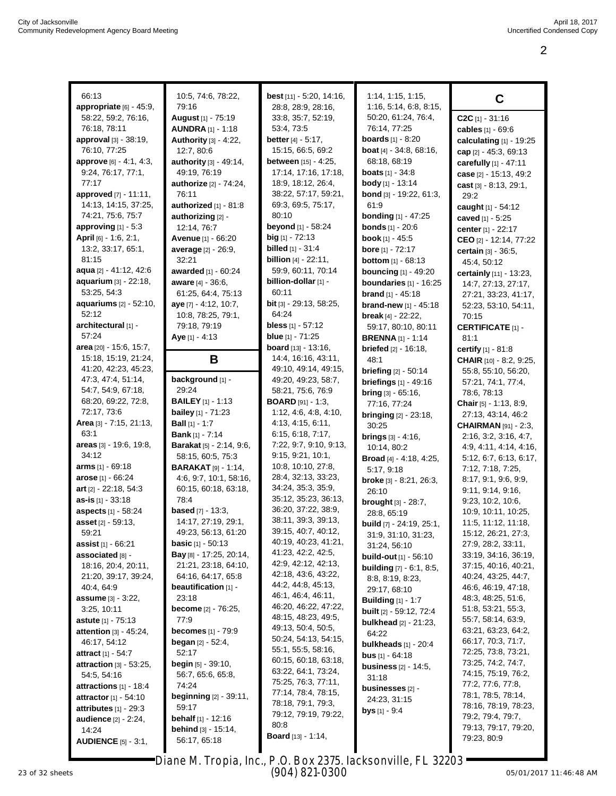| 66:13                            | 10:5, 74:6, 78:22,              | best [11] - 5:20, 14:16,                   | 1:14, 1:15, 1:15,                 |                                           |
|----------------------------------|---------------------------------|--------------------------------------------|-----------------------------------|-------------------------------------------|
| appropriate $[6] - 45.9$ ,       | 79:16                           | 28:8, 28:9, 28:16,                         | 1:16, 5:14, 6:8, 8:15,            | C                                         |
|                                  |                                 |                                            | 50:20, 61:24, 76:4,               |                                           |
| 58:22, 59:2, 76:16,              | August [1] - 75:19              | 33:8, 35:7, 52:19,<br>53.4, 73.5           | 76:14, 77:25                      | $C2C$ [1] $-31:16$                        |
| 76:18, 78:11                     | <b>AUNDRA</b> [1] - 1:18        |                                            |                                   | cables [1] - 69:6                         |
| approval [3] - 38:19,            | Authority [3] - 4:22,           | <b>better</b> $[4] - 5:17$ ,               | <b>boards</b> [1] - 8:20          | calculating [1] - 19:25                   |
| 76:10, 77:25                     | 12:7, 80:6                      | 15:15, 66:5, 69:2                          | <b>boat</b> [4] $-34:8$ , 68:16,  | cap $[2] - 45:3, 69:13$                   |
| <b>approve</b> [6] - 4:1, 4:3,   | <b>authority</b> [3] - 49:14,   | <b>between</b> [15] - 4:25,                | 68:18, 68:19                      | carefully [1] - 47:11                     |
| 9:24, 76:17, 77:1,               | 49:19, 76:19                    | 17:14, 17:16, 17:18,                       | <b>boats</b> $[1] - 34.8$         | case [2] - 15:13, 49:2                    |
| 77:17                            | <b>authorize</b> [2] - 74:24,   | 18:9, 18:12, 26:4,                         | body [1] - 13:14                  | cast [3] - 8:13, 29:1,                    |
| approved [7] - 11:11,            | 76:11                           | 38:22, 57:17, 59:21,                       | bond [3] - 19:22, 61:3,           | 29:2                                      |
| 14:13, 14:15, 37:25,             | authorized [1] - 81:8           | 69:3, 69:5, 75:17,                         | 61:9                              | caught [1] - 54:12                        |
| 74:21, 75:6, 75:7                | authorizing [2] -               | 80:10                                      | <b>bonding</b> $[1] - 47:25$      | caved [1] - 5:25                          |
| approving $[1] - 5.3$            | 12:14, 76:7                     | <b>beyond</b> [1] - 58:24                  | <b>bonds</b> [1] - 20:6           | center [1] - 22:17                        |
| April $[6] - 1.6, 2.1,$          | <b>Avenue</b> [1] - 66:20       | $big$ [1] - 72:13                          | <b>book</b> $[1] - 45:5$          | CEO [2] - 12:14, 77:22                    |
| 13:2, 33:17, 65:1,               | average [2] - 26:9,             | <b>billed</b> [1] - 31:4                   | <b>bore</b> [1] - 72:17           | certain [3] - 36:5,                       |
| 81:15                            | 32:21                           | <b>billion</b> $[4] - 22:11$ ,             | <b>bottom</b> [1] - 68:13         | 45:4, 50:12                               |
| aqua [2] - 41:12, 42:6           | awarded [1] - 60:24             | 59:9, 60:11, 70:14                         | <b>bouncing</b> [1] - 49:20       | certainly [11] - 13:23,                   |
| aquarium [3] - 22:18,            | aware [4] - 36:6,               | billion-dollar [1] -                       | boundaries $[1]$ - 16:25          | 14:7, 27:13, 27:17,                       |
| 53:25, 54:3                      | 61:25, 64:4, 75:13              | 60:11                                      | brand [1] - 45:18                 | 27:21, 33:23, 41:17,                      |
| <b>aquariums</b> $[2] - 52:10$ , | aye [7] - 4:12, 10:7,           | <b>bit</b> [3] - 29:13, 58:25,             | brand-new [1] - 45:18             | 52:23, 53:10, 54:11,                      |
| 52:12                            | 10:8, 78:25, 79:1,              | 64:24                                      | break $[4] - 22:22$ ,             | 70:15                                     |
| architectural [1] -              | 79:18, 79:19                    | bless $[1] - 57:12$                        | 59:17, 80:10, 80:11               | <b>CERTIFICATE [1] -</b>                  |
| 57:24                            | Aye $[1] - 4:13$                | blue [1] - 71:25                           | <b>BRENNA</b> [1] - 1:14          | 81:1                                      |
| area $[20] - 15.6, 15.7,$        |                                 | <b>board</b> $[13] - 13:16$ ,              | <b>briefed</b> $[2] - 16:18$ ,    | certify [1] - 81:8                        |
| 15:18, 15:19, 21:24,             | В                               | 14:4, 16:16, 43:11,                        | 48:1                              | CHAIR [10] - 8:2, 9:25,                   |
| 41:20, 42:23, 45:23,             |                                 | 49:10, 49:14, 49:15,                       | <b>briefing</b> [2] - 50:14       | 55:8, 55:10, 56:20,                       |
| 47:3, 47:4, 51:14,               | background [1] -                | 49:20, 49:23, 58:7,                        | briefings $[1] - 49.16$           | 57:21, 74:1, 77:4,                        |
| 54:7, 54:9, 67:18,               | 29:24                           | 58:21, 75:6, 76:9                          | <b>bring</b> $[3] - 65:16$ ,      | 78:6, 78:13                               |
| 68:20, 69:22, 72:8,              | <b>BAILEY</b> [1] - 1:13        | <b>BOARD</b> [91] - 1:3,                   | 77:16, 77:24                      | <b>Chair</b> $[5] - 1:13, 8:9,$           |
| 72:17, 73:6                      | <b>bailey</b> [1] - 71:23       | 1:12, 4:6, 4:8, 4:10,                      | <b>bringing</b> $[2] - 23:18$ ,   | 27:13, 43:14, 46:2                        |
| Area [3] - 7:15, 21:13,          | <b>Ball</b> $[1] - 1:7$         | 4:13, 4:15, 6:11,                          | 30:25                             | <b>CHAIRMAN</b> [91] - 2:3,               |
| 63:1                             | <b>Bank</b> [1] - 7:14          | 6:15, 6:18, 7:17,                          | <b>brings</b> $[3] - 4:16$ ,      | 2:16, 3:2, 3:16, 4:7,                     |
| areas [3] - 19:6, 19:8,          | <b>Barakat</b> [5] - 2:14, 9:6, | 7:22, 9:7, 9:10, 9:13,                     | 10:14, 80:2                       | 4:9, 4:11, 4:14, 4:16,                    |
| 34:12                            | 58:15, 60:5, 75:3               | 9:15, 9:21, 10:1,                          | Broad [4] - 4:18, 4:25,           | 5:12, 6:7, 6:13, 6:17,                    |
| arms $[1] - 69:18$               | <b>BARAKAT</b> [9] - 1:14,      | 10:8, 10:10, 27:8,                         | 5:17, 9:18                        | 7:12, 7:18, 7:25,                         |
| arose [1] - 66:24                | 4:6, 9:7, 10:1, 58:16,          | 28:4, 32:13, 33:23,                        | <b>broke</b> $[3] - 8:21, 26:3,$  | 8:17, 9:1, 9:6, 9:9,                      |
| art $[2] - 22:18, 54:3$          | 60:15, 60:18, 63:18,            | 34:24, 35:3, 35:9,<br>35:12, 35:23, 36:13, | 26:10                             | 9.11, 9.14, 9.16,                         |
| as-is $[1] - 33:18$              | 78:4                            | 36:20, 37:22, 38:9,                        | <b>brought</b> $[3] - 28:7$ ,     | 9:23, 10:2, 10:6,                         |
| <b>aspects</b> [1] - 58:24       | <b>based</b> $[7] - 13:3$ ,     | 38:11, 39:3, 39:13,                        | 28:8, 65:19                       | 10:9, 10:11, 10:25,                       |
| asset [2] - 59:13,               | 14:17, 27:19, 29:1,             | 39:15, 40:7, 40:12,                        | <b>build</b> [7] - 24:19, 25:1,   | 11:5, 11:12, 11:18,                       |
| 59:21                            | 49:23, 56:13, 61:20             | 40:19, 40:23, 41:21,                       | 31:9, 31:10, 31:23,               | 15:12, 26:21, 27:3,                       |
| assist [1] - 66:21               | <b>basic</b> $[1] - 50:13$      | 41:23, 42:2, 42:5,                         | 31:24, 56:10                      | 27:9, 28:2, 33:11,                        |
| associated [8] -                 | <b>Bay</b> [8] - 17:25, 20:14,  | 42:9, 42:12, 42:13,                        | <b>build-out</b> $[1]$ - 56:10    | 33:19, 34:16, 36:19,                      |
| 18:16, 20:4, 20:11,              | 21:21, 23:18, 64:10,            | 42:18, 43:6, 43:22,                        | <b>building</b> $[7] - 6:1, 8:5,$ | 37:15, 40:16, 40:21,                      |
| 21:20, 39:17, 39:24,             | 64:16, 64:17, 65:8              | 44:2, 44:8, 45:13,                         | 8:8, 8:19, 8:23,                  | 40:24, 43:25, 44:7,                       |
| 40:4, 64:9                       | beautification [1] -<br>23:18   | 46:1, 46:4, 46:11,                         | 29:17, 68:10                      | 46:6, 46:19, 47:18,<br>48:3, 48:25, 51:6, |
| <b>assume</b> $[3] - 3:22$ ,     |                                 | 46:20, 46:22, 47:22,                       | <b>Building</b> $[1] - 1:7$       |                                           |
| 3:25, 10:11                      | <b>become</b> [2] - 76:25,      | 48:15, 48:23, 49:5,                        | <b>built</b> $[2] - 59:12, 72:4$  | 51:8, 53:21, 55:3,                        |
| <b>astute</b> [1] - 75:13        | 77:9                            | 49:13, 50:4, 50:5,                         | <b>bulkhead</b> $[2] - 21:23$ ,   | 55:7, 58:14, 63:9,                        |
| <b>attention</b> [3] - 45:24,    | <b>becomes</b> $[1] - 79.9$     | 50:24, 54:13, 54:15,                       | 64:22                             | 63:21, 63:23, 64:2,                       |
| 46:17, 54:12                     | <b>began</b> $[2] - 52:4$ ,     | 55:1, 55:5, 58:16,                         | bulkheads $[1] - 20:4$            | 66:17, 70:3, 71:7,                        |
| <b>attract</b> [1] $-54.7$       | 52:17                           | 60:15, 60:18, 63:18,                       | <b>bus</b> $[1] - 64:18$          | 72:25, 73:8, 73:21,                       |
| attraction $[3] - 53:25$ ,       | <b>begin</b> [5] - 39:10,       | 63:22, 64:1, 73:24,                        | <b>business</b> $[2] - 14:5,$     | 73:25, 74:2, 74:7,<br>74:15, 75:19, 76:2, |
| 54:5, 54:16                      | 56:7, 65:6, 65:8,               | 75:25, 76:3, 77:11,                        | 31:18                             | 77:2, 77:6, 77:8,                         |
| attractions $[1] - 18.4$         | 74:24                           | 77:14, 78:4, 78:15,                        | <b>businesses</b> [2] -           | 78:1, 78:5, 78:14,                        |
| <b>attractor</b> $[1] - 54:10$   | beginning [2] - 39:11,          | 78:18, 79:1, 79:3,                         | 24:23, 31:15                      | 78:16, 78:19, 78:23,                      |
| attributes $[1]$ - 29:3          | 59:17                           | 79:12, 79:19, 79:22,                       | <b>bys</b> [1] - 9:4              | 79:2, 79:4, 79:7,                         |
| <b>audience</b> $[2] - 2.24$ ,   | <b>behalf</b> [1] - 12:16       | 80:8                                       |                                   | 79:13, 79:17, 79:20,                      |
| 14:24                            | behind [3] - 15:14,             | Board [13] - 1:14,                         |                                   | 79:23, 80:9                               |
| <b>AUDIENCE</b> [5] - 3:1,       | 56:17, 65:18                    |                                            |                                   |                                           |

23 of 32 sheets Page 2 to 2 of 11 05/01/2017 11:46:48 AM Diane M. Tropia, Inc., P.O. Box 2375, Jacksonville, FL 32203 (904) 821-0300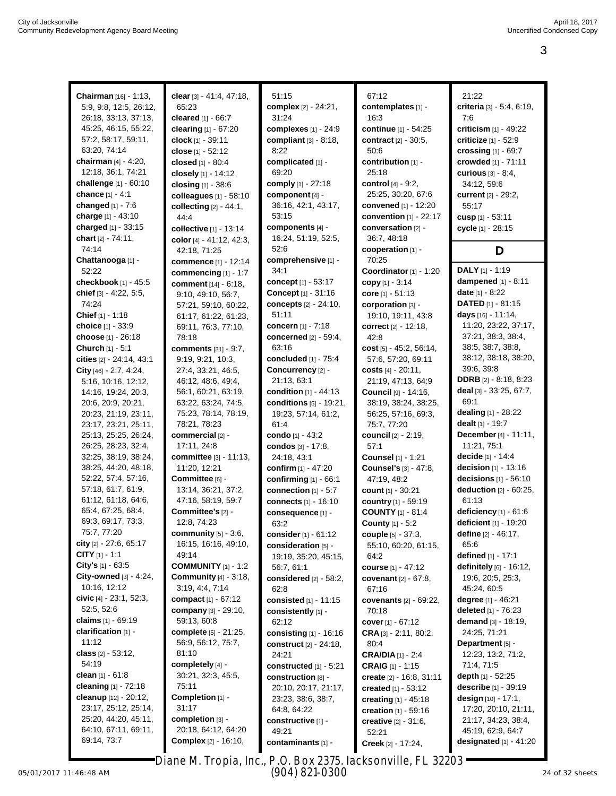| Chairman [16] - 1:13,     | clear [3] - 41:4, 47:18,       | 51:15                        | 67:12                          | 21:22                           |
|---------------------------|--------------------------------|------------------------------|--------------------------------|---------------------------------|
| 5:9, 9:8, 12:5, 26:12,    | 65:23                          | complex [2] - 24:21,         | contemplates [1] -             | criteria [3] - 5:4, 6:19,       |
| 26:18, 33:13, 37:13,      | cleared [1] - 66:7             | 31:24                        | 16:3                           | 7:6                             |
| 45:25, 46:15, 55:22,      | clearing [1] - 67:20           | complexes [1] - 24:9         | continue [1] - 54:25           | criticism [1] - 49:22           |
| 57:2, 58:17, 59:11,       | clock $[1] - 39:11$            | compliant $[3] - 8:18$ ,     | contract [2] - 30:5,           | criticize [1] - 52:9            |
| 63:20, 74:14              | close [1] - 52:12              | 8:22                         | 50:6                           | crossing $[1] - 69:7$           |
| chairman $[4] - 4:20$ ,   | closed [1] - 80:4              | complicated [1] -            | contribution [1] -             | crowded [1] - 71:11             |
| 12:18, 36:1, 74:21        | closely [1] - 14:12            | 69:20                        | 25:18                          | curious $[3] - 8:4$ ,           |
| challenge [1] - 60:10     | closing $[1] - 38.6$           | comply [1] - 27:18           | control [4] - 9:2,             | 34:12, 59:6                     |
| chance [1] - 4:1          | colleagues [1] - 58:10         | component [4] -              | 25:25, 30:20, 67:6             | current [2] - 29:2,             |
| changed [1] - 7:6         | collecting $[2] - 44:1$ ,      | 36:16, 42:1, 43:17,          | convened $[1] - 12:20$         | 55:17                           |
| charge [1] - 43:10        | 44:4                           | 53:15                        | convention [1] - 22:17         | cusp [1] - 53:11                |
| charged [1] - 33:15       | collective [1] - 13:14         | components [4] -             | conversation [2] -             | cycle [1] - 28:15               |
| chart [2] - 74:11,        | color [4] - 41:12, 42:3,       | 16:24, 51:19, 52:5,          | 36:7, 48:18                    |                                 |
| 74:14                     | 42:18, 71:25                   | 52:6                         | cooperation [1] -              | D                               |
| Chattanooga [1] -         | commence [1] - 12:14           | comprehensive [1] -          | 70:25                          |                                 |
| 52:22                     | commencing [1] - 1:7           | 34:1                         | Coordinator [1] - 1:20         | DALY [1] - 1:19                 |
| checkbook [1] - 45:5      | comment [14] - 6:18,           | concept [1] - 53:17          | copy $[1] - 3.14$              | dampened [1] - 8:11             |
| chief [3] - 4:22, 5:5,    | 9:10, 49:10, 56:7,             | Concept [1] - 31:16          | core $[1] - 51:13$             | date [1] - 8:22                 |
| 74:24                     | 57:21, 59:10, 60:22,           | <b>concepts</b> [2] - 24:10, | corporation [3] -              | <b>DATED</b> $[1]$ - 81:15      |
| Chief $[1] - 1:18$        | 61:17, 61:22, 61:23,           | 51:11                        | 19:10, 19:11, 43:8             | days [16] - 11:14,              |
| choice [1] - 33:9         | 69:11, 76:3, 77:10,            | concern $[1] - 7:18$         | <b>correct</b> $[2] - 12:18$ , | 11:20, 23:22, 37:17,            |
| choose [1] - 26:18        | 78:18                          | <b>concerned</b> [2] - 59:4, | 42:8                           | 37:21, 38:3, 38:4,              |
| Church [1] - 5:1          | <b>comments</b> $[21] - 9:7$ , | 63:16                        | cost $[5] - 45:2, 56:14,$      | 38:5, 38:7, 38:8,               |
| cities [2] - 24:14, 43:1  | 9:19, 9:21, 10:3,              | concluded $[1] - 75.4$       | 57:6, 57:20, 69:11             | 38:12, 38:18, 38:20,            |
| City $[46] - 2:7, 4:24,$  | 27:4, 33:21, 46:5,             | Concurrency [2] -            | costs $[4] - 20:11$ ,          | 39:6, 39:8                      |
| 5:16, 10:16, 12:12,       | 46:12, 48:6, 49:4,             | 21:13, 63:1                  | 21:19, 47:13, 64:9             | <b>DDRB</b> $[2] - 8:18, 8:23$  |
| 14:16, 19:24, 20:3,       | 56:1, 60:21, 63:19,            | condition [1] - 44:13        | Council [9] - 14:16,           | deal $[3] - 33:25, 67:7,$       |
| 20:6, 20:9, 20:21,        | 63:22, 63:24, 74:5,            | conditions [5] - 19:21,      | 38:19, 38:24, 38:25,           | 69:1                            |
| 20:23, 21:19, 23:11,      | 75:23, 78:14, 78:19,           | 19:23, 57:14, 61:2,          | 56:25, 57:16, 69:3,            | dealing [1] - 28:22             |
| 23:17, 23:21, 25:11,      | 78:21, 78:23                   | 61:4                         | 75:7, 77:20                    | dealt [1] - 19:7                |
| 25:13, 25:25, 26:24,      | commercial [2] -               | condo [1] - 43:2             | council [2] - 2:19,            | December [4] - 11:11,           |
| 26:25, 28:23, 32:4,       | 17:11, 24:8                    | condos [3] - 17:8,           | 57:1                           | 11:21, 75:1                     |
| 32:25, 38:19, 38:24,      | committee [3] - 11:13,         | 24:18, 43:1                  | Counsel [1] - 1:21             | decide [1] - 14:4               |
| 38:25, 44:20, 48:18,      | 11:20, 12:21                   | confirm [1] - 47:20          | Counsel's [3] - 47:8,          | decision [1] - 13:16            |
| 52:22, 57:4, 57:16,       | Committee [6] -                | confirming $[1] - 66.1$      | 47:19, 48:2                    | decisions $[1] - 56:10$         |
| 57:18, 61:7, 61:9,        | 13:14, 36:21, 37:2,            | connection [1] - 5:7         | count $[1] - 30:21$            | deduction [2] - 60:25,          |
| 61:12, 61:18, 64:6,       | 47:16, 58:19, 59:7             | connects [1] - 16:10         | country [1] - 59:19            | 61:13                           |
| 65:4, 67:25, 68:4,        | Committee's [2] -              | consequence [1] -            | <b>COUNTY</b> [1] - 81:4       | deficiency $[1] - 61:6$         |
| 69:3, 69:17, 73:3,        | 12:8, 74:23                    | 63:2                         | <b>County</b> [1] - 5:2        | deficient [1] - 19:20           |
| 75:7, 77:20               | community $[5] - 3:6$ ,        | consider [1] - 61:12         | <b>couple</b> [5] - 37:3,      | define [2] - 46:17,             |
| city [2] - 27:6, 65:17    | 16:15, 16:16, 49:10,           | consideration [5] -          | 55:10, 60:20, 61:15,           | 65:6                            |
| <b>CITY</b> $[1] - 1:1$   | 49:14                          | 19:19, 35:20, 45:15,         | 64:2                           | defined [1] - 17:1              |
| City's [1] - 63:5         | <b>COMMUNITY</b> $[1] - 1:2$   | 56:7, 61:1                   | course [1] - 47:12             | definitely [6] - 16:12,         |
| City-owned [3] - 4:24,    | <b>Community</b> [4] - 3:18,   | considered $[2] - 58:2$ ,    | covenant [2] - 67:8,           | 19:6, 20:5, 25:3,               |
| 10:16, 12:12              | 3:19, 4:4, 7:14                | 62:8                         | 67:16                          | 45:24, 60:5                     |
| civic $[4] - 23:1, 52:3,$ | compact $[1] - 67:12$          | consisted [1] - 11:15        | covenants [2] - 69:22,         | degree [1] - 46:21              |
| 52:5, 52:6                | company [3] - 29:10,           | consistently [1] -           | 70:18                          | <b>deleted</b> $[1] - 76:23$    |
| claims [1] - 69:19        | 59:13, 60:8                    | 62:12                        | cover $[1] - 67:12$            | demand $[3] - 18:19$ ,          |
| clarification [1] -       | complete [5] - 21:25,          | consisting [1] - 16:16       | $CRA$ [3] $-2:11$ , 80:2,      | 24:25, 71:21                    |
| 11:12                     | 56:9, 56:12, 75:7,             | construct [2] - 24:18,       | 80:4                           | Department [5] -                |
| class $[2] - 53:12$ ,     | 81:10                          | 24:21                        | <b>CRA/DIA</b> $[1] - 2:4$     | 12:23, 13:2, 71:2,              |
| 54:19                     | completely [4] -               | constructed [1] - 5:21       | <b>CRAIG</b> $[1] - 1:15$      | 71:4, 71:5                      |
| clean $[1] - 61.8$        | 30:21, 32:3, 45:5,             | construction [8] -           | create [2] - 16:8, 31:11       | depth $[1] - 52:25$             |
| cleaning [1] - 72:18      | 75:11                          | 20:10, 20:17, 21:17,         | created [1] - 53:12            | describe [1] - 39:19            |
| cleanup [12] - 20:12,     | Completion [1] -               | 23:23, 38:6, 38:7,           | creating [1] - 45:18           | design [10] - 17:1,             |
| 23:17, 25:12, 25:14,      | 31:17                          | 64:8, 64:22                  | creation [1] - 59:16           | 17:20, 20:10, 21:11,            |
| 25:20, 44:20, 45:11,      | completion [3] -               | constructive [1] -           | <b>creative</b> $[2] - 31:6$ , | 21:17, 34:23, 38:4,             |
| 64:10, 67:11, 69:11,      | 20:18, 64:12, 64:20            | 49:21                        | 52:21                          | 45:19, 62:9, 64:7               |
| 69:14, 73:7               | <b>Complex</b> [2] - 16:10,    | contaminants [1] -           | Creek [2] - 17:24,             | <b>designated</b> $[1] - 41:20$ |
|                           |                                |                              |                                |                                 |

05/01/2017 11:46:48 AM Page 3 to 3 of 11 24 of 32 sheets Diane M. Tropia, Inc., P.O. Box 2375, Jacksonville, FL 32203 (904) 821-0300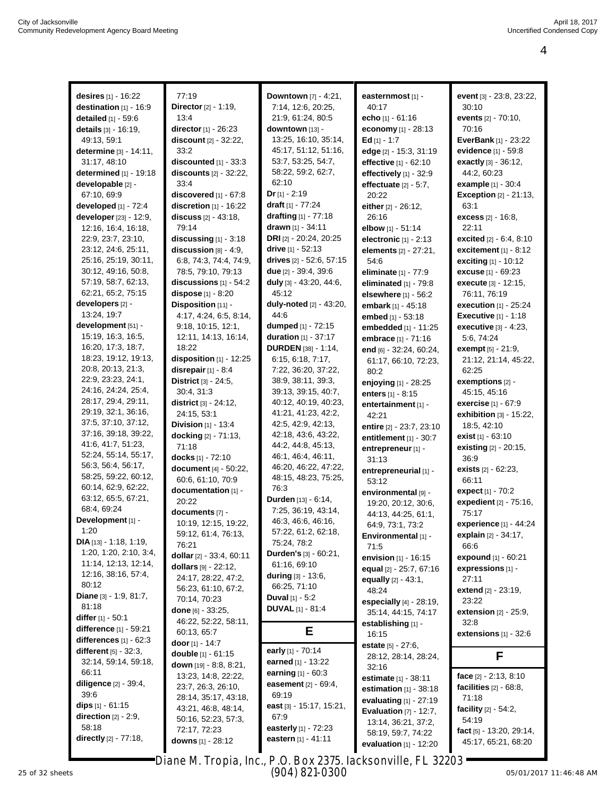| desires [1] - 16:22                         | 77:19                        | Downtown [7] - 4:21,           | easternmost [1] -          | event [3] - 23:8, 23:22,       |
|---------------------------------------------|------------------------------|--------------------------------|----------------------------|--------------------------------|
| destination [1] - 16:9                      | Director [2] - 1:19,         | 7:14, 12:6, 20:25,             | 40:17                      | 30:10                          |
| detailed [1] - 59:6                         | 13:4                         | 21:9, 61:24, 80:5              | <b>echo</b> [1] - 61:16    | events [2] - 70:10,            |
| details [3] - 16:19,                        | director [1] - 26:23         | downtown [13] -                | economy [1] - 28:13        | 70:16                          |
| 49:13, 59:1                                 | discount [2] - 32:22,        | 13:25, 16:10, 35:14,           | Ed $[1] - 1:7$             | <b>EverBank</b> [1] - 23:22    |
| determine [3] - 14:11,                      | 33:2                         | 45:17, 51:12, 51:16,           | edge [2] - 15:3, 31:19     | evidence [1] - 59:8            |
| 31:17, 48:10                                | discounted $[1] - 33:3$      | 53:7, 53:25, 54:7,             | effective [1] - 62:10      | exactly [3] - 36:12,           |
| determined [1] - 19:18                      | discounts [2] - 32:22,       | 58:22, 59:2, 62:7,             | effectively [1] - 32:9     | 44:2, 60:23                    |
| developable [2] -                           | 33:4                         | 62:10                          | effectuate $[2] - 5:7$ ,   | example [1] - 30:4             |
| 67:10, 69:9                                 | discovered $[1] - 67:8$      | $Dr [1] - 2:19$                | 20:22                      | <b>Exception [2] - 21:13,</b>  |
| developed [1] - 72:4                        | discretion $[1]$ - 16:22     | draft [1] - 77:24              | either [2] - 26:12,        | 63:1                           |
| developer [23] - 12:9,                      | <b>discuss</b> [2] - 43:18,  | drafting $[1] - 77:18$         | 26:16                      | <b>excess</b> [2] - 16:8,      |
| 12:16, 16:4, 16:18,                         | 79:14                        | drawn [1] - 34:11              | elbow [1] - 51:14          | 22:11                          |
| 22:9, 23:7, 23:10,                          | discussing $[1]$ - $3:18$    | DRI [2] - 20:24, 20:25         | electronic $[1] - 2:13$    | excited [2] - 6:4, 8:10        |
| 23:12, 24:6, 25:11,                         | discussion $[8] - 4:9$ ,     | drive [1] - 52:13              | elements [2] - 27:21,      | excitement $[1] - 8:12$        |
| 25:16, 25:19, 30:11,                        | 6:8, 74:3, 74:4, 74:9,       | drives [2] - 52:6, 57:15       | 54:6                       | exciting [1] - 10:12           |
| 30:12, 49:16, 50:8,                         | 78:5, 79:10, 79:13           | due [2] - 39:4, 39:6           | eliminate [1] - 77:9       | <b>excuse</b> [1] - 69:23      |
| 57:19, 58:7, 62:13,                         | discussions $[1] - 54:2$     | duly [3] - 43:20, 44:6,        | eliminated $[1]$ - $79:8$  | execute [3] - 12:15,           |
| 62:21, 65:2, 75:15                          | dispose [1] - 8:20           | 45:12                          | elsewhere [1] - 56:2       | 76:11, 76:19                   |
| developers [2] -                            | Disposition [11] -           | duly-noted [2] - 43:20,        | embark [1] - 45:18         | <b>execution</b> $[1] - 25:24$ |
| 13:24, 19:7                                 | 4:17, 4:24, 6:5, 8:14,       | 44:6                           | embed [1] - 53:18          | <b>Executive</b> $[1] - 1:18$  |
| development [51] -                          | 9:18, 10:15, 12:1,           | dumped [1] - 72:15             | embedded [1] - 11:25       | executive [3] - 4:23,          |
| 15:19, 16:3, 16:5,                          | 12:11, 14:13, 16:14,         | duration [1] - 37:17           | <b>embrace</b> [1] - 71:16 | 5:6, 74:24                     |
| 16:20, 17:3, 18:7,                          | 18:22                        | <b>DURDEN</b> [38] - 1:14,     | end [6] - 32:24, 60:24,    | <b>exempt</b> $[5] - 21:9$ ,   |
| 18:23, 19:12, 19:13,                        | disposition [1] - 12:25      | 6:15, 6:18, 7:17,              | 61:17, 66:10, 72:23,       | 21:12, 21:14, 45:22,           |
| 20:8, 20:13, 21:3,                          | disrepair [1] - 8:4          | 7:22, 36:20, 37:22,            | 80:2                       | 62:25                          |
| 22:9, 23:23, 24:1,                          | District [3] - 24:5,         | 38:9, 38:11, 39:3,             | enjoying [1] - 28:25       | exemptions [2] -               |
| 24:16, 24:24, 25:4,                         | 30:4, 31:3                   | 39:13, 39:15, 40:7,            | enters [1] - 8:15          | 45:15, 45:16                   |
| 28:17, 29:4, 29:11,                         | district [3] - 24:12,        | 40:12, 40:19, 40:23,           | entertainment [1] -        | exercise [1] - 67:9            |
| 29:19, 32:1, 36:16,                         | 24:15, 53:1                  | 41:21, 41:23, 42:2,            | 42:21                      | exhibition [3] - 15:22,        |
| 37:5, 37:10, 37:12,                         | <b>Division</b> $[1]$ - 13:4 | 42:5, 42:9, 42:13,             | entire [2] - 23:7, 23:10   | 18:5, 42:10                    |
| 37:16, 39:18, 39:22,                        | docking [2] - 71:13,         | 42:18, 43:6, 43:22,            | entitlement $[1] - 30:7$   | exist $[1] - 63:10$            |
| 41.6, 41.7, 51.23,                          | 71:18                        | 44:2, 44:8, 45:13,             | entrepreneur [1] -         | existing [2] - 20:15,          |
| 52:24, 55:14, 55:17,                        | docks [1] - 72:10            | 46:1, 46:4, 46:11,             | 31:13                      | 36:9                           |
| 56:3, 56:4, 56:17,                          | document [4] - 50:22,        | 46:20, 46:22, 47:22,           | entrepreneurial [1] -      | exists [2] - 62:23,            |
| 58:25, 59:22, 60:12,                        | 60:6, 61:10, 70:9            | 48:15, 48:23, 75:25,           | 53:12                      | 66:11                          |
| 60:14, 62:9, 62:22,                         | documentation [1] -          | 76:3                           | environmental [9] -        | expect [1] - 70:2              |
| 63:12, 65:5, 67:21,                         | 20:22                        | Durden [13] - 6:14,            | 19:20, 20:12, 30:6,        | expedient [2] - 75:16,         |
| 68:4, 69:24                                 | documents [7] -              | 7:25, 36:19, 43:14,            | 44:13, 44:25, 61:1,        | 75:17                          |
| Development [1] -                           | 10:19, 12:15, 19:22,         | 46:3, 46:6, 46:16,             | 64:9, 73:1, 73:2           | experience [1] - 44:24         |
| 1:20                                        | 59:12, 61:4, 76:13,          | 57:22, 61:2, 62:18,            | Environmental [1] -        | explain [2] - 34:17,           |
| <b>DIA</b> $[13] - 1:18, 1:19,$             | 76:21                        | 75:24, 78:2                    | 71:5                       | 66:6                           |
| 1:20, 1:20, 2:10, 3:4,                      | dollar [2] - 33:4, 60:11     | Durden's [3] - 60:21,          | envision $[1] - 16:15$     | expound [1] - 60:21            |
| 11:14, 12:13, 12:14,<br>12:16, 38:16, 57:4, | dollars [9] - 22:12,         | 61:16, 69:10                   | equal [2] - 25:7, 67:16    | expressions [1] -              |
| 80:12                                       | 24:17, 28:22, 47:2,          | <b>during</b> $[3] - 13:6$ ,   | equally $[2] - 43:1$ ,     | 27:11                          |
| Diane $[3] - 1:9, 81:7,$                    | 56:23, 61:10, 67:2,          | 66:25, 71:10                   | 48:24                      | extend [2] - 23:19,            |
| 81:18                                       | 70:14, 70:23                 | <b>Duval</b> $[1] - 5:2$       | especially [4] - 28:19,    | 23:22                          |
| differ [1] - 50:1                           | done $[6] - 33:25$ ,         | <b>DUVAL</b> [1] - 81:4        | 35:14, 44:15, 74:17        | extension [2] - 25:9,          |
| <b>difference</b> [1] - 59:21               | 46:22, 52:22, 58:11,         |                                | establishing [1] -         | 32:8                           |
| differences $[1] - 62:3$                    | 60:13, 65:7                  | Е                              | 16:15                      | extensions [1] - 32:6          |
| different [5] - 32:3,                       | door [1] - 14:7              | early [1] - 70:14              | estate [5] - 27:6,         |                                |
| 32:14, 59:14, 59:18,                        | double [1] - 61:15           | earned [1] - 13:22             | 28:12, 28:14, 28:24,       | F                              |
| 66:11                                       | down $[19] - 8:8, 8:21,$     | earning [1] - 60:3             | 32:16                      |                                |
| <b>diligence</b> [2] - 39:4,                | 13:23, 14:8, 22:22,          | <b>easement</b> $[2] - 69:4$ , | estimate [1] - 38:11       | face $[2] - 2:13, 8:10$        |
| 39:6                                        | 23:7, 26:3, 26:10,           | 69:19                          | estimation $[1] - 38:18$   | facilities $[2] - 68.8$ ,      |
| dips $[1] - 61:15$                          | 28:14, 35:17, 43:18,         | east [3] - 15:17, 15:21,       | evaluating [1] - 27:19     | 71:18                          |
| direction $[2] - 2.9$ ,                     | 43:21, 46:8, 48:14,          | 67:9                           | Evaluation $[7] - 12:7$ ,  | facility $[2] - 54.2$ ,        |
| 58:18                                       | 50:16, 52:23, 57:3,          | easterly [1] - 72:23           | 13:14, 36:21, 37:2,        | 54:19                          |
| directly [2] - 77:18,                       | 72:17, 72:23                 | eastern [1] - 41:11            | 58:19, 59:7, 74:22         | fact [5] - 13:20, 29:14,       |
|                                             | <b>downs</b> [1] - 28:12     |                                | evaluation [1] - 12:20     | 45:17, 65:21, 68:20            |

Diane M. Tropia, Inc., P.O. Box 2375, Jacksonville, FL 32203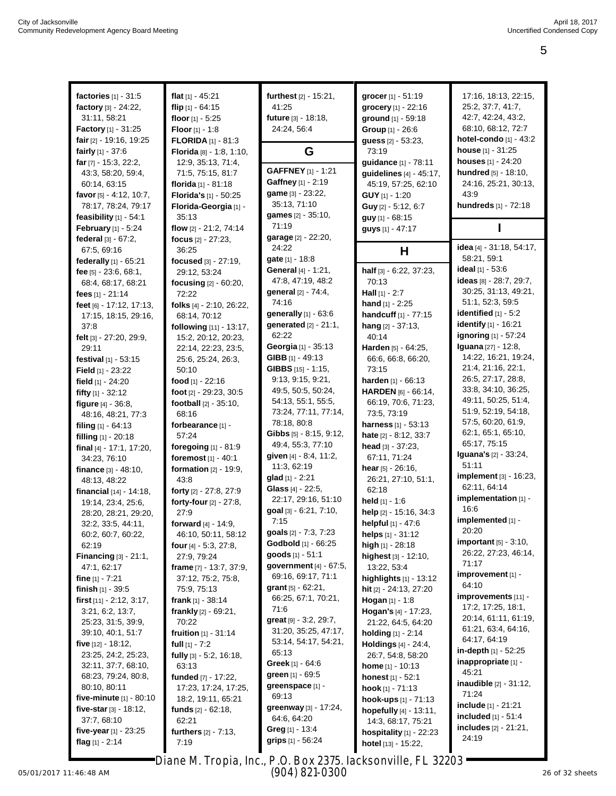| factories [1] - 31:5           | flat $[1] - 45:21$              |                                       |                          | 17:16, 18:13, 22:15,            |
|--------------------------------|---------------------------------|---------------------------------------|--------------------------|---------------------------------|
|                                |                                 | furthest [2] - 15:21,                 | grocer [1] - 51:19       | 25:2, 37:7, 41:7,               |
| factory [3] - 24:22,           | flip $[1] - 64:15$              | 41:25                                 | grocery [1] - 22:16      |                                 |
| 31:11, 58:21                   | floor $[1] - 5:25$              | future [3] - 18:18,                   | ground [1] - 59:18       | 42:7, 42:24, 43:2,              |
| <b>Factory</b> [1] - 31:25     | <b>Floor</b> $[1] - 1.8$        | 24:24, 56:4                           | Group [1] - 26:6         | 68:10, 68:12, 72:7              |
| fair [2] - 19:16, 19:25        | <b>FLORIDA</b> [1] - 81:3       |                                       | guess [2] - 53:23,       | hotel-condo [1] - 43:2          |
| fairly $[1] - 37:6$            | Florida [8] - 1:8, 1:10,        | G                                     | 73:19                    | <b>house</b> $[1] - 31:25$      |
| far $[7] - 15:3, 22:2,$        | 12:9, 35:13, 71:4,              |                                       | guidance [1] - 78:11     | houses [1] - 24:20              |
| 43:3, 58:20, 59:4,             | 71:5, 75:15, 81:7               | <b>GAFFNEY</b> [1] - 1:21             | guidelines [4] - 45:17,  | hundred [5] - 18:10,            |
| 60:14, 63:15                   | florida [1] - 81:18             | Gaffney [1] - 2:19                    | 45:19, 57:25, 62:10      | 24:16, 25:21, 30:13,            |
| favor [5] - 4:12, 10:7,        | Florida's [1] - 50:25           | game [3] - 23:22,                     | GUY [1] - 1:20           | 43:9                            |
| 78:17, 78:24, 79:17            | Florida-Georgia [1] -           | 35:13, 71:10                          | Guy [2] - 5:12, 6:7      | hundreds [1] - 72:18            |
| feasibility $[1] - 54:1$       | 35:13                           | games [2] - 35:10,                    | guy [1] - 68:15          |                                 |
| <b>February</b> $[1] - 5.24$   | flow [2] - 21:2, 74:14          | 71:19                                 | guys [1] - 47:17         |                                 |
| federal [3] - 67:2,            | focus $[2] - 27:23$ ,           | garage [2] - 22:20,                   |                          |                                 |
| 67:5, 69:16                    | 36:25                           | 24:22                                 | Н                        | idea [4] - 31:18, 54:17,        |
| federally [1] - 65:21          | focused [3] - 27:19,            | gate [1] - 18:8                       |                          | 58:21, 59:1                     |
| fee $[5] - 23:6, 68:1,$        | 29:12, 53:24                    | <b>General</b> $[4] - 1:21$ ,         | half [3] - 6:22, 37:23,  | ideal [1] - 53:6                |
| 68:4, 68:17, 68:21             | focusing [2] - 60:20,           | 47:8, 47:19, 48:2                     | 70:13                    | ideas [8] - 28:7, 29:7,         |
| fees [1] - 21:14               | 72:22                           | general [2] - 74:4,                   | Hall $[1] - 2:7$         | 30:25, 31:13, 49:21,            |
| feet [6] - 17:12, 17:13,       | folks [4] - 2:10, 26:22,        | 74:16                                 | <b>hand</b> $[1] - 2:25$ | 51:1, 52:3, 59:5                |
| 17:15, 18:15, 29:16,           | 68:14, 70:12                    | generally [1] - 63:6                  | handcuff [1] - 77:15     | identified $[1] - 5:2$          |
| 37:8                           | following [11] - 13:17,         | generated [2] - 21:1,                 | hang $[2] - 37:13$       | identify [1] - 16:21            |
| felt [3] - 27:20, 29:9,        | 15:2, 20:12, 20:23,             | 62:22                                 | 40:14                    | <b>ignoring</b> [1] - 57:24     |
| 29:11                          | 22:14, 22:23, 23:5,             | Georgia [1] - 35:13                   | Harden [5] - 64:25,      | Iguana [27] - 12:8,             |
| festival [1] - 53:15           | 25:6, 25:24, 26:3,              | GIBB $[1] - 49:13$                    | 66:6, 66:8, 66:20,       | 14:22, 16:21, 19:24,            |
| Field [1] - 23:22              | 50:10                           | GIBBS [15] - 1:15,                    | 73:15                    | 21:4, 21:16, 22:1,              |
| field $[1] - 24:20$            | food [1] - 22:16                | 9:13, 9:15, 9:21,                     | harden [1] - 66:13       | 26:5, 27:17, 28:8,              |
|                                | foot [2] - 29:23, 30:5          | 49:5, 50:5, 50:24,                    | HARDEN [6] - 66:14,      | 33:8, 34:10, 36:25,             |
| fifty [1] - 32:12              |                                 | 54:13, 55:1, 55:5,                    | 66:19, 70:6, 71:23,      | 49:11, 50:25, 51:4,             |
| figure $[4] - 36.8$ ,          | <b>football</b> $[2] - 35:10$ , | 73:24, 77:11, 77:14,                  | 73:5, 73:19              | 51:9, 52:19, 54:18,             |
| 48:16, 48:21, 77:3             | 68:16                           | 78:18, 80:8                           |                          | 57:5, 60:20, 61:9,              |
| filing $[1] - 64:13$           | forbearance [1] -               | <b>Gibbs</b> $[5] - 8:15, 9:12,$      | harness [1] - 53:13      | 62:1, 65:1, 65:10,              |
| filling [1] - 20:18            | 57:24                           | 49:4, 55:3, 77:10                     | hate [2] - 8:12, 33:7    | 65:17, 75:15                    |
| final [4] - 17:1, 17:20,       | foregoing [1] - 81:9            |                                       | head $[3] - 37:23$ ,     | <b>Iguana's</b> [2] - 33:24,    |
| 34:23, 76:10                   | foremost $[1] - 40:1$           | given [4] - 8:4, 11:2,<br>11:3, 62:19 | 67:11, 71:24             | 51:11                           |
| <b>finance</b> $[3] - 48:10$ , | formation [2] - 19:9,           |                                       | hear $[5] - 26:16$ ,     | implement [3] - 16:23,          |
| 48:13, 48:22                   | 43:8                            | glad [1] - 2:21                       | 26:21, 27:10, 51:1,      | 62:11, 64:14                    |
| financial [14] - 14:18,        | forty [2] - 27:8, 27:9          | Glass [4] - 22:5,                     | 62:18                    | implementation [1] -            |
| 19:14, 23:4, 25:6,             | forty-four [2] - 27:8,          | 22:17, 29:16, 51:10                   | held $[1] - 1.6$         | 16:6                            |
| 28:20, 28:21, 29:20,           | 27:9                            | goal [3] - 6:21, 7:10,                | help [2] - 15:16, 34:3   |                                 |
| 32:2, 33:5, 44:11,             | forward [4] - 14:9,             | 7:15                                  | helpful [1] - 47:6       | implemented [1] -               |
| 60:2, 60:7, 60:22,             | 46:10, 50:11, 58:12             | goals [2] - 7:3, 7:23                 | helps $[1] - 31:12$      | 20:20                           |
| 62:19                          | four [4] - 5:3, 27:8,           | Godbold [1] - 66:25                   | high [1] - 28:18         | <b>important</b> $[5] - 3:10$ , |
| Financing $[3] - 21:1$ ,       | 27:9, 79:24                     | goods [1] - 51:1                      | highest [3] - 12:10,     | 26:22, 27:23, 46:14,            |
| 47:1, 62:17                    | frame [7] - 13:7, 37:9,         | government [4] - 67:5,                | 13:22, 53:4              | 71:17                           |
| fine $[1] - 7:21$              | 37:12, 75:2, 75:8,              | 69:16, 69:17, 71:1                    | highlights $[1]$ - 13:12 | improvement [1] -               |
| <b>finish</b> $[1] - 39:5$     | 75:9, 75:13                     | grant $[5] - 62:21$ ,                 | hit [2] - 24:13, 27:20   | 64:10                           |
| first [11] - 2:12, 3:17,       | frank $[1] - 38.14$             | 66:25, 67:1, 70:21,                   | Hogan [1] - 1:8          | improvements [11] -             |
| 3:21, 6:2, 13:7,               | frankly $[2] - 69:21$ ,         | 71:6                                  | Hogan's [4] - 17:23,     | 17:2, 17:25, 18:1,              |
| 25:23, 31:5, 39:9,             | 70:22                           | great [9] - 3:2, 29:7,                | 21:22, 64:5, 64:20       | 20:14, 61:11, 61:19,            |
| 39:10, 40:1, 51:7              | fruition [1] - 31:14            | 31:20, 35:25, 47:17,                  | holding $[1] - 2:14$     | 61:21, 63:4, 64:16,             |
| five $[12] - 18:12$ ,          | full $[1] - 7:2$                | 53:14, 54:17, 54:21,                  | Holdings [4] - 24:4,     | 64:17, 64:19                    |
| 23:25, 24:2, 25:23,            | fully [3] - 5:2, 16:18,         | 65:13                                 | 26:7, 54:8, 58:20        | in-depth $[1]$ - 52:25          |
| 32:11, 37:7, 68:10,            | 63:13                           | <b>Greek</b> [1] $-64:6$              | <b>home</b> [1] - 10:13  | inappropriate [1] -             |
| 68:23, 79:24, 80:8,            | funded [7] - 17:22,             | <b>green</b> $[1] - 69.5$             | honest [1] - 52:1        | 45:21                           |
| 80:10, 80:11                   | 17:23, 17:24, 17:25,            | greenspace [1] -                      | hook [1] - 71:13         | <b>inaudible</b> [2] - 31:12,   |
| five-minute $[1] - 80:10$      | 18:2, 19:11, 65:21              | 69:13                                 | hook-ups [1] - 71:13     | 71:24                           |
| five-star $[3] - 18:12$ ,      | funds $[2] - 62:18$ ,           | greenway [3] - 17:24,                 | hopefully [4] - 13:11,   | include [1] - 21:21             |
| 37:7, 68:10                    | 62:21                           | 64:6, 64:20                           |                          | <b>included</b> $[1] - 51:4$    |
| five-year $[1]$ - 23:25        |                                 | Greg [1] $-13:4$                      | 14:3, 68:17, 75:21       | <b>includes</b> [2] - 21:21,    |
|                                | furthers [2] - 7:13,            | <b>grips</b> $[1] - 56.24$            | hospitality [1] - 22:23  | 24:19                           |
| flag $[1] - 2:14$              | 7:19                            |                                       | hotel [13] - 15:22,      |                                 |

Diane M. Tropia, Inc., P.O. Box 2375, Jacksonville, FL 32203 (904) 821-0300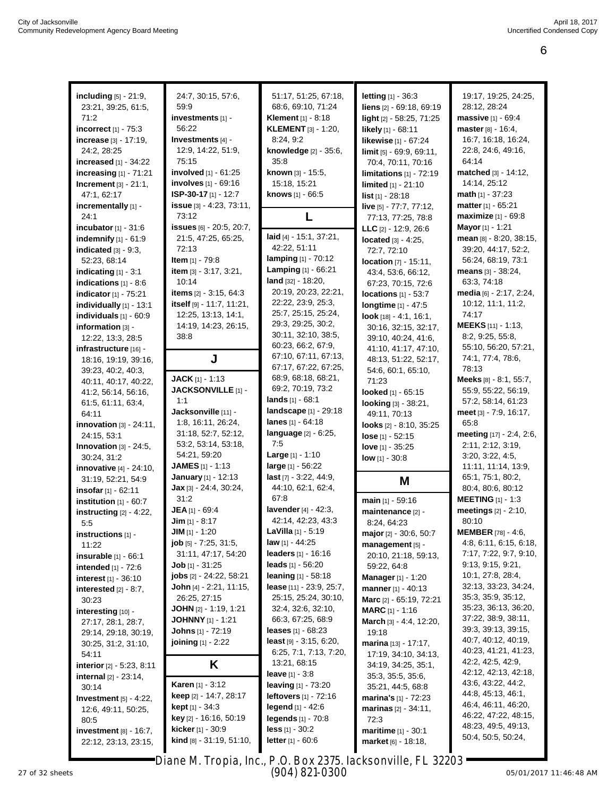| including [5] - 21:9,            | 24:7, 30:15, 57:6,                | 51:17, 51:25, 67:18,              | letting [1] - 36:3             | 19:17, 19:25, 24:25,                          |
|----------------------------------|-----------------------------------|-----------------------------------|--------------------------------|-----------------------------------------------|
| 23:21, 39:25, 61:5,              | 59:9                              | 68:6, 69:10, 71:24                | liens [2] - 69:18, 69:19       | 28:12, 28:24                                  |
| 71:2                             | investments [1] -                 | <b>Klement</b> [1] - 8:18         | light [2] - 58:25, 71:25       | massive [1] - 69:4                            |
| incorrect $[1]$ - 75:3           | 56:22                             | <b>KLEMENT</b> [3] - 1:20,        | likely [1] - 68:11             | master [8] - 16:4,                            |
| increase [3] - 17:19,            | Investments [4] -                 | 8:24, 9:2                         | likewise [1] - 67:24           | 16:7, 16:18, 16:24,                           |
|                                  | 12:9, 14:22, 51:9,                | knowledge [2] - 35:6,             |                                | 22:8, 24:6, 49:16,                            |
| 24:2, 28:25                      | 75:15                             | 35:8                              | limit [5] - 69:9, 69:11,       | 64:14                                         |
| increased $[1] - 34:22$          | involved [1] - 61:25              | known [3] - 15:5,                 | 70:4, 70:11, 70:16             | matched [3] - 14:12,                          |
| increasing $[1]$ - 71:21         | involves [1] - 69:16              | 15:18, 15:21                      | limitations $[1]$ - 72:19      | 14:14, 25:12                                  |
| Increment [3] - 21:1,            | ISP-30-17 $[1] - 12:7$            |                                   | limited [1] - 21:10            |                                               |
| 47:1, 62:17                      |                                   | knows [1] - 66:5                  | $list$ [1] - 28:18             | <b>math</b> $[1]$ - 37:23                     |
| incrementally [1] -              | issue [3] - 4:23, 73:11,          |                                   | live [5] - 77:7, 77:12,        | matter [1] - 65:21                            |
| 24:1                             | 73:12                             | L                                 | 77:13, 77:25, 78:8             | <b>maximize</b> [1] - 69:8                    |
| incubator $[1] - 31:6$           | <b>issues</b> [6] - 20:5, 20:7,   | laid [4] - 15:1, 37:21,           | LLC $[2] - 12:9, 26:6$         | Mayor [1] - 1:21                              |
| <b>indemnify</b> $[1] - 61:9$    | 21:5, 47:25, 65:25,               | 42:22, 51:11                      | <b>located</b> $[3] - 4:25$ ,  | mean [8] - 8:20, 38:15,                       |
| indicated $[3] - 9:3$ ,          | 72:13                             | lamping [1] - 70:12               | 72:7, 72:10                    | 39:20, 44:17, 52:2,                           |
| 52:23, 68:14                     | <b>Item</b> $[1]$ - 79:8          | Lamping [1] - 66:21               | <b>location</b> [7] - 15:11,   | 56:24, 68:19, 73:1                            |
| indicating [1] - 3:1             | item [3] - 3:17, 3:21,            | land [32] - 18:20,                | 43:4, 53:6, 66:12,             | means $[3] - 38:24$ ,                         |
| indications $[1] - 8:6$          | 10:14                             | 20:19, 20:23, 22:21,              | 67:23, 70:15, 72:6             | 63:3, 74:18                                   |
| indicator [1] - 75:21            | items [2] - 3:15, 64:3            | 22:22, 23:9, 25:3,                | locations $[1] - 53:7$         | media [6] - 2:17, 2:24,                       |
| individually [1] - 13:1          | itself [9] - 11:7, 11:21,         | 25:7, 25:15, 25:24,               | longtime [1] - 47:5            | 10:12, 11:1, 11:2,                            |
| individuals [1] - 60:9           | 12:25, 13:13, 14:1,               | 29:3, 29:25, 30:2,                | look [18] - 4:1, 16:1,         | 74:17                                         |
| information [3] -                | 14:19, 14:23, 26:15,              | 30:11, 32:10, 38:5,               | 30:16, 32:15, 32:17,           | MEEKS [11] - 1:13,                            |
| 12:22, 13:3, 28:5                | 38.8                              | 60:23, 66:2, 67:9,                | 39:10, 40:24, 41:6,            | 8:2, 9:25, 55:8,                              |
| infrastructure [16] -            |                                   | 67:10, 67:11, 67:13,              | 41:10, 41:17, 47:10,           | 55:10, 56:20, 57:21,                          |
| 18:16, 19:19, 39:16,             | J                                 | 67:17, 67:22, 67:25,              | 48:13, 51:22, 52:17,           | 74:1, 77:4, 78:6,<br>78:13                    |
| 39:23, 40:2, 40:3,               | <b>JACK</b> [1] $-1:13$           | 68:9, 68:18, 68:21,               | 54:6, 60:1, 65:10,             | Meeks [8] - 8:1, 55:7,                        |
| 40:11, 40:17, 40:22,             | JACKSONVILLE [1] -                | 69:2, 70:19, 73:2                 | 71:23                          | 55:9, 55:22, 56:19,                           |
| 41:2, 56:14, 56:16,              | 1:1                               | lands $[1] - 68.1$                | looked [1] - 65:15             |                                               |
| 61:5, 61:11, 63:4,               | Jacksonville [11] -               | landscape [1] - 29:18             | looking [3] - 38:21,           | 57:2, 58:14, 61:23                            |
| 64:11                            | 1:8, 16:11, 26:24,                | lanes $[1] - 64:18$               | 49:11, 70:13                   | meet [3] - 7:9, 16:17,<br>65:8                |
| innovation $[3] - 24:11$ ,       | 31:18, 52:7, 52:12,               | language [2] - 6:25,              | looks [2] - 8:10, 35:25        |                                               |
| 24:15, 53:1                      | 53:2, 53:14, 53:18,               | 7.5                               | $lose [1] - 52:15$             | meeting [17] - 2:4, 2:6,<br>2:11, 2:12, 3:19, |
| <b>Innovation</b> $[3] - 24:5$ , | 54:21, 59:20                      | <b>Large</b> $[1] - 1:10$         | love $[1] - 35:25$             | 3:20, 3:22, 4:5,                              |
| 30:24, 31:2                      | <b>JAMES</b> [1] - 1:13           | large [1] - 56:22                 | $low$ [1] - 30:8               | 11:11, 11:14, 13:9,                           |
| innovative [4] - 24:10,          |                                   |                                   |                                |                                               |
|                                  |                                   |                                   |                                |                                               |
| 31:19, 52:21, 54:9               | January [1] - 12:13               | last [7] - 3:22, 44:9,            | M                              | 65:1, 75:1, 80:2,                             |
| insofar [1] - 62:11              | Jax [3] - 24:4, 30:24,            | 44:10, 62:1, 62:4,                |                                | 80:4, 80:6, 80:12                             |
| institution $[1] - 60:7$         | 31:2                              | 67:8                              | main [1] - 59:16               | <b>MEETING</b> [1] - 1:3                      |
| instructing $[2] - 4:22$ ,       | JEA [1] - 69:4                    | lavender [4] - 42:3,              | maintenance [2] -              | meetings [2] - 2:10,                          |
| 5.5                              | $Jim$ [1] - 8:17                  | 42:14, 42:23, 43:3                | 8:24, 64:23                    | 80:10                                         |
| instructions $[1]$ -             | $JIM$ [1] $-$ 1:20                | <b>LaVilla</b> $[1] - 5:19$       | major [2] - 30:6, 50:7         | <b>MEMBER</b> $[78] - 4:6$                    |
| 11:22                            | $job$ [5] $-7:25$ , 31:5,         | <b>law</b> [1] - 44:25            | management [5] -               | 4:8, 6:11, 6:15, 6:18,                        |
| insurable [1] - 66:1             | 31:11, 47:17, 54:20               | leaders [1] - 16:16               | 20:10, 21:18, 59:13,           | 7:17, 7:22, 9:7, 9:10,                        |
| intended [1] - 72:6              | <b>Job</b> $[1] - 31:25$          | leads $[1] - 56:20$               | 59:22, 64:8                    | 9:13, 9:15, 9:21,                             |
| interest [1] - 36:10             | <b>jobs</b> [2] - 24:22, 58:21    | <b>leaning</b> $[1] - 58:18$      | <b>Manager</b> [1] - 1:20      | 10:1, 27:8, 28:4,                             |
| interested $[2] - 8:7$ ,         | John [4] $-2:21$ , 11:15,         | <b>lease</b> $[11] - 23.9, 25.7,$ | manner [1] - 40:13             | 32:13, 33:23, 34:24,                          |
| 30:23                            | 26:25, 27:15                      | 25:15, 25:24, 30:10,              | Marc [2] - 65:19, 72:21        | 35:3, 35:9, 35:12,                            |
| interesting $[10]$               | <b>JOHN</b> [2] - 1:19, 1:21      | 32:4, 32:6, 32:10,                | <b>MARC</b> [1] - 1:16         | 35:23, 36:13, 36:20,                          |
| 27:17, 28:1, 28:7,               | <b>JOHNNY</b> [1] - 1:21          | 66:3, 67:25, 68:9                 | March [3] - 4:4, 12:20,        | 37:22, 38:9, 38:11,                           |
| 29:14, 29:18, 30:19,             | <b>Johns</b> [1] - 72:19          | <b>leases</b> $[1] - 68:23$       | 19:18                          | 39:3, 39:13, 39:15,                           |
| 30:25, 31:2, 31:10,              | joining [1] - 2:22                | least $[9] - 3:15, 6:20,$         | marina [13] - 17:17,           | 40:7, 40:12, 40:19,                           |
| 54:11                            |                                   | 6:25, 7:1, 7:13, 7:20,            | 17:19, 34:10, 34:13,           | 40:23, 41:21, 41:23,                          |
| interior $[2] - 5:23, 8:11$      | K                                 | 13:21, 68:15                      | 34:19, 34:25, 35:1,            | 42:2, 42:5, 42:9,<br>42:12, 42:13, 42:18,     |
| internal [2] - 23:14,            |                                   | <b>leave</b> [1] $-3.8$           | 35:3, 35:5, 35:6,              | 43:6, 43:22, 44:2,                            |
| 30:14                            | <b>Karen</b> [1] - 3:12           | <b>leaving</b> $[1] - 73:20$      | 35:21, 44:5, 68:8              | 44:8, 45:13, 46:1,                            |
| Investment $[5] - 4:22$ ,        | <b>keep</b> [2] - 14:7, 28:17     | <b>leftovers</b> $[1] - 72:16$    | <b>marina's</b> $[1]$ - 72:23  | 46:4, 46:11, 46:20,                           |
| 12:6, 49:11, 50:25,              | <b>kept</b> [1] - 34:3            | <b>legend</b> $[1] - 42:6$        | <b>marinas</b> $[2] - 34:11$ , | 46:22, 47:22, 48:15,                          |
| 80.5                             | key [2] - 16:16, 50:19            | legends $[1] - 70.8$              | 72:3                           | 48:23, 49:5, 49:13,                           |
| investment $[8] - 16:7$ ,        | <b>kicker</b> [1] - 30:9          | $less$ [1] - 30:2                 | <b>maritime</b> $[1] - 30:1$   | 50:4, 50:5, 50:24,                            |
| 22:12, 23:13, 23:15,             | <b>kind</b> $[8] - 31:19, 51:10,$ | <b>letter</b> $[1] - 60.6$        | market [6] - 18:18,            |                                               |

27 of 32 sheets Page 6 to 6 of 11 05/01/2017 11:46:48 AM Diane M. Tropia, Inc., P.O. Box 2375, Jacksonville, FL 32203 (904) 821-0300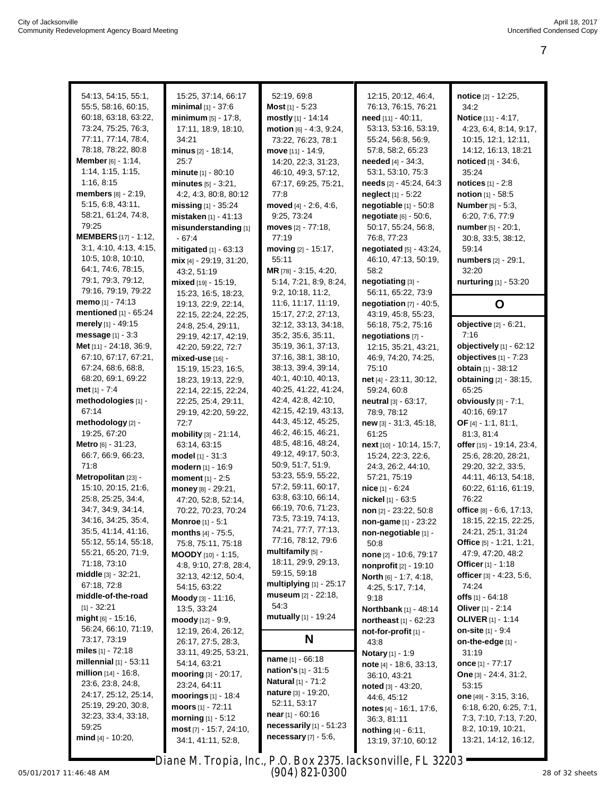| 54:13, 54:15, 55:1,          | 15:25, 37:14, 66:17                                          | 52:19, 69:8                                 | 12:15, 20:12, 46:4,                | notice [2] - 12:25,                        |
|------------------------------|--------------------------------------------------------------|---------------------------------------------|------------------------------------|--------------------------------------------|
| 55:5, 58:16, 60:15,          | minimal [1] - 37:6                                           | <b>Most</b> $[1] - 5:23$                    | 76:13, 76:15, 76:21                | 34:2                                       |
| 60:18, 63:18, 63:22,         | minimum [5] - 17:8,                                          | mostly [1] - 14:14                          | need [11] - 40:11,                 | Notice [11] - 4:17,                        |
| 73:24, 75:25, 76:3,          | 17:11, 18:9, 18:10,                                          | motion [6] - 4:3, 9:24,                     | 53:13, 53:16, 53:19,               | 4:23, 6:4, 8:14, 9:17,                     |
| 77:11, 77:14, 78:4,          | 34:21                                                        | 73:22, 76:23, 78:1                          | 55:24, 56:8, 56:9,                 | 10:15, 12:1, 12:11,                        |
| 78:18, 78:22, 80:8           | minus $[2] - 18:14$ ,                                        | move [11] - 14:9,                           | 57:8, 58:2, 65:23                  | 14:12, 16:13, 18:21                        |
| <b>Member</b> $[6] - 1:14$ , | 25:7                                                         | 14:20, 22:3, 31:23,                         | <b>needed</b> [4] - 34:3,          | noticed [3] - 34:6,                        |
| 1:14, 1:15, 1:15,            | minute [1] - 80:10                                           | 46:10, 49:3, 57:12,                         | 53:1, 53:10, 75:3                  | 35:24                                      |
| 1:16, 8:15                   | minutes $[5] - 3:21$ ,                                       | 67:17, 69:25, 75:21,                        | needs [2] - 45:24, 64:3            | notices [1] - 2:8                          |
| members [8] - 2:19,          | 4:2, 4:3, 80:8, 80:12                                        | 77:8                                        | neglect <sub>[1]</sub> - 5:22      | notion [1] - 58:5                          |
| 5:15, 6:8, 43:11,            | missing $[1] - 35:24$                                        | moved [4] - 2:6, 4:6,                       | negotiable [1] - 50:8              | <b>Number</b> [5] - 5:3,                   |
| 58:21, 61:24, 74:8,          | mistaken [1] - 41:13                                         | 9:25, 73:24                                 | negotiate [6] - 50:6,              | 6:20, 7:6, 77:9                            |
| 79:25                        | misunderstanding [1]                                         | moves [2] - 77:18,                          | 50:17, 55:24, 56:8,                | number [5] - 20:1,                         |
| <b>MEMBERS</b> [17] - 1:12,  | $-67:4$                                                      | 77:19                                       | 76:8, 77:23                        | 30:8, 33:5, 38:12,                         |
| 3:1, 4:10, 4:13, 4:15,       | mitigated [1] - 63:13                                        | moving $[2] - 15.17$ ,                      | negotiated [5] - 43:24,            | 59:14                                      |
| 10.5, 10:8, 10:10,           | mix [4] - 29:19, 31:20,                                      | 55:11                                       | 46:10, 47:13, 50:19,               | numbers [2] - 29:1,                        |
| 64:1, 74:6, 78:15,           | 43:2, 51:19                                                  | MR [78] - 3:15, 4:20,                       | 58:2                               | 32:20                                      |
| 79:1, 79:3, 79:12,           | mixed [19] - 15:19,                                          | 5:14, 7:21, 8:9, 8:24,                      | negotiating [3] -                  | nurturing [1] - 53:20                      |
| 79:16, 79:19, 79:22          | 15:23, 16:5, 18:23,                                          | 9.2, 10:18, 11:2,                           | 56:11, 65:22, 73:9                 |                                            |
| memo [1] - 74:13             | 19:13, 22:9, 22:14,                                          | 11:6, 11:17, 11:19,                         | negotiation $[7] - 40:5$ ,         | O                                          |
| mentioned [1] - 65:24        | 22:15, 22:24, 22:25,                                         | 15:17, 27:2, 27:13,                         | 43:19, 45:8, 55:23,                |                                            |
| merely [1] - 49:15           | 24:8, 25:4, 29:11,                                           | 32:12, 33:13, 34:18,                        | 56:18, 75:2, 75:16                 | objective [2] - 6:21,                      |
| message [1] - 3:3            | 29:19, 42:17, 42:19,                                         | 35:2, 35:6, 35:11,                          | negotiations [7] -                 | 7:16                                       |
| Met [11] - 24:18, 36:9,      | 42:20, 59:22, 72:7                                           | 35:19, 36:1, 37:13,                         | 12:15, 35:21, 43:21,               | objectively [1] - 62:12                    |
| 67:10, 67:17, 67:21,         | mixed-use [16] -                                             | 37:16, 38:1, 38:10,                         | 46:9, 74:20, 74:25,                | objectives [1] - 7:23                      |
| 67:24, 68:6, 68:8,           | 15:19, 15:23, 16:5,                                          | 38:13, 39:4, 39:14,                         | 75:10                              | obtain [1] - 38:12                         |
| 68:20, 69:1, 69:22           | 18:23, 19:13, 22:9,                                          | 40:1, 40:10, 40:13,                         | net [4] - 23:11, 30:12,            | obtaining [2] - 38:15,                     |
| met $[1] - 7:4$              | 22:14, 22:15, 22:24,                                         | 40:25, 41:22, 41:24,                        | 59:24, 60:8                        | 65:25                                      |
| methodologies [1] -          | 22:25, 25:4, 29:11,                                          | 42:4, 42:8, 42:10,                          | neutral [3] - 63:17,               | obviously [3] - 7:1,                       |
| 67:14                        | 29:19, 42:20, 59:22,                                         | 42:15, 42:19, 43:13,<br>44:3, 45:12, 45:25, | 78:9, 78:12                        | 40:16, 69:17                               |
| methodology [2] -            | 72:7                                                         | 46:2, 46:15, 46:21,                         | new [3] - 31:3, 45:18,             | OF [4] - 1:1, 81:1,                        |
| 19:25, 67:20                 | mobility [3] - 21:14,                                        | 48:5, 48:16, 48:24,                         | 61:25                              | 81:3, 81:4                                 |
| Metro [6] - 31:23,           | 63:14, 63:15                                                 | 49:12, 49:17, 50:3,                         | next [10] - 10:14, 15:7,           | offer [15] - 19:14, 23:4,                  |
| 66:7, 66:9, 66:23,<br>71:8   | model [1] - 31:3                                             | 50:9, 51:7, 51:9,                           | 15:24, 22:3, 22:6,                 | 25:6, 28:20, 28:21,                        |
| Metropolitan [23] -          | modern [1] - 16:9<br>moment [1] - 2:5                        | 53:23, 55:9, 55:22,                         | 24:3, 26:2, 44:10,<br>57:21, 75:19 | 29:20, 32:2, 33:5,<br>44:11, 46:13, 54:18, |
| 15:10, 20:15, 21:6,          |                                                              | 57:2, 59:11, 60:17,                         | nice [1] - 6:24                    | 60:22, 61:16, 61:19,                       |
| 25:8, 25:25, 34:4,           | money [8] - 29:21,                                           | 63:8, 63:10, 66:14,                         | nickel [1] - 63:5                  | 76:22                                      |
| 34:7, 34:9, 34:14,           | 47:20, 52:8, 52:14,                                          | 66:19, 70:6, 71:23,                         | non [2] - 23:22, 50:8              | office $[8] - 6.6, 17.13,$                 |
| 34:16, 34:25, 35:4,          | 70:22, 70:23, 70:24<br><b>Monroe</b> [1] - 5:1               | 73:5, 73:19, 74:13,                         | non-game [1] - 23:22               | 18:15, 22:15, 22:25,                       |
| 35:5, 41:14, 41:16,          | <b>months</b> $[4] - 75:5$ ,                                 | 74:21, 77:7, 77:13,                         | non-negotiable [1] -               | 24:21, 25:1, 31:24                         |
| 55:12, 55:14, 55:18,         | 75:8, 75:11, 75:18                                           | 77:16, 78:12, 79:6                          | 50:8                               | Office [5] - 1:21, 1:21,                   |
| 55:21, 65:20, 71:9,          | MOODY [10] - 1:15,                                           | multifamily [5] -                           | none [2] - 10:6, 79:17             | 47:9, 47:20, 48:2                          |
| 71:18, 73:10                 | 4:8, 9:10, 27:8, 28:4,                                       | 18:11, 29:9, 29:13,                         | nonprofit [2] - 19:10              | Officer [1] - 1:18                         |
| <b>middle</b> [3] - 32:21,   | 32:13, 42:12, 50:4,                                          | 59:15, 59:18                                | North [6] - 1:7, 4:18,             | officer [3] - 4:23, 5:6,                   |
| 67:18, 72:8                  | 54:15, 63:22                                                 | multiplying [1] - 25:17                     | 4:25, 5:17, 7:14,                  | 74:24                                      |
| middle-of-the-road           | Moody [3] - 11:16,                                           | museum [2] - 22:18,                         | 9:18                               | offs $[1] - 64.18$                         |
| $[1] - 32:21$                | 13:5, 33:24                                                  | 54:3                                        | Northbank [1] - 48:14              | Oliver [1] - 2:14                          |
| $mid_{[6]}$ - 15:16,         | moody [12] - 9:9,                                            | mutually [1] - 19:24                        | northeast [1] - 62:23              | <b>OLIVER</b> [1] - 1:14                   |
| 56:24, 66:10, 71:19,         | 12:19, 26:4, 26:12,                                          |                                             | not-for-profit [1] -               | on-site [1] - 9:4                          |
| 73:17, 73:19                 | 26:17, 27:5, 28:3,                                           | N                                           | 43:8                               | on-the-edge [1] -                          |
| miles $[1] - 72:18$          | 33:11, 49:25, 53:21,                                         |                                             | <b>Notary</b> [1] - 1:9            | 31:19                                      |
| millennial $[1] - 53:11$     | 54:14, 63:21                                                 | <b>name</b> $[1] - 66:18$                   | note [4] - 18:6, 33:13,            | once [1] - 77:17                           |
| million [14] - 16:8,         | mooring [3] - 20:17,                                         | <b>nation's</b> $[1] - 31:5$                | 36:10, 43:21                       | <b>One</b> $[3] - 24:4, 31:2,$             |
| 23:6, 23:8, 24:8,            | 23:24, 64:11                                                 | <b>Natural</b> [1] - 71:2                   | noted [3] - 43:20,                 | 53:15                                      |
| 24:17, 25:12, 25:14,         | moorings $[1] - 18.4$                                        | nature [3] - 19:20,                         | 44:6, 45:12                        | one [49] - 3:15, 3:16,                     |
| 25:19, 29:20, 30:8,          | moors [1] - 72:11                                            | 52:11, 53:17                                | notes $[4] - 16.1, 17.6$ ,         | 6:18, 6:20, 6:25, 7:1,                     |
| 32:23, 33:4, 33:18,          | morning $[1] - 5.12$                                         | <b>near</b> [1] - 60:16                     | 36:3, 81:11                        | 7:3, 7:10, 7:13, 7:20,                     |
| 59:25                        | most [7] - 15:7, 24:10,                                      | necessarily $[1] - 51:23$                   | <b>nothing</b> $[4] - 6:11$ ,      | 8:2, 10:19, 10:21,                         |
| mind $[4] - 10:20$ ,         | 34:1, 41:11, 52:8,                                           | necessary [7] - 5:6,                        | 13:19, 37:10, 60:12                | 13:21, 14:12, 16:12,                       |
|                              |                                                              |                                             |                                    |                                            |
|                              | Diane M. Tropia, Inc., P.O. Box 2375. Jacksonville, FL 32203 |                                             |                                    |                                            |

05/01/2017 11:46:48 AM Page 7 to 7 of 11 28 of 32 sheets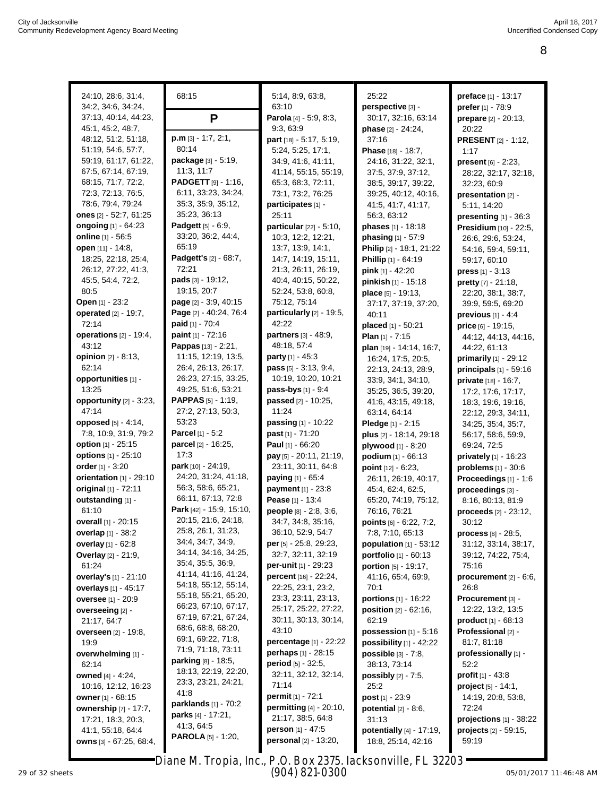| 24:10, 28:6, 31:4,                 | 68:15                                | 5:14, 8:9, 63:8,                  | 25:22                            | preface [1] - 13:17                |
|------------------------------------|--------------------------------------|-----------------------------------|----------------------------------|------------------------------------|
| 34:2, 34:6, 34:24,                 |                                      | 63:10                             | perspective [3] -                | prefer [1] - 78:9                  |
| 37:13, 40:14, 44:23,               | P                                    | Parola [4] - 5:9, 8:3,            | 30:17, 32:16, 63:14              |                                    |
| 45:1, 45:2, 48:7,                  |                                      | 9:3, 63:9                         | phase [2] - 24:24,               | prepare [2] - 20:13,<br>20:22      |
| 48:12, 51:2, 51:18,                | $p.m$ [3] $-1:7, 2:1,$               | part [18] - 5:17, 5:19,           | 37:16                            |                                    |
| 51:19, 54:6, 57:7,                 | 80:14                                | 5:24, 5:25, 17:1,                 | <b>Phase</b> [18] - 18:7,        | <b>PRESENT</b> [2] - 1:12,<br>1:17 |
| 59:19, 61:17, 61:22,               | package [3] - 5:19,                  | 34:9, 41:6, 41:11,                | 24:16, 31:22, 32:1,              | <b>present</b> $[6] - 2:23$ ,      |
| 67:5, 67:14, 67:19,                | 11:3, 11:7                           | 41:14, 55:15, 55:19,              | 37:5, 37:9, 37:12,               | 28:22, 32:17, 32:18,               |
| 68:15, 71:7, 72:2,                 | <b>PADGETT</b> $[9] - 1:16$ ,        | 65:3, 68:3, 72:11,                | 38:5, 39:17, 39:22,              | 32:23, 60:9                        |
| 72:3, 72:13, 76:5,                 | 6:11, 33:23, 34:24,                  | 73:1, 73:2, 76:25                 | 39:25, 40:12, 40:16,             | presentation [2] -                 |
| 78:6, 79:4, 79:24                  | 35:3, 35:9, 35:12,                   | participates [1] -                | 41:5, 41:7, 41:17,               | 5:11, 14:20                        |
| ones [2] - 52:7, 61:25             | 35:23, 36:13                         | 25:11                             | 56:3, 63:12                      |                                    |
| ongoing [1] - 64:23                | Padgett [5] - 6:9,                   | <b>particular</b> $[22] - 5:10$ , | <b>phases</b> [1] - 18:18        | presenting $[1]$ - 36:3            |
| online [1] - 56:5                  | 33:20, 36:2, 44:4,                   | 10:3, 12:2, 12:21,                | phasing [1] - 57:9               | Presidium [10] - 22:5,             |
| open [11] - 14:8,                  | 65:19                                | 13:7, 13:9, 14:1,                 | Philip [2] - 18:1, 21:22         | 26:6, 29:6, 53:24,                 |
| 18:25, 22:18, 25:4,                | Padgett's [2] - 68:7,                | 14:7, 14:19, 15:11,               |                                  | 54:16, 59:4, 59:11,                |
| 26:12, 27:22, 41:3,                | 72:21                                | 21:3, 26:11, 26:19,               | Phillip [1] - 64:19              | 59:17, 60:10                       |
| 45:5, 54:4, 72:2,                  | <b>pads</b> $[3] - 19:12$ ,          | 40:4, 40:15, 50:22,               | pink [1] - 42:20                 | <b>press</b> $[1] - 3:13$          |
| 80.5                               | 19:15, 20:7                          | 52:24, 53:8, 60:8,                | pinkish [1] - 15:18              | <b>pretty</b> $[7] - 21:18$ ,      |
| Open [1] - 23:2                    | page [2] - 3:9, 40:15                | 75:12, 75:14                      | place [5] - 19:13,               | 22:20, 38:1, 38:7,                 |
| operated [2] - 19:7,               | Page [2] - 40:24, 76:4               | particularly [2] - 19:5,          | 37:17, 37:19, 37:20,             | 39:9, 59:5, 69:20                  |
|                                    |                                      | 42:22                             | 40:11                            | previous $[1] - 4.4$               |
| 72:14                              | paid [1] - 70:4<br>paint [1] - 72:16 | partners [3] - 48:9,              | placed [1] - 50:21               | <b>price</b> [6] - 19:15,          |
| operations $[2] - 19:4$ ,<br>43:12 |                                      | 48:18, 57:4                       | Plan $[1] - 7:15$                | 44:12, 44:13, 44:16,               |
|                                    | Pappas [13] - 2:21,                  |                                   | plan [19] - 14:14, 16:7,         | 44:22, 61:13                       |
| opinion [2] - 8:13,                | 11:15, 12:19, 13:5,                  | <b>party</b> $[1] - 45:3$         | 16:24, 17:5, 20:5,               | <b>primarily</b> $[1] - 29.12$     |
| 62:14                              | 26:4, 26:13, 26:17,                  | <b>pass</b> $[5] - 3:13, 9:4,$    | 22:13, 24:13, 28:9,              | <b>principals</b> $[1]$ - 59:16    |
| opportunities [1] -                | 26:23, 27:15, 33:25,                 | 10:19, 10:20, 10:21               | 33:9, 34:1, 34:10,               | private [18] - 16:7,               |
| 13:25                              | 49:25, 51:6, 53:21                   | pass-bys [1] - 9:4                | 35:25, 36:5, 39:20,              | 17:2, 17:6, 17:17,                 |
| opportunity [2] - 3:23,            | <b>PAPPAS</b> $[5] - 1:19$ ,         | passed [2] - 10:25,               | 41:6, 43:15, 49:18,              | 18:3, 19:6, 19:16,                 |
| 47:14                              | 27:2, 27:13, 50:3,                   | 11:24                             | 63:14, 64:14                     | 22:12, 29:3, 34:11,                |
| opposed [5] - 4:14,                | 53:23                                | <b>passing</b> $[1] - 10:22$      | Pledge $[1] - 2:15$              | 34:25, 35:4, 35:7,                 |
| 7:8, 10:9, 31:9, 79:2              | Parcel [1] - 5:2                     | past [1] - 71:20                  | plus [2] - 18:14, 29:18          | 56:17, 58:6, 59:9,                 |
| option [1] - 25:15                 | parcel [2] - 16:25,                  | Paul $[1] - 66:20$                | plywood [1] - 8:20               | 69:24, 72:5                        |
| options [1] - 25:10                | 17:3                                 | pay [5] - 20:11, 21:19,           | podium $[1] - 66:13$             | <b>privately</b> $[1] - 16:23$     |
| order [1] - 3:20                   | <b>park</b> [10] - 24:19,            | 23:11, 30:11, 64:8                | point $[12] - 6:23$ ,            | <b>problems</b> $[1] - 30:6$       |
| orientation [1] - 29:10            | 24:20, 31:24, 41:18,                 | paying [1] - 65:4                 | 26:11, 26:19, 40:17,             | Proceedings [1] - 1:6              |
| original [1] - 72:11               | 56:3, 58:6, 65:21,                   | payment [1] - 23:8                | 45:4, 62:4, 62:5,                | proceedings [3] -                  |
| outstanding [1] -                  | 66:11, 67:13, 72:8                   | Pease [1] - 13:4                  | 65:20, 74:19, 75:12,             | 8:16, 80:13, 81:9                  |
| 61:10                              | Park [42] - 15:9, 15:10,             | people [8] - 2:8, 3:6,            | 76:16, 76:21                     | proceeds [2] - 23:12,              |
| overall [1] - 20:15                | 20:15, 21:6, 24:18,                  | 34:7, 34:8, 35:16,                | <b>points</b> $[6] - 6:22, 7:2,$ | 30:12                              |
| <b>overlap</b> $[1] - 38.2$        | 25:8, 26:1, 31:23,                   | 36:10, 52:9, 54:7                 | 7:8, 7:10, 65:13                 | <b>process</b> $[8] - 28.5$ ,      |
| overlay [1] - 62:8                 | 34:4, 34:7, 34:9,                    | per [5] - 25:8, 29:23,            | population [1] - 53:12           | 31:12, 33:14, 38:17,               |
| <b>Overlay</b> [2] - 21:9,         | 34:14, 34:16, 34:25,                 | 32:7, 32:11, 32:19                | portfolio [1] - 60:13            | 39:12, 74:22, 75:4,                |
| 61:24                              | 35:4, 35:5, 36:9,                    | per-unit [1] - 29:23              | <b>portion</b> $[5] - 19:17$ ,   | 75:16                              |
| overlay's [1] - 21:10              | 41:14, 41:16, 41:24,                 | percent [16] - 22:24,             | 41:16, 65:4, 69:9,               | procurement $[2] - 6:6$ ,          |
| <b>overlays</b> [1] - 45:17        | 54:18, 55:12, 55:14,                 | 22:25, 23:1, 23:2,                | 70:1                             | 26:8                               |
| <b>oversee</b> [1] - 20:9          | 55:18, 55:21, 65:20,                 | 23:3, 23:11, 23:13,               | <b>portions</b> $[1] - 16:22$    | Procurement [3] -                  |
| overseeing [2] -                   | 66:23, 67:10, 67:17,                 | 25:17, 25:22, 27:22,              | position [2] - 62:16,            | 12:22, 13:2, 13:5                  |
| 21:17, 64:7                        | 67:19, 67:21, 67:24,                 | 30:11, 30:13, 30:14,              | 62:19                            | product [1] - 68:13                |
| <b>overseen</b> [2] - 19:8,        | 68.6, 68.8, 68.20,                   | 43:10                             | possession $[1] - 5:16$          | Professional [2] -                 |
| 19:9                               | 69:1, 69:22, 71:8,                   | percentage [1] - 22:22            | possibility $[1]$ - 42:22        | 81:7, 81:18                        |
| overwhelming [1] -                 | 71:9, 71:18, 73:11                   | perhaps [1] - 28:15               | <b>possible</b> $[3] - 7:8$ ,    | professionally [1] -               |
| 62:14                              | parking [8] - 18:5,                  | <b>period</b> $[5] - 32:5$ ,      | 38:13, 73:14                     | 52:2                               |
| <b>owned</b> [4] - 4:24,           | 18:13, 22:19, 22:20,                 | 32:11, 32:12, 32:14,              | <b>possibly</b> $[2] - 7:5$ ,    | <b>profit</b> $[1] - 43.8$         |
| 10:16, 12:12, 16:23                | 23:3, 23:21, 24:21,                  | 71:14                             | 25:2                             | <b>project</b> $[5] - 14:1,$       |
| owner [1] - 68:15                  | 41:8                                 | permit [1] - 72:1                 | <b>post</b> $[1] - 23:9$         | 14:19, 20:8, 53:8,                 |
| ownership [7] - 17:7,              | parklands $[1]$ - 70:2               | <b>permitting</b> $[4] - 20:10$ , | potential $[2] - 8.6$ ,          | 72:24                              |
| 17:21, 18:3, 20:3,                 | <b>parks</b> $[4] - 17:21$ ,         | 21:17, 38:5, 64:8                 | 31:13                            | projections $[1]$ - 38:22          |
| 41:1, 55:18, 64:4                  | 41:3, 64:5                           | person [1] - 47:5                 | potentially [4] - 17:19,         | <b>projects</b> $[2] - 59:15$ ,    |
| owns [3] - 67:25, 68:4,            | <b>PAROLA</b> [5] - 1:20,            | personal [2] - 13:20,             | 18:8, 25:14, 42:16               | 59:19                              |

Diane M. Tropia, Inc., P.O. Box 2375, Jacksonville, FL 32203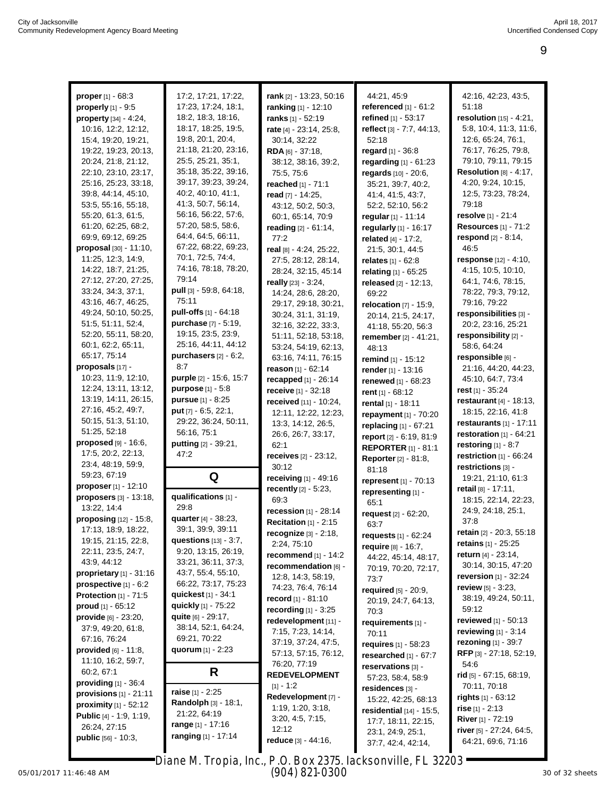|                                  | 17:2, 17:21, 17:22,            |                               | 44:21, 45:9                             |                                                        |
|----------------------------------|--------------------------------|-------------------------------|-----------------------------------------|--------------------------------------------------------|
| <b>proper</b> $[1] - 68.3$       |                                | rank [2] - 13:23, 50:16       |                                         | 42:16, 42:23, 43:5,                                    |
| properly [1] - 9:5               | 17:23, 17:24, 18:1,            | ranking [1] - 12:10           | referenced $[1] - 61:2$                 | 51:18                                                  |
| property [34] - 4:24,            | 18:2, 18:3, 18:16,             | ranks [1] - 52:19             | refined [1] - 53:17                     | resolution [15] - 4:21,                                |
| 10:16, 12:2, 12:12,              | 18:17, 18:25, 19:5,            | rate [4] - 23:14, 25:8,       | reflect [3] - 7:7, 44:13,               | 5:8, 10:4, 11:3, 11:6,                                 |
| 15:4, 19:20, 19:21,              | 19:8, 20:1, 20:4,              | 30:14, 32:22                  | 52:18                                   | 12:6, 65:24, 76:1,                                     |
| 19:22, 19:23, 20:13,             | 21:18, 21:20, 23:16,           | RDA [6] - 37:18,              | regard $[1] - 36.8$                     | 76:17, 76:25, 79:8,                                    |
| 20:24, 21:8, 21:12,              | 25:5, 25:21, 35:1,             | 38:12, 38:16, 39:2,           | regarding $[1] - 61:23$                 | 79:10, 79:11, 79:15                                    |
| 22:10, 23:10, 23:17,             | 35:18, 35:22, 39:16,           | 75:5, 75:6                    | regards [10] - 20:6,                    | Resolution $[8] - 4:17$ ,                              |
| 25:16, 25:23, 33:18,             | 39:17, 39:23, 39:24,           | reached [1] - 71:1            | 35:21, 39:7, 40:2,                      | 4:20, 9:24, 10:15,                                     |
| 39:8, 44:14, 45:10,              | 40:2, 40:10, 41:1,             | read [7] - 14:25,             | 41:4, 41:5, 43:7,                       | 12:5, 73:23, 78:24,                                    |
| 53:5, 55:16, 55:18,              | 41:3, 50:7, 56:14,             | 43:12, 50:2, 50:3,            | 52:2, 52:10, 56:2                       | 79:18                                                  |
| 55:20, 61:3, 61:5,               | 56:16, 56:22, 57:6,            | 60:1, 65:14, 70:9             | regular [1] - 11:14                     | resolve [1] - 21:4                                     |
| 61:20, 62:25, 68:2,              | 57:20, 58:5, 58:6,             | reading [2] - 61:14,          | regularly $[1] - 16:17$                 | <b>Resources</b> [1] - 71:2                            |
| 69:9, 69:12, 69:25               | 64:4, 64:5, 66:11,             | 77:2                          | related [4] - 17:2,                     | respond [2] - 8:14,                                    |
| $proposal$ [30] - 11:10,         | 67:22, 68:22, 69:23,           | real [8] - 4:24, 25:22,       | 21:5, 30:1, 44:5                        | 46:5                                                   |
| 11:25, 12:3, 14:9,               | 70:1, 72:5, 74:4,              | 27:5, 28:12, 28:14,           | relates [1] - 62:8                      | response [12] - 4:10,                                  |
| 14:22, 18:7, 21:25,              | 74:16, 78:18, 78:20,           | 28:24, 32:15, 45:14           | relating $[1] - 65:25$                  | 4:15, 10:5, 10:10,                                     |
| 27:12, 27:20, 27:25,             | 79:14                          | really [23] - 3:24,           | released [2] - 12:13,                   | 64:1, 74:6, 78:15,                                     |
| 33:24, 34:3, 37:1,               | pull [3] - 59:8, 64:18,        | 14:24, 28:6, 28:20,           | 69:22                                   | 78:22, 79:3, 79:12,                                    |
| 43:16, 46:7, 46:25,              | 75:11                          | 29:17, 29:18, 30:21,          | relocation $[7] - 15.9$ ,               | 79:16, 79:22                                           |
| 49:24, 50:10, 50:25,             | pull-offs [1] - 64:18          | 30:24, 31:1, 31:19,           | 20:14, 21:5, 24:17,                     | responsibilities [3] -                                 |
| 51:5, 51:11, 52:4,               | purchase [7] - 5:19,           | 32:16, 32:22, 33:3,           | 41:18, 55:20, 56:3                      | 20:2, 23:16, 25:21                                     |
| 52:20, 55:11, 58:20,             | 19:15, 23:5, 23:9,             | 51:11, 52:18, 53:18,          | <b>remember</b> $[2] - 41:21$ ,         | responsibility [2] -                                   |
| 60:1, 62:2, 65:11,               | 25:16, 44:11, 44:12            | 53:24, 54:19, 62:13,          | 48:13                                   | 58:6, 64:24                                            |
| 65:17, 75:14                     | purchasers $[2] - 6:2$ ,       | 63:16, 74:11, 76:15           | remind [1] - 15:12                      | responsible [6] -                                      |
| proposals $[17]$ -               | 8:7                            | reason [1] - 62:14            | render [1] - 13:16                      | 21:16, 44:20, 44:23,                                   |
| 10:23, 11:9, 12:10,              | purple [2] - 15:6, 15:7        | <b>recapped</b> $[1] - 26:14$ | renewed [1] - 68:23                     | 45:10, 64:7, 73:4                                      |
| 12:24, 13:11, 13:12,             | <b>purpose</b> $[1] - 5.8$     | receive [1] - 32:18           | rent [1] - 68:12                        | rest $[1] - 35:24$                                     |
| 13:19, 14:11, 26:15,             | pursue [1] - 8:25              | received [11] - 10:24,        | rental [1] - 18:11                      | <b>restaurant</b> $[4] - 18:13$ ,                      |
| 27:16, 45:2, 49:7,               | put [7] - 6:5, 22:1,           | 12:11, 12:22, 12:23,          | repayment [1] - 70:20                   | 18:15, 22:16, 41:8                                     |
| 50:15, 51:3, 51:10,              | 29:22, 36:24, 50:11,           | 13:3, 14:12, 26:5,            | replacing [1] - 67:21                   | restaurants $[1] - 17:11$                              |
| 51:25, 52:18                     | 56:16, 75:1                    | 26:6, 26:7, 33:17,            | report [2] - 6:19, 81:9                 | restoration $[1] - 64:21$                              |
| proposed [9] - 16:6,             | putting [2] - 39:21,           | 62:1                          | <b>REPORTER [1] - 81:1</b>              | restoring $[1] - 8.7$                                  |
| 17:5, 20:2, 22:13,               | 47:2                           | receives [2] - 23:12,         |                                         |                                                        |
|                                  |                                |                               |                                         |                                                        |
| 23:4, 48:19, 59:9,               |                                | 30:12                         | <b>Reporter</b> [2] - 81:8,             | restriction [1] - 66:24                                |
| 59:23, 67:19                     |                                |                               | 81:18                                   | restrictions [3] -                                     |
| proposer [1] - 12:10             | Q                              | receiving [1] - 49:16         | represent [1] - 70:13                   | 19:21, 21:10, 61:3                                     |
| proposers [3] - 13:18,           | qualifications [1] -           | recently [2] - 5:23,          | representing [1] -                      | retail $[8] - 17:11$ ,                                 |
| 13:22, 14:4                      | 29:8                           | 69:3                          | 65:1                                    | 18:15, 22:14, 22:23,                                   |
| proposing [12] - 15:8,           | quarter [4] - 38:23,           | recession [1] - 28:14         | request $[2] - 62:20$ ,                 | 24:9, 24:18, 25:1,                                     |
| 17:13, 18:9, 18:22,              | 39:1, 39:9, 39:11              | <b>Recitation</b> [1] - 2:15  | 63:7                                    | 37:8                                                   |
| 19:15, 21:15, 22:8,              | questions $[13] - 3:7$ ,       | recognize $[3] - 2:18$ ,      | requests $[1] - 62:24$                  | <b>retain</b> [2] - 20:3, 55:18<br>retains [1] - 25:25 |
| 22:11, 23:5, 24:7,               | 9:20, 13:15, 26:19,            | 2:24, 75:10                   | require [8] - 16:7,                     |                                                        |
| 43:9, 44:12                      | 33:21, 36:11, 37:3,            | recommend $[1] - 14:2$        | 44:22, 45:14, 48:17,                    | return [4] - 23:14,                                    |
| proprietary $[1] - 31:16$        | 43:7, 55:4, 55:10,             | recommendation [6] -          | 70:19, 70:20, 72:17,                    | 30:14, 30:15, 47:20                                    |
| prospective $[1] - 6:2$          | 66:22, 73:17, 75:23            | 12:8, 14:3, 58:19,            | 73:7                                    | <b>reversion</b> $[1]$ - 32:24                         |
| <b>Protection</b> $[1]$ - 71:5   | quickest [1] - 34:1            | 74:23, 76:4, 76:14            | required $[5] - 20.9$ ,                 | review [5] - 3:23,                                     |
| proud $[1] - 65:12$              | quickly [1] - 75:22            | record $[1] - 81:10$          | 20:19, 24:7, 64:13,                     | 38:19, 49:24, 50:11,                                   |
| $provide [6] - 23:20,$           | quite [6] - 29:17,             | recording $[1] - 3:25$        | 70:3                                    | 59:12                                                  |
| 37:9, 49:20, 61:8,               | 38:14, 52:1, 64:24,            | redevelopment [11] -          | requirements $[1]$ -                    | reviewed $[1] - 50:13$                                 |
| 67:16, 76:24                     | 69:21, 70:22                   | 7:15, 7:23, 14:14,            | 70:11                                   | <b>reviewing</b> $[1] - 3:14$                          |
| <b>provided</b> $[6] - 11.8$ ,   | quorum $[1] - 2:23$            | 37:19, 37:24, 47:5,           | requires $[1] - 58:23$                  | rezoning [1] - 39:7                                    |
| 11:10, 16:2, 59:7,               |                                | 57:13, 57:15, 76:12,          | researched [1] - 67:7                   | <b>RFP</b> [3] - 27:18, 52:19,                         |
| 60:2, 67:1                       | R                              | 76:20, 77:19                  | reservations [3] -                      | 54:6                                                   |
| providing $[1]$ - 36:4           |                                | <b>REDEVELOPMENT</b>          | 57:23, 58:4, 58:9                       | rid [5] - 67:15, 68:19,                                |
| <b>provisions</b> $[1] - 21:11$  | <b>raise</b> $[1] - 2:25$      | $[1] - 1:2$                   | residences [3] -                        | 70:11, 70:18                                           |
| <b>proximity</b> $[1] - 52:12$   | <b>Randolph</b> $[3] - 18:1$ , | Redevelopment [7] -           | 15:22, 42:25, 68:13                     | <b>rights</b> $[1] - 63:12$                            |
| <b>Public</b> $[4] - 1:9, 1:19,$ | 21:22, 64:19                   | 1:19, 1:20, 3:18,             | <b>residential</b> $[14] - 15:5$ ,      | rise $[1] - 2:13$                                      |
| 26:24, 27:15                     | range [1] - 17:16              | 3:20, 4:5, 7:15,<br>12:12     | 17:7, 18:11, 22:15,                     | <b>River</b> $[1] - 72:19$                             |
| <b>public</b> $[56] - 10:3$ ,    | <b>ranging</b> [1] - 17:14     | reduce [3] - 44:16,           | 23:1, 24:9, 25:1,<br>37:7, 42:4, 42:14, | <b>river</b> [5] $-27:24, 64:5,$<br>64:21, 69:6, 71:16 |

05/01/2017 11:46:48 AM Page 9 to 9 of 11 30 of 32 sheets Diane M. Tropia, Inc., P.O. Box 2375, Jacksonville, FL 32203 (904) 821-0300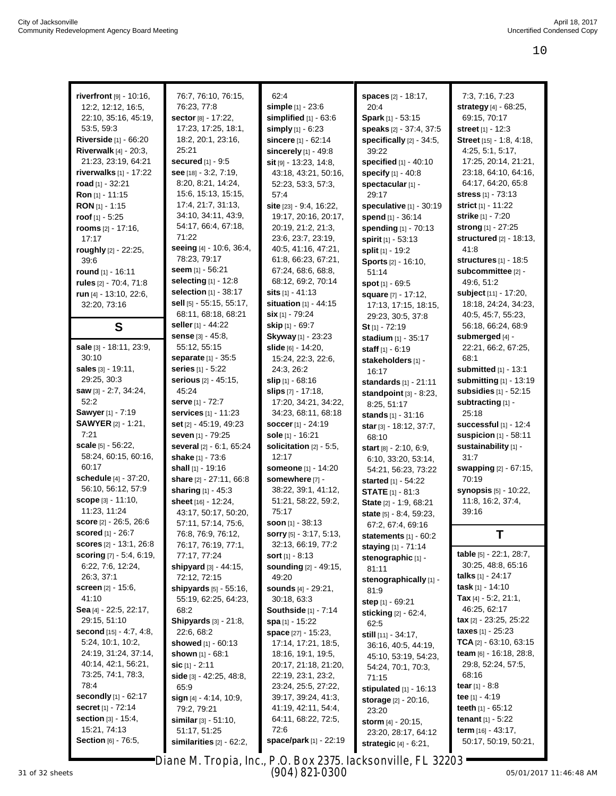| riverfront $[9] - 10:16$ ,         | 76:7, 76:10, 76:15,             | 62:4                           | spaces [2] - 18:17,             | 7:3, 7:16, 7:23                 |
|------------------------------------|---------------------------------|--------------------------------|---------------------------------|---------------------------------|
| 12:2, 12:12, 16:5,                 | 76:23, 77:8                     | simple [1] - 23:6              | 20:4                            | strategy [4] - 68:25,           |
| 22:10, 35:16, 45:19,               | sector [8] - 17:22,             | simplified $[1] - 63:6$        | Spark [1] - 53:15               | 69:15, 70:17                    |
| 53:5, 59:3                         | 17:23, 17:25, 18:1,             |                                |                                 | <b>street</b> [1] - 12:3        |
|                                    | 18:2, 20:1, 23:16,              | simply [1] - 6:23              | speaks [2] - 37:4, 37:5         |                                 |
| <b>Riverside</b> $[1] - 66:20$     |                                 | sincere [1] - 62:14            | specifically $[2] - 34:5$ ,     | <b>Street</b> [15] - 1:8, 4:18, |
| <b>Riverwalk</b> $[4] - 20:3$ ,    | 25:21                           | sincerely $[1]$ - 49:8         | 39:22                           | 4:25, 5:1, 5:17,                |
| 21:23, 23:19, 64:21                | <b>secured</b> [1] - 9:5        | $s$ it [9] - 13:23, 14:8,      | specified [1] - 40:10           | 17:25, 20:14, 21:21,            |
| <b>riverwalks</b> $[1] - 17:22$    | see [18] - 3:2, 7:19,           | 43:18, 43:21, 50:16,           | specify [1] - 40:8              | 23:18, 64:10, 64:16,            |
| road $[1] - 32:21$                 | 8:20, 8:21, 14:24,              | 52:23, 53:3, 57:3,             | spectacular [1] -               | 64:17, 64:20, 65:8              |
| <b>Ron</b> [1] - 11:15             | 15:6, 15:13, 15:15,             | 57:4                           | 29:17                           | <b>stress</b> [1] - 73:13       |
| <b>RON</b> $[1]$ - 1:15            | 17:4, 21:7, 31:13,              | site [23] - 9:4, 16:22,        | speculative [1] - 30:19         | strict [1] - 11:22              |
| $root_{[1]} - 5:25$                | 34:10, 34:11, 43:9,             | 19:17, 20:16, 20:17,           | spend [1] - 36:14               | <b>strike</b> [1] - 7:20        |
| <b>rooms</b> $[2] - 17:16$ ,       | 54:17, 66:4, 67:18,             | 20:19, 21:2, 21:3,             | spending [1] - 70:13            | strong [1] - 27:25              |
| 17:17                              | 71:22                           | 23:6, 23:7, 23:19,             | spirit [1] - 53:13              | structured [2] - 18:13,         |
| roughly [2] - 22:25,               | seeing [4] - 10:6, 36:4,        | 40:5, 41:16, 47:21,            | split [1] - 19:2                | 41:8                            |
| 39:6                               | 78:23, 79:17                    | 61:8, 66:23, 67:21,            | Sports [2] - 16:10,             | structures $[1]$ - 18:5         |
| <b>round</b> $[1] - 16:11$         | seem [1] - 56:21                | 67:24, 68:6, 68:8,             | 51:14                           | subcommittee [2] -              |
| rules [2] - 70:4, 71:8             | selecting $[1]$ - 12:8          | 68:12, 69:2, 70:14             | <b>spot</b> $[1] - 69:5$        | 49:6, 51:2                      |
| run $[4] - 13:10, 22:6,$           | selection [1] - 38:17           | <b>sits</b> [1] - 41:13        | square [7] - 17:12,             | subject [11] - 17:20,           |
| 32:20, 73:16                       | <b>sell</b> [5] - 55:15, 55:17, | <b>situation</b> $[1] - 44:15$ | 17:13, 17:15, 18:15,            | 18:18, 24:24, 34:23,            |
|                                    | 68:11, 68:18, 68:21             | $\sin$ [1] - 79:24             | 29:23, 30:5, 37:8               | 40:5, 45:7, 55:23,              |
| S                                  | <b>seller</b> [1] - 44:22       | <b>skip</b> [1] - 69:7         | $St[1] - 72:19$                 | 56:18, 66:24, 68:9              |
|                                    | <b>sense</b> [3] - 45:8,        | Skyway [1] - 23:23             | stadium [1] - 35:17             | submerged [4] -                 |
| sale [3] - 18:11, 23:9,            | 55:12, 55:15                    | slide [6] - 14:20,             | staff [1] - 6:19                | 22:21, 66:2, 67:25,             |
| 30:10                              | <b>separate</b> [1] - 35:5      | 15:24, 22:3, 22:6,             | stakeholders [1] -              | 68:1                            |
| sales [3] - 19:11,                 | series [1] - 5:22               | 24:3, 26:2                     | 16:17                           | <b>submitted</b> [1] - 13:1     |
| 29:25, 30:3                        | <b>serious</b> [2] - 45:15,     | slip $[1]$ 68:16               | standards $[1] - 21:11$         | submitting [1] - 13:19          |
| saw [3] - 2:7, 34:24,              | 45:24                           | <b>slips</b> [7] - 17:18,      |                                 | subsidies [1] - 52:15           |
| 52:2                               | <b>serve</b> [1] - 72:7         | 17:20, 34:21, 34:22,           | standpoint $[3] - 8:23$ ,       |                                 |
| Sawyer [1] - 7:19                  | <b>services</b> [1] - 11:23     |                                | 8:25, 51:17                     | subtracting [1] -               |
|                                    |                                 | 34:23, 68:11, 68:18            | stands [1] - 31:16              | 25:18                           |
| <b>SAWYER</b> [2] - 1:21,          | <b>set</b> [2] - 45:19, 49:23   | soccer [1] - 24:19             | star [3] - 18:12, 37:7,         | successful $[1]$ - 12:4         |
| 7:21                               | seven [1] - 79:25               | sole [1] - 16:21               | 68:10                           | suspicion $[1] - 58:11$         |
| scale [5] - 56:22,                 | several [2] - 6:1, 65:24        | solicitation $[2] - 5.5$ ,     | <b>start</b> [8] - 2:10, 6:9,   | sustainability [1] -            |
| 58:24, 60:15, 60:16,               | <b>shake</b> [1] - 73:6         | 12:17                          | 6:10, 33:20, 53:14,             | 31:7                            |
| 60:17                              | shall [1] - 19:16               | <b>someone</b> [1] - 14:20     | 54:21, 56:23, 73:22             | swapping [2] - 67:15,           |
| schedule [4] - 37:20,              | share [2] - 27:11, 66:8         | somewhere [7] -                | started [1] - 54:22             | 70:19                           |
| 56:10, 56:12, 57:9                 | sharing [1] - 45:3              | 38:22, 39:1, 41:12,            | <b>STATE</b> [1] - 81:3         | <b>synopsis</b> [5] - 10:22,    |
| <b>scope</b> [3] - 11:10,          | <b>sheet</b> [16] - 12:24,      | 51:21, 58:22, 59:2,            | State [2] - 1:9, 68:21          | 11:8, 16:2, 37:4,               |
| 11:23, 11:24                       | 43:17, 50:17, 50:20,            | 75:17                          | state [5] - 8:4, 59:23,         | 39:16                           |
| <b>score</b> $[2] - 26:5, 26:6$    | 57:11, 57:14, 75:6,             | <b>soon</b> $[1] - 38:13$      | 67:2, 67:4, 69:16               |                                 |
| <b>scored</b> [1] - 26:7           | 76:8, 76:9, 76:12,              | <b>sorry</b> [5] - 3:17, 5:13, | statements $[1] - 60:2$         | Т                               |
| <b>scores</b> [2] - 13:1, 26:8     | 76:17, 76:19, 77:1,             | 32:13, 66:19, 77:2             | staying [1] - 71:14             |                                 |
| <b>scoring</b> $[7] - 5.4, 6.19$ , | 77:17, 77:24                    | <b>sort</b> $[1] - 8:13$       | stenographic [1] -              | table [5] - 22:1, 28:7,         |
| 6:22, 7:6, 12:24,                  | shipyard $[3] - 44:15$ ,        | <b>sounding</b> [2] - 49:15,   | 81:11                           | 30:25, 48:8, 65:16              |
| 26:3, 37:1                         | 72:12, 72:15                    | 49:20                          | stenographically [1] -          | talks $[1] - 24:17$             |
| <b>screen</b> $[2] - 15:6$ ,       | shipyards $[5] - 55:16$ ,       | <b>sounds</b> [4] - 29:21,     | 81.9                            | task $[1] - 14:10$              |
| 41:10                              | 55:19, 62:25, 64:23,            | 30:18, 63:3                    | step [1] - 69:21                | Tax $[4] - 5:2, 21:1,$          |
| Sea [4] - 22:5, 22:17,             | 68:2                            | <b>Southside</b> $[1] - 7:14$  | sticking [2] - 62:4,            | 46:25, 62:17                    |
| 29:15, 51:10                       | Shipyards [3] - 21:8,           | <b>spa</b> [1] - 15:22         | 62:5                            | <b>tax</b> $[2] - 23:25, 25:22$ |
| second [15] - 4:7, 4:8,            | 22:6, 68:2                      | space [27] - 15:23,            |                                 | <b>taxes</b> $[1]$ - 25:23      |
| 5:24, 10:1, 10:2,                  | showed $[1] - 60:13$            | 17:14, 17:21, 18:5,            | still [11] - 34:17,             | TCA $[2] - 63:10, 63:15$        |
| 24:19, 31:24, 37:14,               | shown [1] - 68:1                | 18:16, 19:1, 19:5,             | 36:16, 40:5, 44:19,             | <b>team</b> [6] - 16:18, 28:8,  |
| 40:14, 42:1, 56:21,                | sic $[1] - 2:11$                | 20:17, 21:18, 21:20,           | 45:10, 53:19, 54:23,            | 29:8, 52:24, 57:5,              |
| 73:25, 74:1, 78:3,                 |                                 | 22:19, 23:1, 23:2,             | 54:24, 70:1, 70:3,              | 68:16                           |
| 78:4                               | side $[3] - 42:25, 48:8,$       |                                | 71:15                           |                                 |
| <b>secondly</b> [1] - 62:17        | 65.9                            | 23:24, 25:5, 27:22,            | stipulated $[1] - 16:13$        | <b>tear</b> [1] - 8:8           |
|                                    | sign $[4] - 4.14, 10.9,$        | 39:17, 39:24, 41:3,            | <b>storage</b> [2] - 20:16,     | tee $[1] - 4.19$                |
| <b>secret</b> $[1] - 72:14$        | 79:2, 79:21                     | 41:19, 42:11, 54:4,            | 23:20                           | teeth $_{[1]}$ - 65:12          |
| <b>section</b> [3] - 15:4,         | <b>similar</b> $[3] - 51:10$ ,  | 64:11, 68:22, 72:5,            | storm $[4] - 20:15$ ,           | <b>tenant</b> $[1] - 5:22$      |
| 15:21, 74:13                       | 51:17, 51:25                    | 72:6                           | 23:20, 28:17, 64:12             | term $[16] - 43:17$ ,           |
| Section [6] - 76:5,                | similarities $[2] - 62:2$ ,     | space/park [1] - 22:19         | <b>strategic</b> $[4] - 6:21$ , | 50:17, 50:19, 50:21,            |

Diane M. Tropia, Inc., P.O. Box 2375, Jacksonville, FL 32203 (904) 821-0300